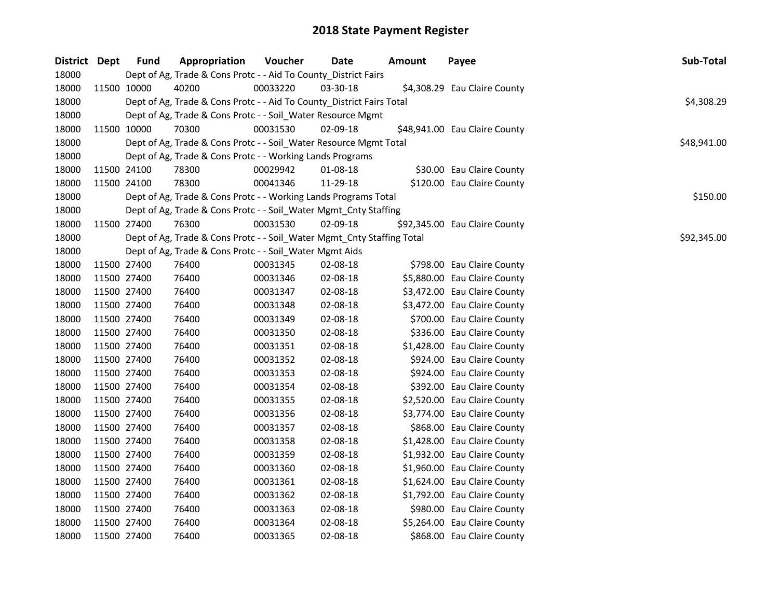| District Dept |             | <b>Fund</b> | Appropriation                                                          | Voucher  | Date     | <b>Amount</b> | Payee                         | Sub-Total   |
|---------------|-------------|-------------|------------------------------------------------------------------------|----------|----------|---------------|-------------------------------|-------------|
| 18000         |             |             | Dept of Ag, Trade & Cons Protc - - Aid To County_District Fairs        |          |          |               |                               |             |
| 18000         |             | 11500 10000 | 40200                                                                  | 00033220 | 03-30-18 |               | \$4,308.29 Eau Claire County  |             |
| 18000         |             |             | Dept of Ag, Trade & Cons Protc - - Aid To County_District Fairs Total  |          |          |               |                               | \$4,308.29  |
| 18000         |             |             | Dept of Ag, Trade & Cons Protc - - Soil_Water Resource Mgmt            |          |          |               |                               |             |
| 18000         |             | 11500 10000 | 70300                                                                  | 00031530 | 02-09-18 |               | \$48,941.00 Eau Claire County |             |
| 18000         |             |             | Dept of Ag, Trade & Cons Protc - - Soil_Water Resource Mgmt Total      |          |          |               |                               | \$48,941.00 |
| 18000         |             |             | Dept of Ag, Trade & Cons Protc - - Working Lands Programs              |          |          |               |                               |             |
| 18000         |             | 11500 24100 | 78300                                                                  | 00029942 | 01-08-18 |               | \$30.00 Eau Claire County     |             |
| 18000         |             | 11500 24100 | 78300                                                                  | 00041346 | 11-29-18 |               | \$120.00 Eau Claire County    |             |
| 18000         |             |             | Dept of Ag, Trade & Cons Protc - - Working Lands Programs Total        |          |          |               |                               | \$150.00    |
| 18000         |             |             | Dept of Ag, Trade & Cons Protc - - Soil_Water Mgmt_Cnty Staffing       |          |          |               |                               |             |
| 18000         |             | 11500 27400 | 76300                                                                  | 00031530 | 02-09-18 |               | \$92,345.00 Eau Claire County |             |
| 18000         |             |             | Dept of Ag, Trade & Cons Protc - - Soil_Water Mgmt_Cnty Staffing Total |          |          |               |                               | \$92,345.00 |
| 18000         |             |             | Dept of Ag, Trade & Cons Protc - - Soil_Water Mgmt Aids                |          |          |               |                               |             |
| 18000         |             | 11500 27400 | 76400                                                                  | 00031345 | 02-08-18 |               | \$798.00 Eau Claire County    |             |
| 18000         |             | 11500 27400 | 76400                                                                  | 00031346 | 02-08-18 |               | \$5,880.00 Eau Claire County  |             |
| 18000         |             | 11500 27400 | 76400                                                                  | 00031347 | 02-08-18 |               | \$3,472.00 Eau Claire County  |             |
| 18000         |             | 11500 27400 | 76400                                                                  | 00031348 | 02-08-18 |               | \$3,472.00 Eau Claire County  |             |
| 18000         |             | 11500 27400 | 76400                                                                  | 00031349 | 02-08-18 |               | \$700.00 Eau Claire County    |             |
| 18000         |             | 11500 27400 | 76400                                                                  | 00031350 | 02-08-18 |               | \$336.00 Eau Claire County    |             |
| 18000         | 11500 27400 |             | 76400                                                                  | 00031351 | 02-08-18 |               | \$1,428.00 Eau Claire County  |             |
| 18000         | 11500 27400 |             | 76400                                                                  | 00031352 | 02-08-18 |               | \$924.00 Eau Claire County    |             |
| 18000         | 11500 27400 |             | 76400                                                                  | 00031353 | 02-08-18 |               | \$924.00 Eau Claire County    |             |
| 18000         | 11500 27400 |             | 76400                                                                  | 00031354 | 02-08-18 |               | \$392.00 Eau Claire County    |             |
| 18000         | 11500 27400 |             | 76400                                                                  | 00031355 | 02-08-18 |               | \$2,520.00 Eau Claire County  |             |
| 18000         | 11500 27400 |             | 76400                                                                  | 00031356 | 02-08-18 |               | \$3,774.00 Eau Claire County  |             |
| 18000         |             | 11500 27400 | 76400                                                                  | 00031357 | 02-08-18 |               | \$868.00 Eau Claire County    |             |
| 18000         |             | 11500 27400 | 76400                                                                  | 00031358 | 02-08-18 |               | \$1,428.00 Eau Claire County  |             |
| 18000         |             | 11500 27400 | 76400                                                                  | 00031359 | 02-08-18 |               | \$1,932.00 Eau Claire County  |             |
| 18000         |             | 11500 27400 | 76400                                                                  | 00031360 | 02-08-18 |               | \$1,960.00 Eau Claire County  |             |
| 18000         |             | 11500 27400 | 76400                                                                  | 00031361 | 02-08-18 |               | \$1,624.00 Eau Claire County  |             |
| 18000         |             | 11500 27400 | 76400                                                                  | 00031362 | 02-08-18 |               | \$1,792.00 Eau Claire County  |             |
| 18000         | 11500 27400 |             | 76400                                                                  | 00031363 | 02-08-18 |               | \$980.00 Eau Claire County    |             |
| 18000         |             | 11500 27400 | 76400                                                                  | 00031364 | 02-08-18 |               | \$5,264.00 Eau Claire County  |             |
| 18000         | 11500 27400 |             | 76400                                                                  | 00031365 | 02-08-18 |               | \$868.00 Eau Claire County    |             |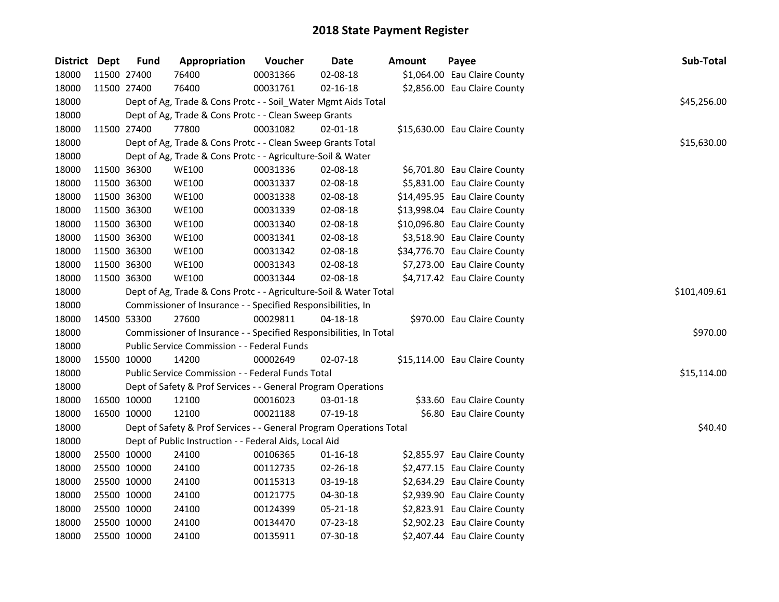| District Dept | <b>Fund</b> | Appropriation                                                       | Voucher      | Date           | <b>Amount</b> | Payee                         | Sub-Total   |
|---------------|-------------|---------------------------------------------------------------------|--------------|----------------|---------------|-------------------------------|-------------|
| 18000         | 11500 27400 | 76400                                                               | 00031366     | 02-08-18       |               | \$1,064.00 Eau Claire County  |             |
| 18000         | 11500 27400 | 76400                                                               | 00031761     | $02 - 16 - 18$ |               | \$2,856.00 Eau Claire County  |             |
| 18000         |             | Dept of Ag, Trade & Cons Protc - - Soil_Water Mgmt Aids Total       |              |                |               |                               | \$45,256.00 |
| 18000         |             | Dept of Ag, Trade & Cons Protc - - Clean Sweep Grants               |              |                |               |                               |             |
| 18000         | 11500 27400 | 77800                                                               | 00031082     | $02 - 01 - 18$ |               | \$15,630.00 Eau Claire County |             |
| 18000         |             | Dept of Ag, Trade & Cons Protc - - Clean Sweep Grants Total         |              |                |               |                               | \$15,630.00 |
| 18000         |             | Dept of Ag, Trade & Cons Protc - - Agriculture-Soil & Water         |              |                |               |                               |             |
| 18000         | 11500 36300 | <b>WE100</b>                                                        | 00031336     | 02-08-18       |               | \$6,701.80 Eau Claire County  |             |
| 18000         | 11500 36300 | <b>WE100</b>                                                        | 00031337     | 02-08-18       |               | \$5,831.00 Eau Claire County  |             |
| 18000         | 11500 36300 | <b>WE100</b>                                                        | 00031338     | 02-08-18       |               | \$14,495.95 Eau Claire County |             |
| 18000         | 11500 36300 | <b>WE100</b>                                                        | 00031339     | 02-08-18       |               | \$13,998.04 Eau Claire County |             |
| 18000         | 11500 36300 | <b>WE100</b>                                                        | 00031340     | 02-08-18       |               | \$10,096.80 Eau Claire County |             |
| 18000         | 11500 36300 | <b>WE100</b>                                                        | 00031341     | 02-08-18       |               | \$3,518.90 Eau Claire County  |             |
| 18000         | 11500 36300 | <b>WE100</b>                                                        | 00031342     | 02-08-18       |               | \$34,776.70 Eau Claire County |             |
| 18000         | 11500 36300 | <b>WE100</b>                                                        | 00031343     | 02-08-18       |               | \$7,273.00 Eau Claire County  |             |
| 18000         | 11500 36300 | <b>WE100</b>                                                        | 00031344     | 02-08-18       |               | \$4,717.42 Eau Claire County  |             |
| 18000         |             | Dept of Ag, Trade & Cons Protc - - Agriculture-Soil & Water Total   | \$101,409.61 |                |               |                               |             |
| 18000         |             | Commissioner of Insurance - - Specified Responsibilities, In        |              |                |               |                               |             |
| 18000         | 14500 53300 | 27600                                                               | 00029811     | 04-18-18       |               | \$970.00 Eau Claire County    |             |
| 18000         |             | Commissioner of Insurance - - Specified Responsibilities, In Total  |              |                |               |                               | \$970.00    |
| 18000         |             | Public Service Commission - - Federal Funds                         |              |                |               |                               |             |
| 18000         | 15500 10000 | 14200                                                               | 00002649     | 02-07-18       |               | \$15,114.00 Eau Claire County |             |
| 18000         |             | Public Service Commission - - Federal Funds Total                   |              |                |               |                               | \$15,114.00 |
| 18000         |             | Dept of Safety & Prof Services - - General Program Operations       |              |                |               |                               |             |
| 18000         | 16500 10000 | 12100                                                               | 00016023     | 03-01-18       |               | \$33.60 Eau Claire County     |             |
| 18000         | 16500 10000 | 12100                                                               | 00021188     | 07-19-18       |               | \$6.80 Eau Claire County      |             |
| 18000         |             | Dept of Safety & Prof Services - - General Program Operations Total |              |                |               |                               | \$40.40     |
| 18000         |             | Dept of Public Instruction - - Federal Aids, Local Aid              |              |                |               |                               |             |
| 18000         | 25500 10000 | 24100                                                               | 00106365     | $01 - 16 - 18$ |               | \$2,855.97 Eau Claire County  |             |
| 18000         | 25500 10000 | 24100                                                               | 00112735     | 02-26-18       |               | \$2,477.15 Eau Claire County  |             |
| 18000         | 25500 10000 | 24100                                                               | 00115313     | 03-19-18       |               | \$2,634.29 Eau Claire County  |             |
| 18000         | 25500 10000 | 24100                                                               | 00121775     | 04-30-18       |               | \$2,939.90 Eau Claire County  |             |
| 18000         | 25500 10000 | 24100                                                               | 00124399     | 05-21-18       |               | \$2,823.91 Eau Claire County  |             |
| 18000         | 25500 10000 | 24100                                                               | 00134470     | 07-23-18       |               | \$2,902.23 Eau Claire County  |             |
| 18000         | 25500 10000 | 24100                                                               | 00135911     | 07-30-18       |               | \$2,407.44 Eau Claire County  |             |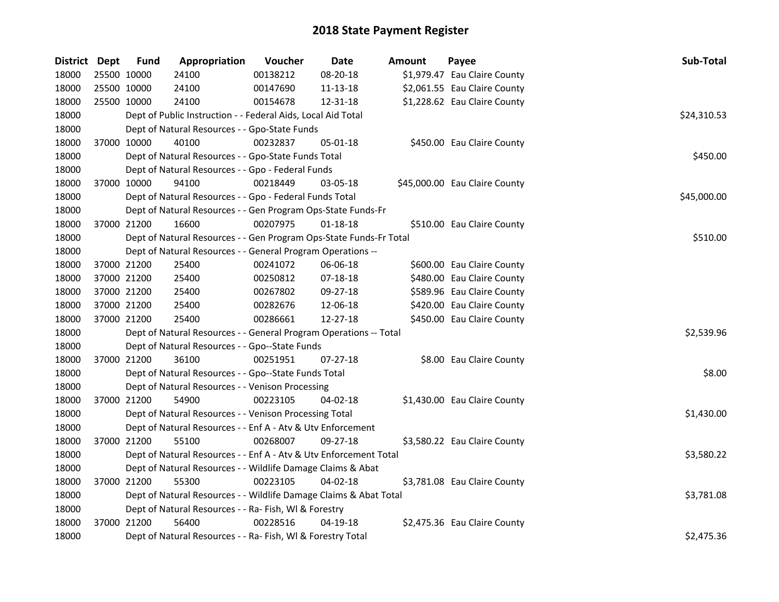| District Dept |             | <b>Fund</b> | Appropriation                                                      | Voucher  | <b>Date</b>    | Amount | Payee                         | Sub-Total   |
|---------------|-------------|-------------|--------------------------------------------------------------------|----------|----------------|--------|-------------------------------|-------------|
| 18000         | 25500 10000 |             | 24100                                                              | 00138212 | 08-20-18       |        | \$1,979.47 Eau Claire County  |             |
| 18000         | 25500 10000 |             | 24100                                                              | 00147690 | 11-13-18       |        | \$2,061.55 Eau Claire County  |             |
| 18000         | 25500 10000 |             | 24100                                                              | 00154678 | 12-31-18       |        | \$1,228.62 Eau Claire County  |             |
| 18000         |             |             | Dept of Public Instruction - - Federal Aids, Local Aid Total       |          |                |        |                               | \$24,310.53 |
| 18000         |             |             | Dept of Natural Resources - - Gpo-State Funds                      |          |                |        |                               |             |
| 18000         |             | 37000 10000 | 40100                                                              | 00232837 | 05-01-18       |        | \$450.00 Eau Claire County    |             |
| 18000         |             |             | Dept of Natural Resources - - Gpo-State Funds Total                |          |                |        |                               | \$450.00    |
| 18000         |             |             | Dept of Natural Resources - - Gpo - Federal Funds                  |          |                |        |                               |             |
| 18000         |             | 37000 10000 | 94100                                                              | 00218449 | 03-05-18       |        | \$45,000.00 Eau Claire County |             |
| 18000         |             |             | Dept of Natural Resources - - Gpo - Federal Funds Total            |          |                |        |                               | \$45,000.00 |
| 18000         |             |             | Dept of Natural Resources - - Gen Program Ops-State Funds-Fr       |          |                |        |                               |             |
| 18000         |             | 37000 21200 | 16600                                                              | 00207975 | $01 - 18 - 18$ |        | \$510.00 Eau Claire County    |             |
| 18000         |             |             | Dept of Natural Resources - - Gen Program Ops-State Funds-Fr Total |          |                |        |                               | \$510.00    |
| 18000         |             |             | Dept of Natural Resources - - General Program Operations --        |          |                |        |                               |             |
| 18000         | 37000 21200 |             | 25400                                                              | 00241072 | 06-06-18       |        | \$600.00 Eau Claire County    |             |
| 18000         |             | 37000 21200 | 25400                                                              | 00250812 | 07-18-18       |        | \$480.00 Eau Claire County    |             |
| 18000         |             | 37000 21200 | 25400                                                              | 00267802 | 09-27-18       |        | \$589.96 Eau Claire County    |             |
| 18000         | 37000 21200 |             | 25400                                                              | 00282676 | 12-06-18       |        | \$420.00 Eau Claire County    |             |
| 18000         | 37000 21200 |             | 25400                                                              | 00286661 | 12-27-18       |        | \$450.00 Eau Claire County    |             |
| 18000         |             |             | Dept of Natural Resources - - General Program Operations -- Total  |          |                |        |                               | \$2,539.96  |
| 18000         |             |             | Dept of Natural Resources - - Gpo--State Funds                     |          |                |        |                               |             |
| 18000         | 37000 21200 |             | 36100                                                              | 00251951 | $07 - 27 - 18$ |        | \$8.00 Eau Claire County      |             |
| 18000         |             |             | Dept of Natural Resources - - Gpo--State Funds Total               |          |                |        |                               | \$8.00      |
| 18000         |             |             | Dept of Natural Resources - - Venison Processing                   |          |                |        |                               |             |
| 18000         | 37000 21200 |             | 54900                                                              | 00223105 | 04-02-18       |        | \$1,430.00 Eau Claire County  |             |
| 18000         |             |             | Dept of Natural Resources - - Venison Processing Total             |          |                |        |                               | \$1,430.00  |
| 18000         |             |             | Dept of Natural Resources - - Enf A - Atv & Utv Enforcement        |          |                |        |                               |             |
| 18000         | 37000 21200 |             | 55100                                                              | 00268007 | 09-27-18       |        | \$3,580.22 Eau Claire County  |             |
| 18000         |             |             | Dept of Natural Resources - - Enf A - Atv & Utv Enforcement Total  |          |                |        |                               | \$3,580.22  |
| 18000         |             |             | Dept of Natural Resources - - Wildlife Damage Claims & Abat        |          |                |        |                               |             |
| 18000         |             | 37000 21200 | 55300                                                              | 00223105 | 04-02-18       |        | \$3,781.08 Eau Claire County  |             |
| 18000         |             |             | Dept of Natural Resources - - Wildlife Damage Claims & Abat Total  |          |                |        |                               | \$3,781.08  |
| 18000         |             |             | Dept of Natural Resources - - Ra- Fish, WI & Forestry              |          |                |        |                               |             |
| 18000         |             | 37000 21200 | 56400                                                              | 00228516 | 04-19-18       |        | \$2,475.36 Eau Claire County  |             |
| 18000         |             |             | Dept of Natural Resources - - Ra- Fish, WI & Forestry Total        |          |                |        |                               | \$2,475.36  |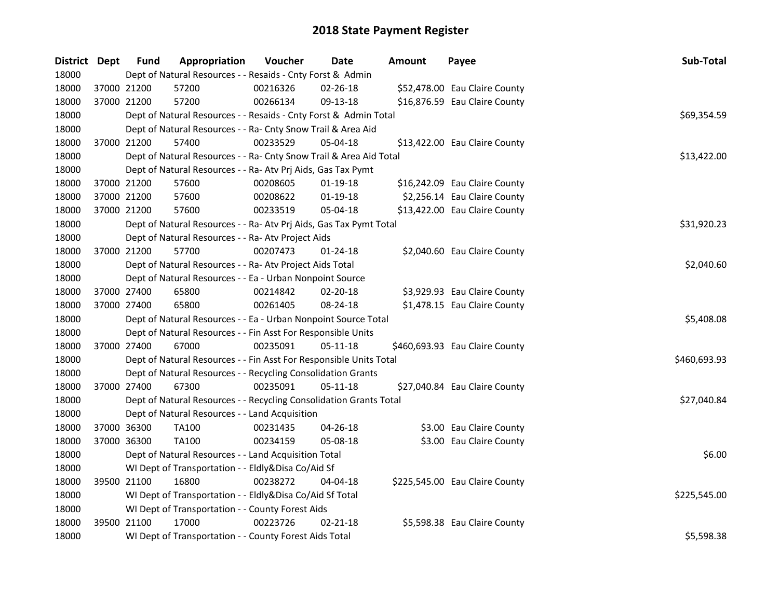| District Dept |             | <b>Fund</b> | Appropriation                                                      | Voucher     | Date           | Amount | Payee                          | Sub-Total    |
|---------------|-------------|-------------|--------------------------------------------------------------------|-------------|----------------|--------|--------------------------------|--------------|
| 18000         |             |             | Dept of Natural Resources - - Resaids - Cnty Forst & Admin         |             |                |        |                                |              |
| 18000         |             | 37000 21200 | 57200                                                              | 00216326    | $02 - 26 - 18$ |        | \$52,478.00 Eau Claire County  |              |
| 18000         | 37000 21200 |             | 57200                                                              | 00266134    | 09-13-18       |        | \$16,876.59 Eau Claire County  |              |
| 18000         |             |             | Dept of Natural Resources - - Resaids - Cnty Forst & Admin Total   |             |                |        |                                | \$69,354.59  |
| 18000         |             |             | Dept of Natural Resources - - Ra- Cnty Snow Trail & Area Aid       |             |                |        |                                |              |
| 18000         |             | 37000 21200 | 57400                                                              | 00233529    | 05-04-18       |        | \$13,422.00 Eau Claire County  |              |
| 18000         |             |             | Dept of Natural Resources - - Ra- Cnty Snow Trail & Area Aid Total |             |                |        |                                | \$13,422.00  |
| 18000         |             |             | Dept of Natural Resources - - Ra- Atv Prj Aids, Gas Tax Pymt       |             |                |        |                                |              |
| 18000         |             | 37000 21200 | 57600                                                              | 00208605    | $01-19-18$     |        | \$16,242.09 Eau Claire County  |              |
| 18000         |             | 37000 21200 | 57600                                                              | 00208622    | 01-19-18       |        | \$2,256.14 Eau Claire County   |              |
| 18000         | 37000 21200 |             | 57600                                                              | 00233519    | 05-04-18       |        | \$13,422.00 Eau Claire County  |              |
| 18000         |             |             | Dept of Natural Resources - - Ra- Atv Prj Aids, Gas Tax Pymt Total | \$31,920.23 |                |        |                                |              |
| 18000         |             |             | Dept of Natural Resources - - Ra- Atv Project Aids                 |             |                |        |                                |              |
| 18000         |             | 37000 21200 | 57700                                                              | 00207473    | $01 - 24 - 18$ |        | \$2,040.60 Eau Claire County   |              |
| 18000         |             |             | Dept of Natural Resources - - Ra- Atv Project Aids Total           |             |                |        |                                | \$2,040.60   |
| 18000         |             |             | Dept of Natural Resources - - Ea - Urban Nonpoint Source           |             |                |        |                                |              |
| 18000         |             | 37000 27400 | 65800                                                              | 00214842    | 02-20-18       |        | \$3,929.93 Eau Claire County   |              |
| 18000         | 37000 27400 |             | 65800                                                              | 00261405    | 08-24-18       |        | \$1,478.15 Eau Claire County   |              |
| 18000         |             |             | Dept of Natural Resources - - Ea - Urban Nonpoint Source Total     |             |                |        |                                | \$5,408.08   |
| 18000         |             |             | Dept of Natural Resources - - Fin Asst For Responsible Units       |             |                |        |                                |              |
| 18000         |             | 37000 27400 | 67000                                                              | 00235091    | $05 - 11 - 18$ |        | \$460,693.93 Eau Claire County |              |
| 18000         |             |             | Dept of Natural Resources - - Fin Asst For Responsible Units Total |             |                |        |                                | \$460,693.93 |
| 18000         |             |             | Dept of Natural Resources - - Recycling Consolidation Grants       |             |                |        |                                |              |
| 18000         |             | 37000 27400 | 67300                                                              | 00235091    | $05-11-18$     |        | \$27,040.84 Eau Claire County  |              |
| 18000         |             |             | Dept of Natural Resources - - Recycling Consolidation Grants Total |             |                |        |                                | \$27,040.84  |
| 18000         |             |             | Dept of Natural Resources - - Land Acquisition                     |             |                |        |                                |              |
| 18000         |             | 37000 36300 | TA100                                                              | 00231435    | $04 - 26 - 18$ |        | \$3.00 Eau Claire County       |              |
| 18000         |             | 37000 36300 | TA100                                                              | 00234159    | 05-08-18       |        | \$3.00 Eau Claire County       |              |
| 18000         |             |             | Dept of Natural Resources - - Land Acquisition Total               |             |                |        |                                | \$6.00       |
| 18000         |             |             | WI Dept of Transportation - - Eldly&Disa Co/Aid Sf                 |             |                |        |                                |              |
| 18000         |             | 39500 21100 | 16800                                                              | 00238272    | 04-04-18       |        | \$225,545.00 Eau Claire County |              |
| 18000         |             |             | WI Dept of Transportation - - Eldly&Disa Co/Aid Sf Total           |             |                |        |                                | \$225,545.00 |
| 18000         |             |             | WI Dept of Transportation - - County Forest Aids                   |             |                |        |                                |              |
| 18000         |             | 39500 21100 | 17000                                                              | 00223726    | $02 - 21 - 18$ |        | \$5,598.38 Eau Claire County   |              |
| 18000         |             |             | WI Dept of Transportation - - County Forest Aids Total             |             |                |        |                                | \$5,598.38   |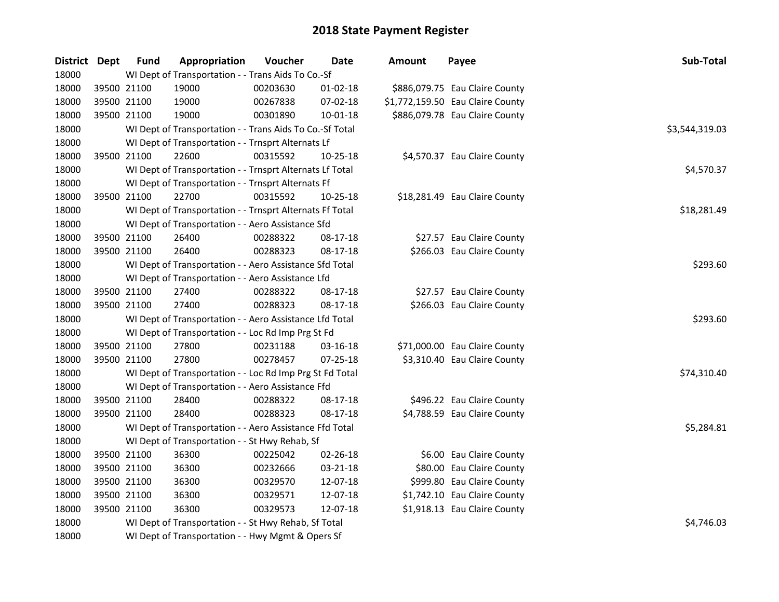| District Dept | <b>Fund</b> | Appropriation                                            | Voucher  | <b>Date</b>    | <b>Amount</b> | Payee                            | Sub-Total      |
|---------------|-------------|----------------------------------------------------------|----------|----------------|---------------|----------------------------------|----------------|
| 18000         |             | WI Dept of Transportation - - Trans Aids To Co.-Sf       |          |                |               |                                  |                |
| 18000         | 39500 21100 | 19000                                                    | 00203630 | $01-02-18$     |               | \$886,079.75 Eau Claire County   |                |
| 18000         | 39500 21100 | 19000                                                    | 00267838 | 07-02-18       |               | \$1,772,159.50 Eau Claire County |                |
| 18000         | 39500 21100 | 19000                                                    | 00301890 | 10-01-18       |               | \$886,079.78 Eau Claire County   |                |
| 18000         |             | WI Dept of Transportation - - Trans Aids To Co.-Sf Total |          |                |               |                                  | \$3,544,319.03 |
| 18000         |             | WI Dept of Transportation - - Trnsprt Alternats Lf       |          |                |               |                                  |                |
| 18000         | 39500 21100 | 22600                                                    | 00315592 | 10-25-18       |               | \$4,570.37 Eau Claire County     |                |
| 18000         |             | WI Dept of Transportation - - Trnsprt Alternats Lf Total |          |                |               |                                  | \$4,570.37     |
| 18000         |             | WI Dept of Transportation - - Trnsprt Alternats Ff       |          |                |               |                                  |                |
| 18000         | 39500 21100 | 22700                                                    | 00315592 | 10-25-18       |               | \$18,281.49 Eau Claire County    |                |
| 18000         |             | WI Dept of Transportation - - Trnsprt Alternats Ff Total |          |                |               |                                  | \$18,281.49    |
| 18000         |             | WI Dept of Transportation - - Aero Assistance Sfd        |          |                |               |                                  |                |
| 18000         | 39500 21100 | 26400                                                    | 00288322 | 08-17-18       |               | \$27.57 Eau Claire County        |                |
| 18000         | 39500 21100 | 26400                                                    | 00288323 | 08-17-18       |               | \$266.03 Eau Claire County       |                |
| 18000         |             | WI Dept of Transportation - - Aero Assistance Sfd Total  |          |                |               |                                  | \$293.60       |
| 18000         |             | WI Dept of Transportation - - Aero Assistance Lfd        |          |                |               |                                  |                |
| 18000         | 39500 21100 | 27400                                                    | 00288322 | 08-17-18       |               | \$27.57 Eau Claire County        |                |
| 18000         | 39500 21100 | 27400                                                    | 00288323 | 08-17-18       |               | \$266.03 Eau Claire County       |                |
| 18000         |             | WI Dept of Transportation - - Aero Assistance Lfd Total  |          |                |               |                                  | \$293.60       |
| 18000         |             | WI Dept of Transportation - - Loc Rd Imp Prg St Fd       |          |                |               |                                  |                |
| 18000         | 39500 21100 | 27800                                                    | 00231188 | 03-16-18       |               | \$71,000.00 Eau Claire County    |                |
| 18000         | 39500 21100 | 27800                                                    | 00278457 | $07 - 25 - 18$ |               | \$3,310.40 Eau Claire County     |                |
| 18000         |             | WI Dept of Transportation - - Loc Rd Imp Prg St Fd Total |          |                |               |                                  | \$74,310.40    |
| 18000         |             | WI Dept of Transportation - - Aero Assistance Ffd        |          |                |               |                                  |                |
| 18000         | 39500 21100 | 28400                                                    | 00288322 | 08-17-18       |               | \$496.22 Eau Claire County       |                |
| 18000         | 39500 21100 | 28400                                                    | 00288323 | 08-17-18       |               | \$4,788.59 Eau Claire County     |                |
| 18000         |             | WI Dept of Transportation - - Aero Assistance Ffd Total  |          |                |               |                                  | \$5,284.81     |
| 18000         |             | WI Dept of Transportation - - St Hwy Rehab, Sf           |          |                |               |                                  |                |
| 18000         | 39500 21100 | 36300                                                    | 00225042 | 02-26-18       |               | \$6.00 Eau Claire County         |                |
| 18000         | 39500 21100 | 36300                                                    | 00232666 | 03-21-18       |               | \$80.00 Eau Claire County        |                |
| 18000         | 39500 21100 | 36300                                                    | 00329570 | 12-07-18       |               | \$999.80 Eau Claire County       |                |
| 18000         | 39500 21100 | 36300                                                    | 00329571 | 12-07-18       |               | \$1,742.10 Eau Claire County     |                |
| 18000         | 39500 21100 | 36300                                                    | 00329573 | 12-07-18       |               | \$1,918.13 Eau Claire County     |                |
| 18000         |             | WI Dept of Transportation - - St Hwy Rehab, Sf Total     |          |                |               |                                  | \$4,746.03     |
| 18000         |             | WI Dept of Transportation - - Hwy Mgmt & Opers Sf        |          |                |               |                                  |                |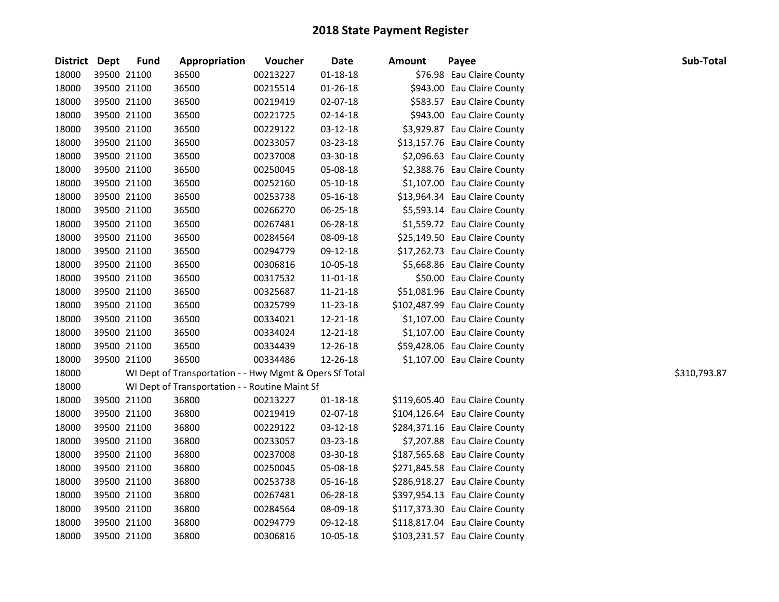| District Dept | <b>Fund</b> | Appropriation                                           | Voucher  | <b>Date</b>    | <b>Amount</b> | Payee                          | Sub-Total    |
|---------------|-------------|---------------------------------------------------------|----------|----------------|---------------|--------------------------------|--------------|
| 18000         | 39500 21100 | 36500                                                   | 00213227 | $01 - 18 - 18$ |               | \$76.98 Eau Claire County      |              |
| 18000         | 39500 21100 | 36500                                                   | 00215514 | $01 - 26 - 18$ |               | \$943.00 Eau Claire County     |              |
| 18000         | 39500 21100 | 36500                                                   | 00219419 | 02-07-18       |               | \$583.57 Eau Claire County     |              |
| 18000         | 39500 21100 | 36500                                                   | 00221725 | 02-14-18       |               | \$943.00 Eau Claire County     |              |
| 18000         | 39500 21100 | 36500                                                   | 00229122 | 03-12-18       |               | \$3,929.87 Eau Claire County   |              |
| 18000         | 39500 21100 | 36500                                                   | 00233057 | 03-23-18       |               | \$13,157.76 Eau Claire County  |              |
| 18000         | 39500 21100 | 36500                                                   | 00237008 | 03-30-18       |               | \$2,096.63 Eau Claire County   |              |
| 18000         | 39500 21100 | 36500                                                   | 00250045 | 05-08-18       |               | \$2,388.76 Eau Claire County   |              |
| 18000         | 39500 21100 | 36500                                                   | 00252160 | 05-10-18       |               | \$1,107.00 Eau Claire County   |              |
| 18000         | 39500 21100 | 36500                                                   | 00253738 | 05-16-18       |               | \$13,964.34 Eau Claire County  |              |
| 18000         | 39500 21100 | 36500                                                   | 00266270 | 06-25-18       |               | \$5,593.14 Eau Claire County   |              |
| 18000         | 39500 21100 | 36500                                                   | 00267481 | 06-28-18       |               | \$1,559.72 Eau Claire County   |              |
| 18000         | 39500 21100 | 36500                                                   | 00284564 | 08-09-18       |               | \$25,149.50 Eau Claire County  |              |
| 18000         | 39500 21100 | 36500                                                   | 00294779 | 09-12-18       |               | \$17,262.73 Eau Claire County  |              |
| 18000         | 39500 21100 | 36500                                                   | 00306816 | 10-05-18       |               | \$5,668.86 Eau Claire County   |              |
| 18000         | 39500 21100 | 36500                                                   | 00317532 | 11-01-18       |               | \$50.00 Eau Claire County      |              |
| 18000         | 39500 21100 | 36500                                                   | 00325687 | 11-21-18       |               | \$51,081.96 Eau Claire County  |              |
| 18000         | 39500 21100 | 36500                                                   | 00325799 | 11-23-18       |               | \$102,487.99 Eau Claire County |              |
| 18000         | 39500 21100 | 36500                                                   | 00334021 | 12-21-18       |               | \$1,107.00 Eau Claire County   |              |
| 18000         | 39500 21100 | 36500                                                   | 00334024 | 12-21-18       |               | \$1,107.00 Eau Claire County   |              |
| 18000         | 39500 21100 | 36500                                                   | 00334439 | 12-26-18       |               | \$59,428.06 Eau Claire County  |              |
| 18000         | 39500 21100 | 36500                                                   | 00334486 | 12-26-18       |               | \$1,107.00 Eau Claire County   |              |
| 18000         |             | WI Dept of Transportation - - Hwy Mgmt & Opers Sf Total |          |                |               |                                | \$310,793.87 |
| 18000         |             | WI Dept of Transportation - - Routine Maint Sf          |          |                |               |                                |              |
| 18000         | 39500 21100 | 36800                                                   | 00213227 | 01-18-18       |               | \$119,605.40 Eau Claire County |              |
| 18000         | 39500 21100 | 36800                                                   | 00219419 | 02-07-18       |               | \$104,126.64 Eau Claire County |              |
| 18000         | 39500 21100 | 36800                                                   | 00229122 | 03-12-18       |               | \$284,371.16 Eau Claire County |              |
| 18000         | 39500 21100 | 36800                                                   | 00233057 | 03-23-18       |               | \$7,207.88 Eau Claire County   |              |
| 18000         | 39500 21100 | 36800                                                   | 00237008 | 03-30-18       |               | \$187,565.68 Eau Claire County |              |
| 18000         | 39500 21100 | 36800                                                   | 00250045 | 05-08-18       |               | \$271,845.58 Eau Claire County |              |
| 18000         | 39500 21100 | 36800                                                   | 00253738 | 05-16-18       |               | \$286,918.27 Eau Claire County |              |
| 18000         | 39500 21100 | 36800                                                   | 00267481 | 06-28-18       |               | \$397,954.13 Eau Claire County |              |
| 18000         | 39500 21100 | 36800                                                   | 00284564 | 08-09-18       |               | \$117,373.30 Eau Claire County |              |
| 18000         | 39500 21100 | 36800                                                   | 00294779 | 09-12-18       |               | \$118,817.04 Eau Claire County |              |
| 18000         | 39500 21100 | 36800                                                   | 00306816 | 10-05-18       |               | \$103,231.57 Eau Claire County |              |
|               |             |                                                         |          |                |               |                                |              |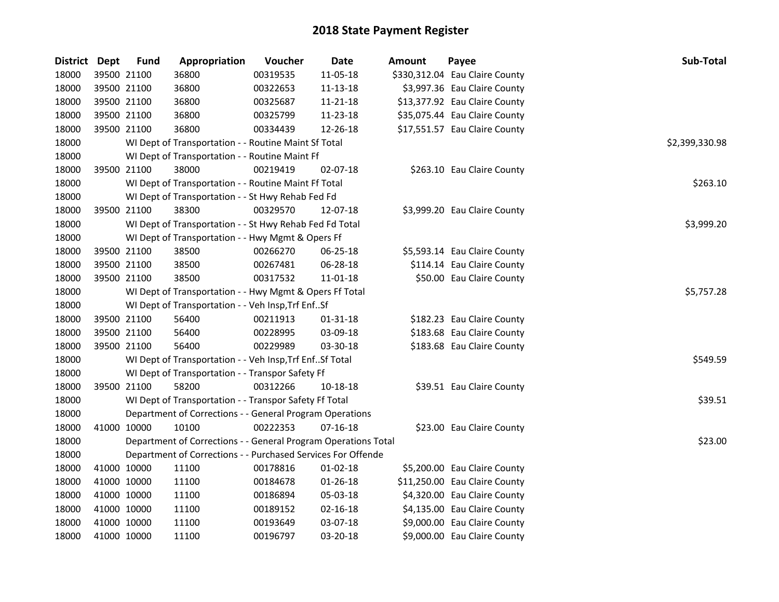| District Dept |             | <b>Fund</b> | Appropriation                                                  | Voucher  | <b>Date</b>    | <b>Amount</b> | Payee                          | Sub-Total      |
|---------------|-------------|-------------|----------------------------------------------------------------|----------|----------------|---------------|--------------------------------|----------------|
| 18000         |             | 39500 21100 | 36800                                                          | 00319535 | 11-05-18       |               | \$330,312.04 Eau Claire County |                |
| 18000         | 39500 21100 |             | 36800                                                          | 00322653 | $11 - 13 - 18$ |               | \$3,997.36 Eau Claire County   |                |
| 18000         | 39500 21100 |             | 36800                                                          | 00325687 | 11-21-18       |               | \$13,377.92 Eau Claire County  |                |
| 18000         | 39500 21100 |             | 36800                                                          | 00325799 | 11-23-18       |               | \$35,075.44 Eau Claire County  |                |
| 18000         |             | 39500 21100 | 36800                                                          | 00334439 | 12-26-18       |               | \$17,551.57 Eau Claire County  |                |
| 18000         |             |             | WI Dept of Transportation - - Routine Maint Sf Total           |          |                |               |                                | \$2,399,330.98 |
| 18000         |             |             | WI Dept of Transportation - - Routine Maint Ff                 |          |                |               |                                |                |
| 18000         |             | 39500 21100 | 38000                                                          | 00219419 | 02-07-18       |               | \$263.10 Eau Claire County     |                |
| 18000         |             |             | WI Dept of Transportation - - Routine Maint Ff Total           |          |                |               |                                | \$263.10       |
| 18000         |             |             | WI Dept of Transportation - - St Hwy Rehab Fed Fd              |          |                |               |                                |                |
| 18000         |             | 39500 21100 | 38300                                                          | 00329570 | 12-07-18       |               | \$3,999.20 Eau Claire County   |                |
| 18000         |             |             | WI Dept of Transportation - - St Hwy Rehab Fed Fd Total        |          |                |               |                                | \$3,999.20     |
| 18000         |             |             | WI Dept of Transportation - - Hwy Mgmt & Opers Ff              |          |                |               |                                |                |
| 18000         | 39500 21100 |             | 38500                                                          | 00266270 | 06-25-18       |               | \$5,593.14 Eau Claire County   |                |
| 18000         | 39500 21100 |             | 38500                                                          | 00267481 | 06-28-18       |               | \$114.14 Eau Claire County     |                |
| 18000         |             | 39500 21100 | 38500                                                          | 00317532 | $11 - 01 - 18$ |               | \$50.00 Eau Claire County      |                |
| 18000         |             |             | WI Dept of Transportation - - Hwy Mgmt & Opers Ff Total        |          |                |               |                                | \$5,757.28     |
| 18000         |             |             | WI Dept of Transportation - - Veh Insp, Trf EnfSf              |          |                |               |                                |                |
| 18000         |             | 39500 21100 | 56400                                                          | 00211913 | $01 - 31 - 18$ |               | \$182.23 Eau Claire County     |                |
| 18000         | 39500 21100 |             | 56400                                                          | 00228995 | 03-09-18       |               | \$183.68 Eau Claire County     |                |
| 18000         | 39500 21100 |             | 56400                                                          | 00229989 | 03-30-18       |               | \$183.68 Eau Claire County     |                |
| 18000         |             |             | WI Dept of Transportation - - Veh Insp, Trf Enf Sf Total       |          |                |               |                                | \$549.59       |
| 18000         |             |             | WI Dept of Transportation - - Transpor Safety Ff               |          |                |               |                                |                |
| 18000         |             | 39500 21100 | 58200                                                          | 00312266 | 10-18-18       |               | \$39.51 Eau Claire County      |                |
| 18000         |             |             | WI Dept of Transportation - - Transpor Safety Ff Total         |          |                |               |                                | \$39.51        |
| 18000         |             |             | Department of Corrections - - General Program Operations       |          |                |               |                                |                |
| 18000         | 41000 10000 |             | 10100                                                          | 00222353 | $07-16-18$     |               | \$23.00 Eau Claire County      |                |
| 18000         |             |             | Department of Corrections - - General Program Operations Total |          |                |               |                                | \$23.00        |
| 18000         |             |             | Department of Corrections - - Purchased Services For Offende   |          |                |               |                                |                |
| 18000         | 41000 10000 |             | 11100                                                          | 00178816 | $01 - 02 - 18$ |               | \$5,200.00 Eau Claire County   |                |
| 18000         | 41000 10000 |             | 11100                                                          | 00184678 | 01-26-18       |               | \$11,250.00 Eau Claire County  |                |
| 18000         | 41000 10000 |             | 11100                                                          | 00186894 | 05-03-18       |               | \$4,320.00 Eau Claire County   |                |
| 18000         | 41000 10000 |             | 11100                                                          | 00189152 | 02-16-18       |               | \$4,135.00 Eau Claire County   |                |
| 18000         | 41000 10000 |             | 11100                                                          | 00193649 | 03-07-18       |               | \$9,000.00 Eau Claire County   |                |
| 18000         | 41000 10000 |             | 11100                                                          | 00196797 | 03-20-18       |               | \$9,000.00 Eau Claire County   |                |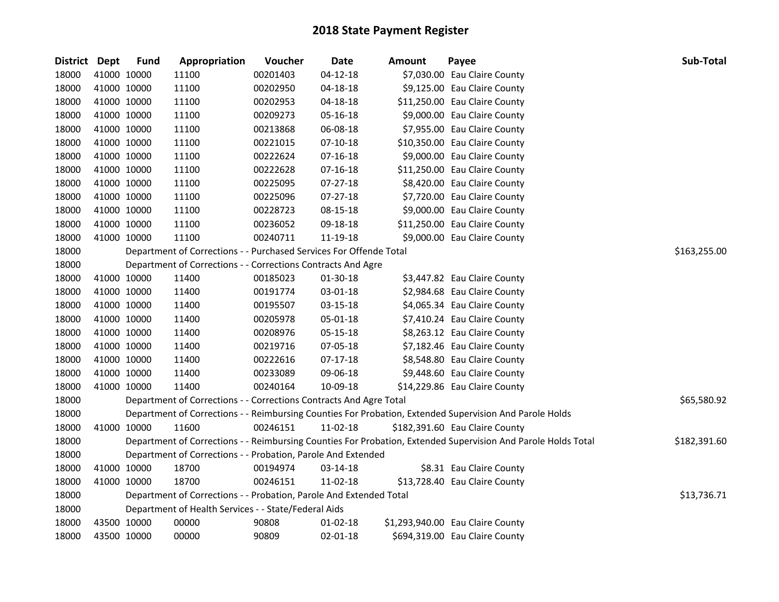| District Dept |             | <b>Fund</b> | Appropriation                                                      | Voucher  | <b>Date</b>    | <b>Amount</b> | Payee                                                                                                         | <b>Sub-Total</b> |
|---------------|-------------|-------------|--------------------------------------------------------------------|----------|----------------|---------------|---------------------------------------------------------------------------------------------------------------|------------------|
| 18000         |             | 41000 10000 | 11100                                                              | 00201403 | $04 - 12 - 18$ |               | \$7,030.00 Eau Claire County                                                                                  |                  |
| 18000         |             | 41000 10000 | 11100                                                              | 00202950 | $04 - 18 - 18$ |               | \$9,125.00 Eau Claire County                                                                                  |                  |
| 18000         |             | 41000 10000 | 11100                                                              | 00202953 | 04-18-18       |               | \$11,250.00 Eau Claire County                                                                                 |                  |
| 18000         |             | 41000 10000 | 11100                                                              | 00209273 | 05-16-18       |               | \$9,000.00 Eau Claire County                                                                                  |                  |
| 18000         |             | 41000 10000 | 11100                                                              | 00213868 | 06-08-18       |               | \$7,955.00 Eau Claire County                                                                                  |                  |
| 18000         |             | 41000 10000 | 11100                                                              | 00221015 | $07-10-18$     |               | \$10,350.00 Eau Claire County                                                                                 |                  |
| 18000         |             | 41000 10000 | 11100                                                              | 00222624 | 07-16-18       |               | \$9,000.00 Eau Claire County                                                                                  |                  |
| 18000         |             | 41000 10000 | 11100                                                              | 00222628 | 07-16-18       |               | \$11,250.00 Eau Claire County                                                                                 |                  |
| 18000         |             | 41000 10000 | 11100                                                              | 00225095 | 07-27-18       |               | \$8,420.00 Eau Claire County                                                                                  |                  |
| 18000         | 41000 10000 |             | 11100                                                              | 00225096 | 07-27-18       |               | \$7,720.00 Eau Claire County                                                                                  |                  |
| 18000         |             | 41000 10000 | 11100                                                              | 00228723 | 08-15-18       |               | \$9,000.00 Eau Claire County                                                                                  |                  |
| 18000         |             | 41000 10000 | 11100                                                              | 00236052 | 09-18-18       |               | \$11,250.00 Eau Claire County                                                                                 |                  |
| 18000         | 41000 10000 |             | 11100                                                              | 00240711 | 11-19-18       |               | \$9,000.00 Eau Claire County                                                                                  |                  |
| 18000         |             |             | Department of Corrections - - Purchased Services For Offende Total |          |                |               |                                                                                                               | \$163,255.00     |
| 18000         |             |             | Department of Corrections - - Corrections Contracts And Agre       |          |                |               |                                                                                                               |                  |
| 18000         |             | 41000 10000 | 11400                                                              | 00185023 | 01-30-18       |               | \$3,447.82 Eau Claire County                                                                                  |                  |
| 18000         |             | 41000 10000 | 11400                                                              | 00191774 | 03-01-18       |               | \$2,984.68 Eau Claire County                                                                                  |                  |
| 18000         |             | 41000 10000 | 11400                                                              | 00195507 | 03-15-18       |               | \$4,065.34 Eau Claire County                                                                                  |                  |
| 18000         |             | 41000 10000 | 11400                                                              | 00205978 | 05-01-18       |               | \$7,410.24 Eau Claire County                                                                                  |                  |
| 18000         |             | 41000 10000 | 11400                                                              | 00208976 | 05-15-18       |               | \$8,263.12 Eau Claire County                                                                                  |                  |
| 18000         |             | 41000 10000 | 11400                                                              | 00219716 | 07-05-18       |               | \$7,182.46 Eau Claire County                                                                                  |                  |
| 18000         |             | 41000 10000 | 11400                                                              | 00222616 | 07-17-18       |               | \$8,548.80 Eau Claire County                                                                                  |                  |
| 18000         |             | 41000 10000 | 11400                                                              | 00233089 | 09-06-18       |               | \$9,448.60 Eau Claire County                                                                                  |                  |
| 18000         |             | 41000 10000 | 11400                                                              | 00240164 | 10-09-18       |               | \$14,229.86 Eau Claire County                                                                                 |                  |
| 18000         |             |             | Department of Corrections - - Corrections Contracts And Agre Total |          |                |               |                                                                                                               | \$65,580.92      |
| 18000         |             |             |                                                                    |          |                |               | Department of Corrections - - Reimbursing Counties For Probation, Extended Supervision And Parole Holds       |                  |
| 18000         | 41000 10000 |             | 11600                                                              | 00246151 | 11-02-18       |               | \$182,391.60 Eau Claire County                                                                                |                  |
| 18000         |             |             |                                                                    |          |                |               | Department of Corrections - - Reimbursing Counties For Probation, Extended Supervision And Parole Holds Total | \$182,391.60     |
| 18000         |             |             | Department of Corrections - - Probation, Parole And Extended       |          |                |               |                                                                                                               |                  |
| 18000         |             | 41000 10000 | 18700                                                              | 00194974 | 03-14-18       |               | \$8.31 Eau Claire County                                                                                      |                  |
| 18000         | 41000 10000 |             | 18700                                                              | 00246151 | 11-02-18       |               | \$13,728.40 Eau Claire County                                                                                 |                  |
| 18000         |             |             | Department of Corrections - - Probation, Parole And Extended Total |          |                |               |                                                                                                               | \$13,736.71      |
| 18000         |             |             | Department of Health Services - - State/Federal Aids               |          |                |               |                                                                                                               |                  |
| 18000         |             | 43500 10000 | 00000                                                              | 90808    | 01-02-18       |               | \$1,293,940.00 Eau Claire County                                                                              |                  |
| 18000         | 43500 10000 |             | 00000                                                              | 90809    | 02-01-18       |               | \$694,319.00 Eau Claire County                                                                                |                  |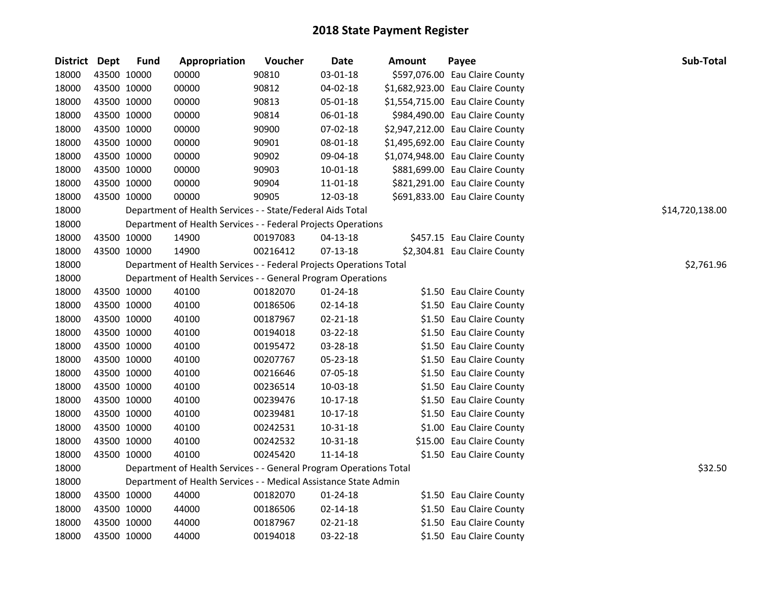| District Dept |             | <b>Fund</b> | Appropriation                                                       | Voucher  | <b>Date</b>    | Amount | Payee                            | Sub-Total       |
|---------------|-------------|-------------|---------------------------------------------------------------------|----------|----------------|--------|----------------------------------|-----------------|
| 18000         | 43500 10000 |             | 00000                                                               | 90810    | 03-01-18       |        | \$597,076.00 Eau Claire County   |                 |
| 18000         | 43500 10000 |             | 00000                                                               | 90812    | 04-02-18       |        | \$1,682,923.00 Eau Claire County |                 |
| 18000         | 43500 10000 |             | 00000                                                               | 90813    | 05-01-18       |        | \$1,554,715.00 Eau Claire County |                 |
| 18000         | 43500 10000 |             | 00000                                                               | 90814    | 06-01-18       |        | \$984,490.00 Eau Claire County   |                 |
| 18000         | 43500 10000 |             | 00000                                                               | 90900    | 07-02-18       |        | \$2,947,212.00 Eau Claire County |                 |
| 18000         | 43500 10000 |             | 00000                                                               | 90901    | 08-01-18       |        | \$1,495,692.00 Eau Claire County |                 |
| 18000         | 43500 10000 |             | 00000                                                               | 90902    | 09-04-18       |        | \$1,074,948.00 Eau Claire County |                 |
| 18000         | 43500 10000 |             | 00000                                                               | 90903    | 10-01-18       |        | \$881,699.00 Eau Claire County   |                 |
| 18000         | 43500 10000 |             | 00000                                                               | 90904    | 11-01-18       |        | \$821,291.00 Eau Claire County   |                 |
| 18000         | 43500 10000 |             | 00000                                                               | 90905    | 12-03-18       |        | \$691,833.00 Eau Claire County   |                 |
| 18000         |             |             | Department of Health Services - - State/Federal Aids Total          |          |                |        |                                  | \$14,720,138.00 |
| 18000         |             |             | Department of Health Services - - Federal Projects Operations       |          |                |        |                                  |                 |
| 18000         | 43500 10000 |             | 14900                                                               | 00197083 | $04 - 13 - 18$ |        | \$457.15 Eau Claire County       |                 |
| 18000         | 43500 10000 |             | 14900                                                               | 00216412 | 07-13-18       |        | \$2,304.81 Eau Claire County     |                 |
| 18000         |             |             | Department of Health Services - - Federal Projects Operations Total |          |                |        |                                  | \$2,761.96      |
| 18000         |             |             | Department of Health Services - - General Program Operations        |          |                |        |                                  |                 |
| 18000         | 43500 10000 |             | 40100                                                               | 00182070 | 01-24-18       |        | \$1.50 Eau Claire County         |                 |
| 18000         | 43500 10000 |             | 40100                                                               | 00186506 | 02-14-18       |        | \$1.50 Eau Claire County         |                 |
| 18000         | 43500 10000 |             | 40100                                                               | 00187967 | 02-21-18       |        | \$1.50 Eau Claire County         |                 |
| 18000         | 43500 10000 |             | 40100                                                               | 00194018 | 03-22-18       |        | \$1.50 Eau Claire County         |                 |
| 18000         | 43500 10000 |             | 40100                                                               | 00195472 | 03-28-18       |        | \$1.50 Eau Claire County         |                 |
| 18000         | 43500 10000 |             | 40100                                                               | 00207767 | 05-23-18       |        | \$1.50 Eau Claire County         |                 |
| 18000         | 43500 10000 |             | 40100                                                               | 00216646 | 07-05-18       |        | \$1.50 Eau Claire County         |                 |
| 18000         | 43500 10000 |             | 40100                                                               | 00236514 | 10-03-18       |        | \$1.50 Eau Claire County         |                 |
| 18000         | 43500 10000 |             | 40100                                                               | 00239476 | $10-17-18$     |        | \$1.50 Eau Claire County         |                 |
| 18000         | 43500 10000 |             | 40100                                                               | 00239481 | 10-17-18       |        | \$1.50 Eau Claire County         |                 |
| 18000         | 43500 10000 |             | 40100                                                               | 00242531 | 10-31-18       |        | \$1.00 Eau Claire County         |                 |
| 18000         | 43500 10000 |             | 40100                                                               | 00242532 | 10-31-18       |        | \$15.00 Eau Claire County        |                 |
| 18000         | 43500 10000 |             | 40100                                                               | 00245420 | $11 - 14 - 18$ |        | \$1.50 Eau Claire County         |                 |
| 18000         |             |             | Department of Health Services - - General Program Operations Total  |          |                |        |                                  | \$32.50         |
| 18000         |             |             | Department of Health Services - - Medical Assistance State Admin    |          |                |        |                                  |                 |
| 18000         | 43500 10000 |             | 44000                                                               | 00182070 | 01-24-18       |        | \$1.50 Eau Claire County         |                 |
| 18000         | 43500 10000 |             | 44000                                                               | 00186506 | 02-14-18       |        | \$1.50 Eau Claire County         |                 |
| 18000         | 43500 10000 |             | 44000                                                               | 00187967 | 02-21-18       |        | \$1.50 Eau Claire County         |                 |
| 18000         | 43500 10000 |             | 44000                                                               | 00194018 | 03-22-18       |        | \$1.50 Eau Claire County         |                 |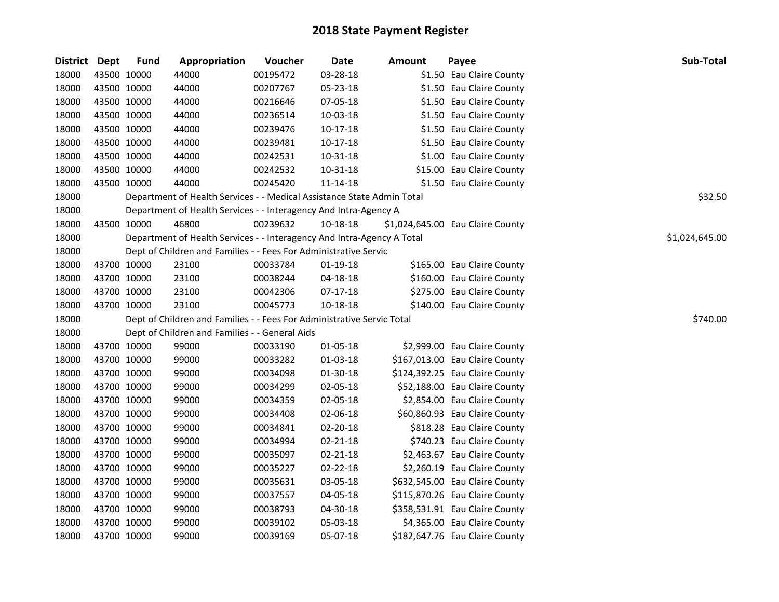| District Dept |             | <b>Fund</b> | Appropriation                                                          | Voucher  | <b>Date</b>    | <b>Amount</b> | Payee                            | Sub-Total      |
|---------------|-------------|-------------|------------------------------------------------------------------------|----------|----------------|---------------|----------------------------------|----------------|
| 18000         | 43500 10000 |             | 44000                                                                  | 00195472 | 03-28-18       |               | \$1.50 Eau Claire County         |                |
| 18000         | 43500 10000 |             | 44000                                                                  | 00207767 | 05-23-18       |               | \$1.50 Eau Claire County         |                |
| 18000         | 43500 10000 |             | 44000                                                                  | 00216646 | 07-05-18       |               | \$1.50 Eau Claire County         |                |
| 18000         | 43500 10000 |             | 44000                                                                  | 00236514 | 10-03-18       |               | \$1.50 Eau Claire County         |                |
| 18000         | 43500 10000 |             | 44000                                                                  | 00239476 | 10-17-18       |               | \$1.50 Eau Claire County         |                |
| 18000         | 43500 10000 |             | 44000                                                                  | 00239481 | 10-17-18       |               | \$1.50 Eau Claire County         |                |
| 18000         | 43500 10000 |             | 44000                                                                  | 00242531 | 10-31-18       |               | \$1.00 Eau Claire County         |                |
| 18000         | 43500 10000 |             | 44000                                                                  | 00242532 | $10 - 31 - 18$ |               | \$15.00 Eau Claire County        |                |
| 18000         | 43500 10000 |             | 44000                                                                  | 00245420 | 11-14-18       |               | \$1.50 Eau Claire County         |                |
| 18000         |             |             | Department of Health Services - - Medical Assistance State Admin Total |          |                |               |                                  | \$32.50        |
| 18000         |             |             | Department of Health Services - - Interagency And Intra-Agency A       |          |                |               |                                  |                |
| 18000         | 43500 10000 |             | 46800                                                                  | 00239632 | 10-18-18       |               | \$1,024,645.00 Eau Claire County |                |
| 18000         |             |             | Department of Health Services - - Interagency And Intra-Agency A Total |          |                |               |                                  | \$1,024,645.00 |
| 18000         |             |             | Dept of Children and Families - - Fees For Administrative Servic       |          |                |               |                                  |                |
| 18000         | 43700 10000 |             | 23100                                                                  | 00033784 | $01-19-18$     |               | \$165.00 Eau Claire County       |                |
| 18000         | 43700 10000 |             | 23100                                                                  | 00038244 | 04-18-18       |               | \$160.00 Eau Claire County       |                |
| 18000         | 43700 10000 |             | 23100                                                                  | 00042306 | $07-17-18$     |               | \$275.00 Eau Claire County       |                |
| 18000         | 43700 10000 |             | 23100                                                                  | 00045773 | 10-18-18       |               | \$140.00 Eau Claire County       |                |
| 18000         |             |             | Dept of Children and Families - - Fees For Administrative Servic Total |          |                |               |                                  | \$740.00       |
| 18000         |             |             | Dept of Children and Families - - General Aids                         |          |                |               |                                  |                |
| 18000         | 43700 10000 |             | 99000                                                                  | 00033190 | 01-05-18       |               | \$2,999.00 Eau Claire County     |                |
| 18000         | 43700 10000 |             | 99000                                                                  | 00033282 | 01-03-18       |               | \$167,013.00 Eau Claire County   |                |
| 18000         | 43700 10000 |             | 99000                                                                  | 00034098 | 01-30-18       |               | \$124,392.25 Eau Claire County   |                |
| 18000         | 43700 10000 |             | 99000                                                                  | 00034299 | 02-05-18       |               | \$52,188.00 Eau Claire County    |                |
| 18000         | 43700 10000 |             | 99000                                                                  | 00034359 | 02-05-18       |               | \$2,854.00 Eau Claire County     |                |
| 18000         | 43700 10000 |             | 99000                                                                  | 00034408 | 02-06-18       |               | \$60,860.93 Eau Claire County    |                |
| 18000         | 43700 10000 |             | 99000                                                                  | 00034841 | 02-20-18       |               | \$818.28 Eau Claire County       |                |
| 18000         | 43700 10000 |             | 99000                                                                  | 00034994 | $02 - 21 - 18$ |               | \$740.23 Eau Claire County       |                |
| 18000         | 43700 10000 |             | 99000                                                                  | 00035097 | 02-21-18       |               | \$2,463.67 Eau Claire County     |                |
| 18000         | 43700 10000 |             | 99000                                                                  | 00035227 | 02-22-18       |               | \$2,260.19 Eau Claire County     |                |
| 18000         | 43700 10000 |             | 99000                                                                  | 00035631 | 03-05-18       |               | \$632,545.00 Eau Claire County   |                |
| 18000         | 43700 10000 |             | 99000                                                                  | 00037557 | 04-05-18       |               | \$115,870.26 Eau Claire County   |                |
| 18000         | 43700 10000 |             | 99000                                                                  | 00038793 | 04-30-18       |               | \$358,531.91 Eau Claire County   |                |
| 18000         | 43700 10000 |             | 99000                                                                  | 00039102 | 05-03-18       |               | \$4,365.00 Eau Claire County     |                |
| 18000         | 43700 10000 |             | 99000                                                                  | 00039169 | 05-07-18       |               | \$182,647.76 Eau Claire County   |                |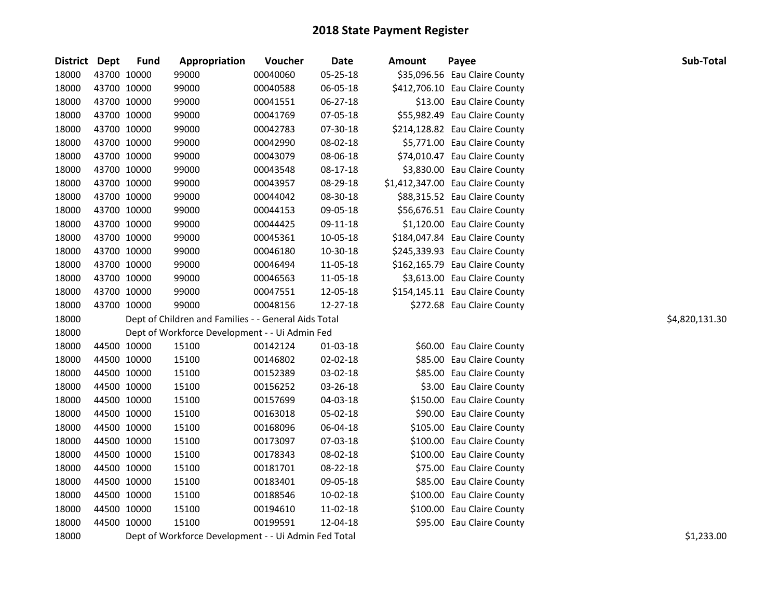| District | Dept        | <b>Fund</b> | Appropriation                                        | Voucher  | Date     | <b>Amount</b> | Payee                            | Sub-Total      |
|----------|-------------|-------------|------------------------------------------------------|----------|----------|---------------|----------------------------------|----------------|
| 18000    |             | 43700 10000 | 99000                                                | 00040060 | 05-25-18 |               | \$35,096.56 Eau Claire County    |                |
| 18000    |             | 43700 10000 | 99000                                                | 00040588 | 06-05-18 |               | \$412,706.10 Eau Claire County   |                |
| 18000    |             | 43700 10000 | 99000                                                | 00041551 | 06-27-18 |               | \$13.00 Eau Claire County        |                |
| 18000    |             | 43700 10000 | 99000                                                | 00041769 | 07-05-18 |               | \$55,982.49 Eau Claire County    |                |
| 18000    |             | 43700 10000 | 99000                                                | 00042783 | 07-30-18 |               | \$214,128.82 Eau Claire County   |                |
| 18000    |             | 43700 10000 | 99000                                                | 00042990 | 08-02-18 |               | \$5,771.00 Eau Claire County     |                |
| 18000    |             | 43700 10000 | 99000                                                | 00043079 | 08-06-18 |               | \$74,010.47 Eau Claire County    |                |
| 18000    |             | 43700 10000 | 99000                                                | 00043548 | 08-17-18 |               | \$3,830.00 Eau Claire County     |                |
| 18000    |             | 43700 10000 | 99000                                                | 00043957 | 08-29-18 |               | \$1,412,347.00 Eau Claire County |                |
| 18000    |             | 43700 10000 | 99000                                                | 00044042 | 08-30-18 |               | \$88,315.52 Eau Claire County    |                |
| 18000    | 43700 10000 |             | 99000                                                | 00044153 | 09-05-18 |               | \$56,676.51 Eau Claire County    |                |
| 18000    |             | 43700 10000 | 99000                                                | 00044425 | 09-11-18 |               | \$1,120.00 Eau Claire County     |                |
| 18000    |             | 43700 10000 | 99000                                                | 00045361 | 10-05-18 |               | \$184,047.84 Eau Claire County   |                |
| 18000    |             | 43700 10000 | 99000                                                | 00046180 | 10-30-18 |               | \$245,339.93 Eau Claire County   |                |
| 18000    |             | 43700 10000 | 99000                                                | 00046494 | 11-05-18 |               | \$162,165.79 Eau Claire County   |                |
| 18000    |             | 43700 10000 | 99000                                                | 00046563 | 11-05-18 |               | \$3,613.00 Eau Claire County     |                |
| 18000    | 43700 10000 |             | 99000                                                | 00047551 | 12-05-18 |               | \$154,145.11 Eau Claire County   |                |
| 18000    | 43700 10000 |             | 99000                                                | 00048156 | 12-27-18 |               | \$272.68 Eau Claire County       |                |
| 18000    |             |             | Dept of Children and Families - - General Aids Total |          |          |               |                                  | \$4,820,131.30 |
| 18000    |             |             | Dept of Workforce Development - - Ui Admin Fed       |          |          |               |                                  |                |
| 18000    |             | 44500 10000 | 15100                                                | 00142124 | 01-03-18 |               | \$60.00 Eau Claire County        |                |
| 18000    |             | 44500 10000 | 15100                                                | 00146802 | 02-02-18 |               | \$85.00 Eau Claire County        |                |
| 18000    |             | 44500 10000 | 15100                                                | 00152389 | 03-02-18 |               | \$85.00 Eau Claire County        |                |
| 18000    |             | 44500 10000 | 15100                                                | 00156252 | 03-26-18 |               | \$3.00 Eau Claire County         |                |
| 18000    |             | 44500 10000 | 15100                                                | 00157699 | 04-03-18 |               | \$150.00 Eau Claire County       |                |
| 18000    |             | 44500 10000 | 15100                                                | 00163018 | 05-02-18 |               | \$90.00 Eau Claire County        |                |
| 18000    |             | 44500 10000 | 15100                                                | 00168096 | 06-04-18 |               | \$105.00 Eau Claire County       |                |
| 18000    |             | 44500 10000 | 15100                                                | 00173097 | 07-03-18 |               | \$100.00 Eau Claire County       |                |
| 18000    |             | 44500 10000 | 15100                                                | 00178343 | 08-02-18 |               | \$100.00 Eau Claire County       |                |
| 18000    |             | 44500 10000 | 15100                                                | 00181701 | 08-22-18 |               | \$75.00 Eau Claire County        |                |
| 18000    |             | 44500 10000 | 15100                                                | 00183401 | 09-05-18 |               | \$85.00 Eau Claire County        |                |
| 18000    |             | 44500 10000 | 15100                                                | 00188546 | 10-02-18 |               | \$100.00 Eau Claire County       |                |
| 18000    | 44500 10000 |             | 15100                                                | 00194610 | 11-02-18 |               | \$100.00 Eau Claire County       |                |
| 18000    | 44500 10000 |             | 15100                                                | 00199591 | 12-04-18 |               | \$95.00 Eau Claire County        |                |
| 18000    |             |             | Dept of Workforce Development - - Ui Admin Fed Total |          |          |               |                                  | \$1,233.00     |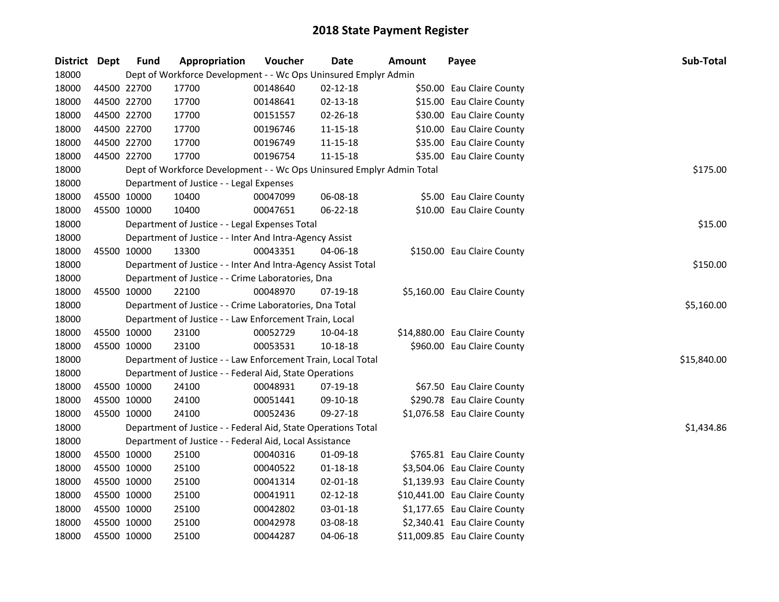| <b>District</b> | Dept        | <b>Fund</b> | Appropriation                                                         | Voucher  | <b>Date</b>    | <b>Amount</b> | Payee                         | Sub-Total   |
|-----------------|-------------|-------------|-----------------------------------------------------------------------|----------|----------------|---------------|-------------------------------|-------------|
| 18000           |             |             | Dept of Workforce Development - - Wc Ops Uninsured Emplyr Admin       |          |                |               |                               |             |
| 18000           |             | 44500 22700 | 17700                                                                 | 00148640 | $02 - 12 - 18$ |               | \$50.00 Eau Claire County     |             |
| 18000           | 44500 22700 |             | 17700                                                                 | 00148641 | 02-13-18       |               | \$15.00 Eau Claire County     |             |
| 18000           | 44500 22700 |             | 17700                                                                 | 00151557 | 02-26-18       |               | \$30.00 Eau Claire County     |             |
| 18000           | 44500 22700 |             | 17700                                                                 | 00196746 | 11-15-18       |               | \$10.00 Eau Claire County     |             |
| 18000           | 44500 22700 |             | 17700                                                                 | 00196749 | 11-15-18       |               | \$35.00 Eau Claire County     |             |
| 18000           | 44500 22700 |             | 17700                                                                 | 00196754 | 11-15-18       |               | \$35.00 Eau Claire County     |             |
| 18000           |             |             | Dept of Workforce Development - - Wc Ops Uninsured Emplyr Admin Total |          |                |               |                               | \$175.00    |
| 18000           |             |             | Department of Justice - - Legal Expenses                              |          |                |               |                               |             |
| 18000           | 45500 10000 |             | 10400                                                                 | 00047099 | 06-08-18       |               | \$5.00 Eau Claire County      |             |
| 18000           | 45500 10000 |             | 10400                                                                 | 00047651 | 06-22-18       |               | \$10.00 Eau Claire County     |             |
| 18000           |             |             | Department of Justice - - Legal Expenses Total                        |          |                |               |                               | \$15.00     |
| 18000           |             |             | Department of Justice - - Inter And Intra-Agency Assist               |          |                |               |                               |             |
| 18000           | 45500 10000 |             | 13300                                                                 | 00043351 | 04-06-18       |               | \$150.00 Eau Claire County    |             |
| 18000           |             |             | Department of Justice - - Inter And Intra-Agency Assist Total         |          |                |               |                               | \$150.00    |
| 18000           |             |             | Department of Justice - - Crime Laboratories, Dna                     |          |                |               |                               |             |
| 18000           |             | 45500 10000 | 22100                                                                 | 00048970 | 07-19-18       |               | \$5,160.00 Eau Claire County  |             |
| 18000           |             |             | Department of Justice - - Crime Laboratories, Dna Total               |          |                |               |                               | \$5,160.00  |
| 18000           |             |             | Department of Justice - - Law Enforcement Train, Local                |          |                |               |                               |             |
| 18000           | 45500 10000 |             | 23100                                                                 | 00052729 | 10-04-18       |               | \$14,880.00 Eau Claire County |             |
| 18000           |             | 45500 10000 | 23100                                                                 | 00053531 | $10 - 18 - 18$ |               | \$960.00 Eau Claire County    |             |
| 18000           |             |             | Department of Justice - - Law Enforcement Train, Local Total          |          |                |               |                               | \$15,840.00 |
| 18000           |             |             | Department of Justice - - Federal Aid, State Operations               |          |                |               |                               |             |
| 18000           | 45500 10000 |             | 24100                                                                 | 00048931 | 07-19-18       |               | \$67.50 Eau Claire County     |             |
| 18000           | 45500 10000 |             | 24100                                                                 | 00051441 | 09-10-18       |               | \$290.78 Eau Claire County    |             |
| 18000           | 45500 10000 |             | 24100                                                                 | 00052436 | 09-27-18       |               | \$1,076.58 Eau Claire County  |             |
| 18000           |             |             | Department of Justice - - Federal Aid, State Operations Total         |          |                |               |                               | \$1,434.86  |
| 18000           |             |             | Department of Justice - - Federal Aid, Local Assistance               |          |                |               |                               |             |
| 18000           | 45500 10000 |             | 25100                                                                 | 00040316 | 01-09-18       |               | \$765.81 Eau Claire County    |             |
| 18000           | 45500 10000 |             | 25100                                                                 | 00040522 | $01 - 18 - 18$ |               | \$3,504.06 Eau Claire County  |             |
| 18000           | 45500 10000 |             | 25100                                                                 | 00041314 | 02-01-18       |               | \$1,139.93 Eau Claire County  |             |
| 18000           | 45500 10000 |             | 25100                                                                 | 00041911 | $02 - 12 - 18$ |               | \$10,441.00 Eau Claire County |             |
| 18000           | 45500 10000 |             | 25100                                                                 | 00042802 | 03-01-18       |               | \$1,177.65 Eau Claire County  |             |
| 18000           | 45500 10000 |             | 25100                                                                 | 00042978 | 03-08-18       |               | \$2,340.41 Eau Claire County  |             |
| 18000           | 45500 10000 |             | 25100                                                                 | 00044287 | 04-06-18       |               | \$11,009.85 Eau Claire County |             |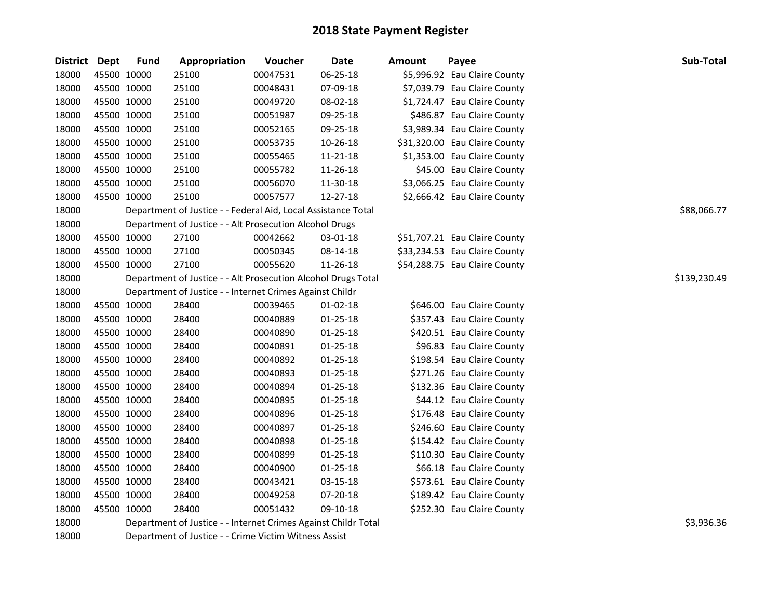| <b>District Dept</b> |             | <b>Fund</b> | Appropriation                                                  | Voucher  | <b>Date</b>    | <b>Amount</b> | Payee                         | Sub-Total   |  |  |  |  |
|----------------------|-------------|-------------|----------------------------------------------------------------|----------|----------------|---------------|-------------------------------|-------------|--|--|--|--|
| 18000                | 45500 10000 |             | 25100                                                          | 00047531 | 06-25-18       |               | \$5,996.92 Eau Claire County  |             |  |  |  |  |
| 18000                | 45500 10000 |             | 25100                                                          | 00048431 | 07-09-18       |               | \$7,039.79 Eau Claire County  |             |  |  |  |  |
| 18000                | 45500 10000 |             | 25100                                                          | 00049720 | 08-02-18       |               | \$1,724.47 Eau Claire County  |             |  |  |  |  |
| 18000                | 45500 10000 |             | 25100                                                          | 00051987 | 09-25-18       |               | \$486.87 Eau Claire County    |             |  |  |  |  |
| 18000                |             | 45500 10000 | 25100                                                          | 00052165 | 09-25-18       |               | \$3,989.34 Eau Claire County  |             |  |  |  |  |
| 18000                |             | 45500 10000 | 25100                                                          | 00053735 | 10-26-18       |               | \$31,320.00 Eau Claire County |             |  |  |  |  |
| 18000                | 45500 10000 |             | 25100                                                          | 00055465 | 11-21-18       |               | \$1,353.00 Eau Claire County  |             |  |  |  |  |
| 18000                | 45500 10000 |             | 25100                                                          | 00055782 | 11-26-18       |               | \$45.00 Eau Claire County     |             |  |  |  |  |
| 18000                | 45500 10000 |             | 25100                                                          | 00056070 | 11-30-18       |               | \$3,066.25 Eau Claire County  |             |  |  |  |  |
| 18000                | 45500 10000 |             | 25100                                                          | 00057577 | 12-27-18       |               | \$2,666.42 Eau Claire County  |             |  |  |  |  |
| 18000                |             |             | Department of Justice - - Federal Aid, Local Assistance Total  |          |                |               |                               | \$88,066.77 |  |  |  |  |
| 18000                |             |             | Department of Justice - - Alt Prosecution Alcohol Drugs        |          |                |               |                               |             |  |  |  |  |
| 18000                |             | 45500 10000 | 27100                                                          | 00042662 | 03-01-18       |               | \$51,707.21 Eau Claire County |             |  |  |  |  |
| 18000                |             | 45500 10000 | 27100                                                          | 00050345 | 08-14-18       |               | \$33,234.53 Eau Claire County |             |  |  |  |  |
| 18000                | 45500 10000 |             | 27100                                                          | 00055620 | 11-26-18       |               | \$54,288.75 Eau Claire County |             |  |  |  |  |
| 18000                |             |             | Department of Justice - - Alt Prosecution Alcohol Drugs Total  |          |                |               |                               |             |  |  |  |  |
| 18000                |             |             | Department of Justice - - Internet Crimes Against Childr       |          |                |               |                               |             |  |  |  |  |
| 18000                |             | 45500 10000 | 28400                                                          | 00039465 | $01 - 02 - 18$ |               | \$646.00 Eau Claire County    |             |  |  |  |  |
| 18000                | 45500 10000 |             | 28400                                                          | 00040889 | $01 - 25 - 18$ |               | \$357.43 Eau Claire County    |             |  |  |  |  |
| 18000                | 45500 10000 |             | 28400                                                          | 00040890 | $01 - 25 - 18$ |               | \$420.51 Eau Claire County    |             |  |  |  |  |
| 18000                | 45500 10000 |             | 28400                                                          | 00040891 | $01 - 25 - 18$ |               | \$96.83 Eau Claire County     |             |  |  |  |  |
| 18000                | 45500 10000 |             | 28400                                                          | 00040892 | $01 - 25 - 18$ |               | \$198.54 Eau Claire County    |             |  |  |  |  |
| 18000                | 45500 10000 |             | 28400                                                          | 00040893 | $01 - 25 - 18$ |               | \$271.26 Eau Claire County    |             |  |  |  |  |
| 18000                |             | 45500 10000 | 28400                                                          | 00040894 | $01 - 25 - 18$ |               | \$132.36 Eau Claire County    |             |  |  |  |  |
| 18000                | 45500 10000 |             | 28400                                                          | 00040895 | $01 - 25 - 18$ |               | \$44.12 Eau Claire County     |             |  |  |  |  |
| 18000                | 45500 10000 |             | 28400                                                          | 00040896 | $01 - 25 - 18$ |               | \$176.48 Eau Claire County    |             |  |  |  |  |
| 18000                |             | 45500 10000 | 28400                                                          | 00040897 | 01-25-18       |               | \$246.60 Eau Claire County    |             |  |  |  |  |
| 18000                |             | 45500 10000 | 28400                                                          | 00040898 | $01 - 25 - 18$ |               | \$154.42 Eau Claire County    |             |  |  |  |  |
| 18000                |             | 45500 10000 | 28400                                                          | 00040899 | $01 - 25 - 18$ |               | \$110.30 Eau Claire County    |             |  |  |  |  |
| 18000                |             | 45500 10000 | 28400                                                          | 00040900 | $01 - 25 - 18$ |               | \$66.18 Eau Claire County     |             |  |  |  |  |
| 18000                | 45500 10000 |             | 28400                                                          | 00043421 | 03-15-18       |               | \$573.61 Eau Claire County    |             |  |  |  |  |
| 18000                | 45500 10000 |             | 28400                                                          | 00049258 | 07-20-18       |               | \$189.42 Eau Claire County    |             |  |  |  |  |
| 18000                | 45500 10000 |             | 28400                                                          | 00051432 | 09-10-18       |               | \$252.30 Eau Claire County    |             |  |  |  |  |
| 18000                |             |             | Department of Justice - - Internet Crimes Against Childr Total |          |                |               |                               | \$3,936.36  |  |  |  |  |
| 18000                |             |             | Department of Justice - - Crime Victim Witness Assist          |          |                |               |                               |             |  |  |  |  |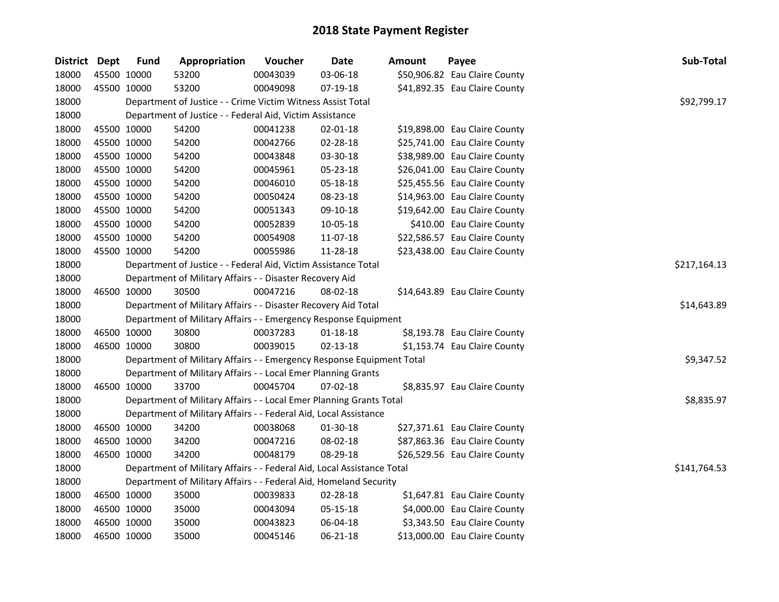| District Dept |             | <b>Fund</b> | Appropriation                                                          | Voucher  | Date           | Amount | Payee                         | Sub-Total    |
|---------------|-------------|-------------|------------------------------------------------------------------------|----------|----------------|--------|-------------------------------|--------------|
| 18000         | 45500 10000 |             | 53200                                                                  | 00043039 | 03-06-18       |        | \$50,906.82 Eau Claire County |              |
| 18000         | 45500 10000 |             | 53200                                                                  | 00049098 | 07-19-18       |        | \$41,892.35 Eau Claire County |              |
| 18000         |             |             | Department of Justice - - Crime Victim Witness Assist Total            |          |                |        |                               | \$92,799.17  |
| 18000         |             |             | Department of Justice - - Federal Aid, Victim Assistance               |          |                |        |                               |              |
| 18000         | 45500 10000 |             | 54200                                                                  | 00041238 | $02 - 01 - 18$ |        | \$19,898.00 Eau Claire County |              |
| 18000         | 45500 10000 |             | 54200                                                                  | 00042766 | 02-28-18       |        | \$25,741.00 Eau Claire County |              |
| 18000         | 45500 10000 |             | 54200                                                                  | 00043848 | 03-30-18       |        | \$38,989.00 Eau Claire County |              |
| 18000         | 45500 10000 |             | 54200                                                                  | 00045961 | 05-23-18       |        | \$26,041.00 Eau Claire County |              |
| 18000         | 45500 10000 |             | 54200                                                                  | 00046010 | 05-18-18       |        | \$25,455.56 Eau Claire County |              |
| 18000         | 45500 10000 |             | 54200                                                                  | 00050424 | 08-23-18       |        | \$14,963.00 Eau Claire County |              |
| 18000         | 45500 10000 |             | 54200                                                                  | 00051343 | 09-10-18       |        | \$19,642.00 Eau Claire County |              |
| 18000         | 45500 10000 |             | 54200                                                                  | 00052839 | 10-05-18       |        | \$410.00 Eau Claire County    |              |
| 18000         | 45500 10000 |             | 54200                                                                  | 00054908 | 11-07-18       |        | \$22,586.57 Eau Claire County |              |
| 18000         | 45500 10000 |             | 54200                                                                  | 00055986 | 11-28-18       |        | \$23,438.00 Eau Claire County |              |
| 18000         |             |             | Department of Justice - - Federal Aid, Victim Assistance Total         |          |                |        |                               | \$217,164.13 |
| 18000         |             |             | Department of Military Affairs - - Disaster Recovery Aid               |          |                |        |                               |              |
| 18000         | 46500 10000 |             | 30500                                                                  | 00047216 | 08-02-18       |        | \$14,643.89 Eau Claire County |              |
| 18000         |             |             | Department of Military Affairs - - Disaster Recovery Aid Total         |          |                |        |                               | \$14,643.89  |
| 18000         |             |             | Department of Military Affairs - - Emergency Response Equipment        |          |                |        |                               |              |
| 18000         | 46500 10000 |             | 30800                                                                  | 00037283 | $01 - 18 - 18$ |        | \$8,193.78 Eau Claire County  |              |
| 18000         | 46500 10000 |             | 30800                                                                  | 00039015 | $02 - 13 - 18$ |        | \$1,153.74 Eau Claire County  |              |
| 18000         |             |             | Department of Military Affairs - - Emergency Response Equipment Total  |          |                |        |                               | \$9,347.52   |
| 18000         |             |             | Department of Military Affairs - - Local Emer Planning Grants          |          |                |        |                               |              |
| 18000         | 46500 10000 |             | 33700                                                                  | 00045704 | 07-02-18       |        | \$8,835.97 Eau Claire County  |              |
| 18000         |             |             | Department of Military Affairs - - Local Emer Planning Grants Total    |          |                |        |                               | \$8,835.97   |
| 18000         |             |             | Department of Military Affairs - - Federal Aid, Local Assistance       |          |                |        |                               |              |
| 18000         | 46500 10000 |             | 34200                                                                  | 00038068 | 01-30-18       |        | \$27,371.61 Eau Claire County |              |
| 18000         | 46500 10000 |             | 34200                                                                  | 00047216 | 08-02-18       |        | \$87,863.36 Eau Claire County |              |
| 18000         | 46500 10000 |             | 34200                                                                  | 00048179 | 08-29-18       |        | \$26,529.56 Eau Claire County |              |
| 18000         |             |             | Department of Military Affairs - - Federal Aid, Local Assistance Total |          |                |        |                               | \$141,764.53 |
| 18000         |             |             | Department of Military Affairs - - Federal Aid, Homeland Security      |          |                |        |                               |              |
| 18000         | 46500 10000 |             | 35000                                                                  | 00039833 | 02-28-18       |        | \$1,647.81 Eau Claire County  |              |
| 18000         | 46500 10000 |             | 35000                                                                  | 00043094 | 05-15-18       |        | \$4,000.00 Eau Claire County  |              |
| 18000         | 46500 10000 |             | 35000                                                                  | 00043823 | 06-04-18       |        | \$3,343.50 Eau Claire County  |              |
| 18000         | 46500 10000 |             | 35000                                                                  | 00045146 | 06-21-18       |        | \$13,000.00 Eau Claire County |              |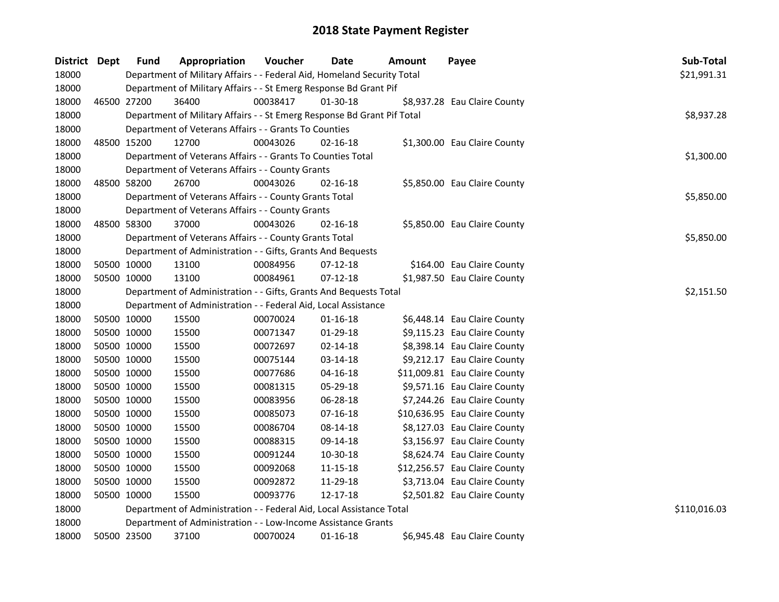| <b>District</b> | Dept        | <b>Fund</b> | Appropriation                                                           | Voucher    | Date           | Amount | Payee                         | Sub-Total    |
|-----------------|-------------|-------------|-------------------------------------------------------------------------|------------|----------------|--------|-------------------------------|--------------|
| 18000           |             |             | Department of Military Affairs - - Federal Aid, Homeland Security Total |            |                |        |                               | \$21,991.31  |
| 18000           |             |             | Department of Military Affairs - - St Emerg Response Bd Grant Pif       |            |                |        |                               |              |
| 18000           | 46500 27200 |             | 36400                                                                   | 00038417   | 01-30-18       |        | \$8,937.28 Eau Claire County  |              |
| 18000           |             |             | Department of Military Affairs - - St Emerg Response Bd Grant Pif Total |            |                |        |                               | \$8,937.28   |
| 18000           |             |             | Department of Veterans Affairs - - Grants To Counties                   |            |                |        |                               |              |
| 18000           | 48500 15200 |             | 12700                                                                   | 00043026   | $02 - 16 - 18$ |        | \$1,300.00 Eau Claire County  |              |
| 18000           |             |             | Department of Veterans Affairs - - Grants To Counties Total             |            |                |        |                               | \$1,300.00   |
| 18000           |             |             | Department of Veterans Affairs - - County Grants                        |            |                |        |                               |              |
| 18000           | 48500 58200 |             | 26700                                                                   | 00043026   | $02 - 16 - 18$ |        | \$5,850.00 Eau Claire County  |              |
| 18000           |             |             | Department of Veterans Affairs - - County Grants Total                  |            |                |        |                               | \$5,850.00   |
| 18000           |             |             | Department of Veterans Affairs - - County Grants                        |            |                |        |                               |              |
| 18000           | 48500 58300 |             | 37000                                                                   | 00043026   | $02 - 16 - 18$ |        | \$5,850.00 Eau Claire County  |              |
| 18000           |             |             | Department of Veterans Affairs - - County Grants Total                  |            |                |        |                               | \$5,850.00   |
| 18000           |             |             | Department of Administration - - Gifts, Grants And Bequests             |            |                |        |                               |              |
| 18000           | 50500 10000 |             | 13100                                                                   | 00084956   | 07-12-18       |        | \$164.00 Eau Claire County    |              |
| 18000           | 50500 10000 |             | 13100                                                                   | 00084961   | $07 - 12 - 18$ |        | \$1,987.50 Eau Claire County  |              |
| 18000           |             |             | Department of Administration - - Gifts, Grants And Bequests Total       | \$2,151.50 |                |        |                               |              |
| 18000           |             |             | Department of Administration - - Federal Aid, Local Assistance          |            |                |        |                               |              |
| 18000           | 50500 10000 |             | 15500                                                                   | 00070024   | $01 - 16 - 18$ |        | \$6,448.14 Eau Claire County  |              |
| 18000           | 50500 10000 |             | 15500                                                                   | 00071347   | 01-29-18       |        | \$9,115.23 Eau Claire County  |              |
| 18000           | 50500 10000 |             | 15500                                                                   | 00072697   | $02 - 14 - 18$ |        | \$8,398.14 Eau Claire County  |              |
| 18000           | 50500 10000 |             | 15500                                                                   | 00075144   | 03-14-18       |        | \$9,212.17 Eau Claire County  |              |
| 18000           | 50500 10000 |             | 15500                                                                   | 00077686   | 04-16-18       |        | \$11,009.81 Eau Claire County |              |
| 18000           | 50500 10000 |             | 15500                                                                   | 00081315   | 05-29-18       |        | \$9,571.16 Eau Claire County  |              |
| 18000           | 50500 10000 |             | 15500                                                                   | 00083956   | 06-28-18       |        | \$7,244.26 Eau Claire County  |              |
| 18000           | 50500 10000 |             | 15500                                                                   | 00085073   | 07-16-18       |        | \$10,636.95 Eau Claire County |              |
| 18000           | 50500 10000 |             | 15500                                                                   | 00086704   | 08-14-18       |        | \$8,127.03 Eau Claire County  |              |
| 18000           | 50500 10000 |             | 15500                                                                   | 00088315   | 09-14-18       |        | \$3,156.97 Eau Claire County  |              |
| 18000           | 50500 10000 |             | 15500                                                                   | 00091244   | 10-30-18       |        | \$8,624.74 Eau Claire County  |              |
| 18000           | 50500 10000 |             | 15500                                                                   | 00092068   | 11-15-18       |        | \$12,256.57 Eau Claire County |              |
| 18000           | 50500 10000 |             | 15500                                                                   | 00092872   | 11-29-18       |        | \$3,713.04 Eau Claire County  |              |
| 18000           | 50500 10000 |             | 15500                                                                   | 00093776   | 12-17-18       |        | \$2,501.82 Eau Claire County  |              |
| 18000           |             |             | Department of Administration - - Federal Aid, Local Assistance Total    |            |                |        |                               | \$110,016.03 |
| 18000           |             |             | Department of Administration - - Low-Income Assistance Grants           |            |                |        |                               |              |
| 18000           | 50500 23500 |             | 37100                                                                   | 00070024   | $01 - 16 - 18$ |        | \$6,945.48 Eau Claire County  |              |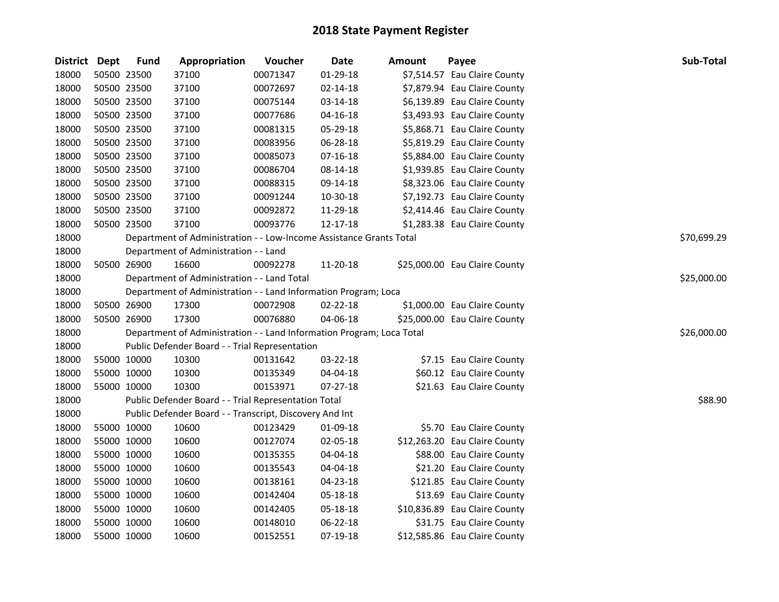| <b>District</b> | Dept        | <b>Fund</b> | Appropriation                                                         | Voucher  | <b>Date</b>    | Amount | Payee                         | <b>Sub-Total</b> |
|-----------------|-------------|-------------|-----------------------------------------------------------------------|----------|----------------|--------|-------------------------------|------------------|
| 18000           | 50500 23500 |             | 37100                                                                 | 00071347 | 01-29-18       |        | \$7,514.57 Eau Claire County  |                  |
| 18000           | 50500 23500 |             | 37100                                                                 | 00072697 | 02-14-18       |        | \$7,879.94 Eau Claire County  |                  |
| 18000           | 50500 23500 |             | 37100                                                                 | 00075144 | 03-14-18       |        | \$6,139.89 Eau Claire County  |                  |
| 18000           | 50500 23500 |             | 37100                                                                 | 00077686 | 04-16-18       |        | \$3,493.93 Eau Claire County  |                  |
| 18000           | 50500 23500 |             | 37100                                                                 | 00081315 | 05-29-18       |        | \$5,868.71 Eau Claire County  |                  |
| 18000           | 50500 23500 |             | 37100                                                                 | 00083956 | 06-28-18       |        | \$5,819.29 Eau Claire County  |                  |
| 18000           | 50500 23500 |             | 37100                                                                 | 00085073 | $07 - 16 - 18$ |        | \$5,884.00 Eau Claire County  |                  |
| 18000           | 50500 23500 |             | 37100                                                                 | 00086704 | 08-14-18       |        | \$1,939.85 Eau Claire County  |                  |
| 18000           | 50500 23500 |             | 37100                                                                 | 00088315 | 09-14-18       |        | \$8,323.06 Eau Claire County  |                  |
| 18000           | 50500 23500 |             | 37100                                                                 | 00091244 | 10-30-18       |        | \$7,192.73 Eau Claire County  |                  |
| 18000           | 50500 23500 |             | 37100                                                                 | 00092872 | 11-29-18       |        | \$2,414.46 Eau Claire County  |                  |
| 18000           | 50500 23500 |             | 37100                                                                 | 00093776 | 12-17-18       |        | \$1,283.38 Eau Claire County  |                  |
| 18000           |             |             | Department of Administration - - Low-Income Assistance Grants Total   |          |                |        |                               | \$70,699.29      |
| 18000           |             |             | Department of Administration - - Land                                 |          |                |        |                               |                  |
| 18000           | 50500 26900 |             | 16600                                                                 | 00092278 | 11-20-18       |        | \$25,000.00 Eau Claire County |                  |
| 18000           |             |             | Department of Administration - - Land Total                           |          |                |        |                               | \$25,000.00      |
| 18000           |             |             | Department of Administration - - Land Information Program; Loca       |          |                |        |                               |                  |
| 18000           | 50500 26900 |             | 17300                                                                 | 00072908 | 02-22-18       |        | \$1,000.00 Eau Claire County  |                  |
| 18000           | 50500 26900 |             | 17300                                                                 | 00076880 | 04-06-18       |        | \$25,000.00 Eau Claire County |                  |
| 18000           |             |             | Department of Administration - - Land Information Program; Loca Total |          |                |        |                               | \$26,000.00      |
| 18000           |             |             | Public Defender Board - - Trial Representation                        |          |                |        |                               |                  |
| 18000           | 55000 10000 |             | 10300                                                                 | 00131642 | 03-22-18       |        | \$7.15 Eau Claire County      |                  |
| 18000           | 55000 10000 |             | 10300                                                                 | 00135349 | 04-04-18       |        | \$60.12 Eau Claire County     |                  |
| 18000           | 55000 10000 |             | 10300                                                                 | 00153971 | $07 - 27 - 18$ |        | \$21.63 Eau Claire County     |                  |
| 18000           |             |             | Public Defender Board - - Trial Representation Total                  |          |                |        |                               | \$88.90          |
| 18000           |             |             | Public Defender Board - - Transcript, Discovery And Int               |          |                |        |                               |                  |
| 18000           | 55000 10000 |             | 10600                                                                 | 00123429 | 01-09-18       |        | \$5.70 Eau Claire County      |                  |
| 18000           | 55000 10000 |             | 10600                                                                 | 00127074 | 02-05-18       |        | \$12,263.20 Eau Claire County |                  |
| 18000           | 55000 10000 |             | 10600                                                                 | 00135355 | 04-04-18       |        | \$88.00 Eau Claire County     |                  |
| 18000           | 55000 10000 |             | 10600                                                                 | 00135543 | 04-04-18       |        | \$21.20 Eau Claire County     |                  |
| 18000           | 55000 10000 |             | 10600                                                                 | 00138161 | 04-23-18       |        | \$121.85 Eau Claire County    |                  |
| 18000           | 55000 10000 |             | 10600                                                                 | 00142404 | 05-18-18       |        | \$13.69 Eau Claire County     |                  |
| 18000           | 55000 10000 |             | 10600                                                                 | 00142405 | 05-18-18       |        | \$10,836.89 Eau Claire County |                  |
| 18000           | 55000 10000 |             | 10600                                                                 | 00148010 | 06-22-18       |        | \$31.75 Eau Claire County     |                  |
| 18000           | 55000 10000 |             | 10600                                                                 | 00152551 | 07-19-18       |        | \$12,585.86 Eau Claire County |                  |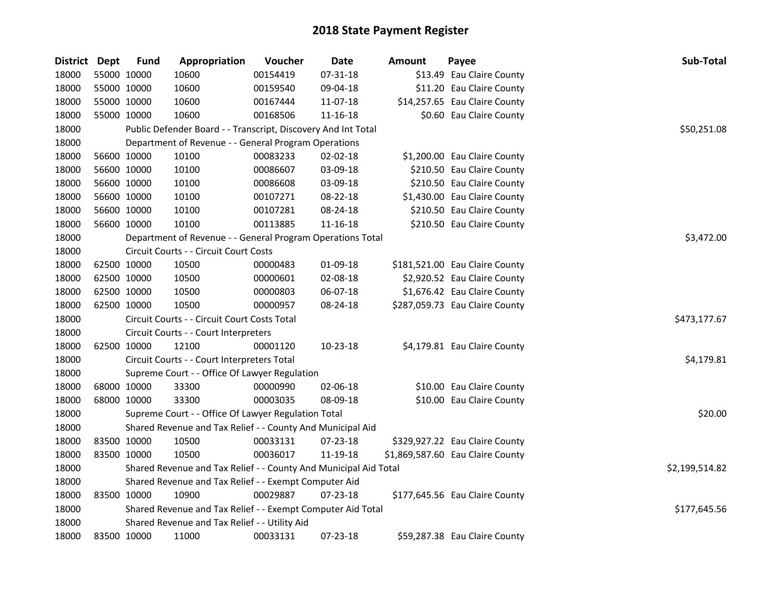| District Dept | <b>Fund</b> | Appropriation                                                    | Voucher  | <b>Date</b>    | <b>Amount</b> | Payee                            | Sub-Total      |  |  |  |
|---------------|-------------|------------------------------------------------------------------|----------|----------------|---------------|----------------------------------|----------------|--|--|--|
| 18000         | 55000 10000 | 10600                                                            | 00154419 | 07-31-18       |               | \$13.49 Eau Claire County        |                |  |  |  |
| 18000         | 55000 10000 | 10600                                                            | 00159540 | 09-04-18       |               | \$11.20 Eau Claire County        |                |  |  |  |
| 18000         | 55000 10000 | 10600                                                            | 00167444 | 11-07-18       |               | \$14,257.65 Eau Claire County    |                |  |  |  |
| 18000         | 55000 10000 | 10600                                                            | 00168506 | 11-16-18       |               | \$0.60 Eau Claire County         |                |  |  |  |
| 18000         |             | Public Defender Board - - Transcript, Discovery And Int Total    |          |                |               |                                  | \$50,251.08    |  |  |  |
| 18000         |             | Department of Revenue - - General Program Operations             |          |                |               |                                  |                |  |  |  |
| 18000         | 56600 10000 | 10100                                                            | 00083233 | $02 - 02 - 18$ |               | \$1,200.00 Eau Claire County     |                |  |  |  |
| 18000         | 56600 10000 | 10100                                                            | 00086607 | 03-09-18       |               | \$210.50 Eau Claire County       |                |  |  |  |
| 18000         | 56600 10000 | 10100                                                            | 00086608 | 03-09-18       |               | \$210.50 Eau Claire County       |                |  |  |  |
| 18000         | 56600 10000 | 10100                                                            | 00107271 | 08-22-18       |               | \$1,430.00 Eau Claire County     |                |  |  |  |
| 18000         | 56600 10000 | 10100                                                            | 00107281 | 08-24-18       |               | \$210.50 Eau Claire County       |                |  |  |  |
| 18000         | 56600 10000 | 10100                                                            | 00113885 | 11-16-18       |               | \$210.50 Eau Claire County       |                |  |  |  |
| 18000         |             | Department of Revenue - - General Program Operations Total       |          |                |               |                                  | \$3,472.00     |  |  |  |
| 18000         |             | Circuit Courts - - Circuit Court Costs                           |          |                |               |                                  |                |  |  |  |
| 18000         | 62500 10000 | 10500                                                            | 00000483 | 01-09-18       |               | \$181,521.00 Eau Claire County   |                |  |  |  |
| 18000         | 62500 10000 | 10500                                                            | 00000601 | 02-08-18       |               | \$2,920.52 Eau Claire County     |                |  |  |  |
| 18000         | 62500 10000 | 10500                                                            | 00000803 | 06-07-18       |               | \$1,676.42 Eau Claire County     |                |  |  |  |
| 18000         | 62500 10000 | 10500                                                            | 00000957 | 08-24-18       |               | \$287,059.73 Eau Claire County   |                |  |  |  |
| 18000         |             | Circuit Courts - - Circuit Court Costs Total                     |          |                |               |                                  | \$473,177.67   |  |  |  |
| 18000         |             | Circuit Courts - - Court Interpreters                            |          |                |               |                                  |                |  |  |  |
| 18000         | 62500 10000 | 12100                                                            | 00001120 | 10-23-18       |               | \$4,179.81 Eau Claire County     |                |  |  |  |
| 18000         |             | Circuit Courts - - Court Interpreters Total                      |          |                |               |                                  | \$4,179.81     |  |  |  |
| 18000         |             | Supreme Court - - Office Of Lawyer Regulation                    |          |                |               |                                  |                |  |  |  |
| 18000         | 68000 10000 | 33300                                                            | 00000990 | 02-06-18       |               | \$10.00 Eau Claire County        |                |  |  |  |
| 18000         | 68000 10000 | 33300                                                            | 00003035 | 08-09-18       |               | \$10.00 Eau Claire County        |                |  |  |  |
| 18000         |             | Supreme Court - - Office Of Lawyer Regulation Total              |          |                |               |                                  | \$20.00        |  |  |  |
| 18000         |             | Shared Revenue and Tax Relief - - County And Municipal Aid       |          |                |               |                                  |                |  |  |  |
| 18000         | 83500 10000 | 10500                                                            | 00033131 | 07-23-18       |               | \$329,927.22 Eau Claire County   |                |  |  |  |
| 18000         | 83500 10000 | 10500                                                            | 00036017 | 11-19-18       |               | \$1,869,587.60 Eau Claire County |                |  |  |  |
| 18000         |             | Shared Revenue and Tax Relief - - County And Municipal Aid Total |          |                |               |                                  | \$2,199,514.82 |  |  |  |
| 18000         |             | Shared Revenue and Tax Relief - - Exempt Computer Aid            |          |                |               |                                  |                |  |  |  |
| 18000         | 83500 10000 | 10900                                                            | 00029887 | 07-23-18       |               | \$177,645.56 Eau Claire County   |                |  |  |  |
| 18000         |             | Shared Revenue and Tax Relief - - Exempt Computer Aid Total      |          |                |               |                                  | \$177,645.56   |  |  |  |
| 18000         |             | Shared Revenue and Tax Relief - - Utility Aid                    |          |                |               |                                  |                |  |  |  |
| 18000         | 83500 10000 | 11000                                                            | 00033131 | 07-23-18       |               | \$59,287.38 Eau Claire County    |                |  |  |  |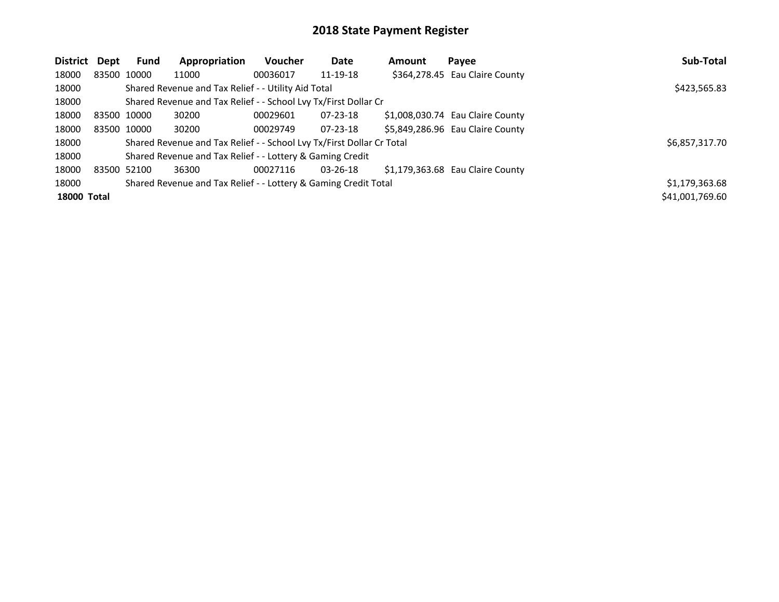| <b>District</b>    | Dept | <b>Fund</b> | Appropriation                                                         | Voucher  | Date           | <b>Amount</b> | Payee                            | Sub-Total       |
|--------------------|------|-------------|-----------------------------------------------------------------------|----------|----------------|---------------|----------------------------------|-----------------|
| 18000              |      | 83500 10000 | 11000                                                                 | 00036017 | 11-19-18       |               | \$364,278.45 Eau Claire County   |                 |
| 18000              |      |             | Shared Revenue and Tax Relief - - Utility Aid Total                   |          |                |               |                                  | \$423,565.83    |
| 18000              |      |             | Shared Revenue and Tax Relief - - School Lvy Tx/First Dollar Cr       |          |                |               |                                  |                 |
| 18000              |      | 83500 10000 | 30200                                                                 | 00029601 | $07 - 23 - 18$ |               | \$1,008,030.74 Eau Claire County |                 |
| 18000              |      | 83500 10000 | 30200                                                                 | 00029749 | $07 - 23 - 18$ |               | \$5,849,286.96 Eau Claire County |                 |
| 18000              |      |             | Shared Revenue and Tax Relief - - School Lvy Tx/First Dollar Cr Total |          |                |               |                                  | \$6,857,317.70  |
| 18000              |      |             | Shared Revenue and Tax Relief - - Lottery & Gaming Credit             |          |                |               |                                  |                 |
| 18000              |      | 83500 52100 | 36300                                                                 | 00027116 | 03-26-18       |               | \$1,179,363.68 Eau Claire County |                 |
| 18000              |      |             | Shared Revenue and Tax Relief - - Lottery & Gaming Credit Total       |          |                |               |                                  | \$1,179,363.68  |
| <b>18000 Total</b> |      |             |                                                                       |          |                |               |                                  | \$41,001,769.60 |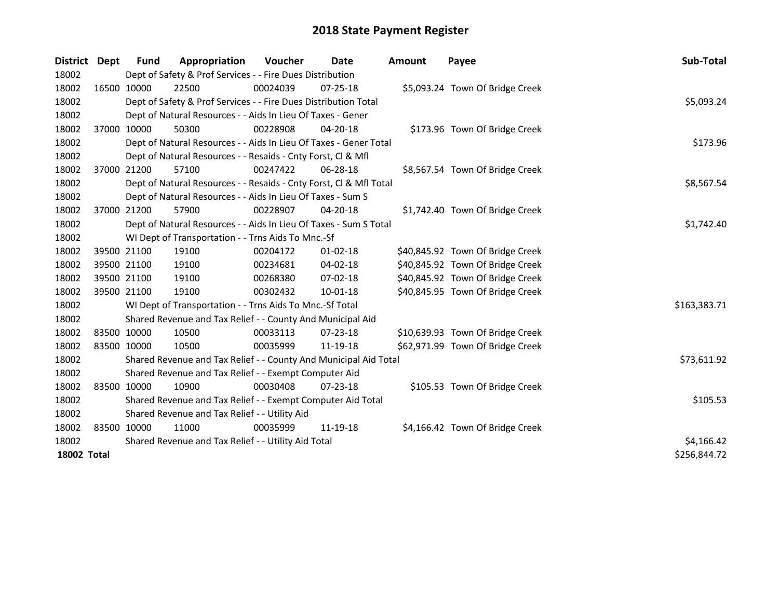| <b>District</b>    | Dept | <b>Fund</b>                                   | Appropriation                                                      | Voucher    | <b>Date</b>    | <b>Amount</b> | Payee                            | Sub-Total    |
|--------------------|------|-----------------------------------------------|--------------------------------------------------------------------|------------|----------------|---------------|----------------------------------|--------------|
| 18002              |      |                                               | Dept of Safety & Prof Services - - Fire Dues Distribution          |            |                |               |                                  |              |
| 18002              |      | 16500 10000                                   | 22500                                                              | 00024039   | 07-25-18       |               | \$5,093.24 Town Of Bridge Creek  |              |
| 18002              |      |                                               | Dept of Safety & Prof Services - - Fire Dues Distribution Total    |            |                |               |                                  | \$5,093.24   |
| 18002              |      |                                               | Dept of Natural Resources - - Aids In Lieu Of Taxes - Gener        |            |                |               |                                  |              |
| 18002              |      | 37000 10000                                   | 50300                                                              | 00228908   | $04 - 20 - 18$ |               | \$173.96 Town Of Bridge Creek    |              |
| 18002              |      |                                               | Dept of Natural Resources - - Aids In Lieu Of Taxes - Gener Total  | \$173.96   |                |               |                                  |              |
| 18002              |      |                                               | Dept of Natural Resources - - Resaids - Cnty Forst, CI & Mfl       |            |                |               |                                  |              |
| 18002              |      | 37000 21200                                   | 57100                                                              | 00247422   | $06 - 28 - 18$ |               | \$8,567.54 Town Of Bridge Creek  |              |
| 18002              |      |                                               | Dept of Natural Resources - - Resaids - Cnty Forst, Cl & Mfl Total |            |                |               |                                  | \$8,567.54   |
| 18002              |      |                                               | Dept of Natural Resources - - Aids In Lieu Of Taxes - Sum S        |            |                |               |                                  |              |
| 18002              |      | 37000 21200                                   | 57900                                                              | 00228907   | 04-20-18       |               | \$1,742.40 Town Of Bridge Creek  |              |
| 18002              |      |                                               | Dept of Natural Resources - - Aids In Lieu Of Taxes - Sum S Total  |            |                |               |                                  | \$1,742.40   |
| 18002              |      |                                               | WI Dept of Transportation - - Trns Aids To Mnc.-Sf                 |            |                |               |                                  |              |
| 18002              |      | 39500 21100                                   | 19100                                                              | 00204172   | $01 - 02 - 18$ |               | \$40,845.92 Town Of Bridge Creek |              |
| 18002              |      | 39500 21100                                   | 19100                                                              | 00234681   | 04-02-18       |               | \$40,845.92 Town Of Bridge Creek |              |
| 18002              |      | 39500 21100                                   | 19100                                                              | 00268380   | 07-02-18       |               | \$40,845.92 Town Of Bridge Creek |              |
| 18002              |      | 39500 21100                                   | 19100                                                              | 00302432   | $10 - 01 - 18$ |               | \$40,845.95 Town Of Bridge Creek |              |
| 18002              |      |                                               | WI Dept of Transportation - - Trns Aids To Mnc.-Sf Total           |            |                |               |                                  | \$163,383.71 |
| 18002              |      |                                               | Shared Revenue and Tax Relief - - County And Municipal Aid         |            |                |               |                                  |              |
| 18002              |      | 83500 10000                                   | 10500                                                              | 00033113   | $07 - 23 - 18$ |               | \$10,639.93 Town Of Bridge Creek |              |
| 18002              |      | 83500 10000                                   | 10500                                                              | 00035999   | 11-19-18       |               | \$62,971.99 Town Of Bridge Creek |              |
| 18002              |      |                                               | Shared Revenue and Tax Relief - - County And Municipal Aid Total   |            |                |               |                                  | \$73,611.92  |
| 18002              |      |                                               | Shared Revenue and Tax Relief - - Exempt Computer Aid              |            |                |               |                                  |              |
| 18002              |      | 83500 10000                                   | 10900                                                              | 00030408   | $07 - 23 - 18$ |               | \$105.53 Town Of Bridge Creek    |              |
| 18002              |      |                                               | Shared Revenue and Tax Relief - - Exempt Computer Aid Total        |            |                |               |                                  | \$105.53     |
| 18002              |      | Shared Revenue and Tax Relief - - Utility Aid |                                                                    |            |                |               |                                  |              |
| 18002              |      | 83500 10000                                   | 11000                                                              | 00035999   | 11-19-18       |               | \$4,166.42 Town Of Bridge Creek  |              |
| 18002              |      |                                               | Shared Revenue and Tax Relief - - Utility Aid Total                | \$4,166.42 |                |               |                                  |              |
| <b>18002 Total</b> |      |                                               |                                                                    |            |                |               |                                  | \$256,844.72 |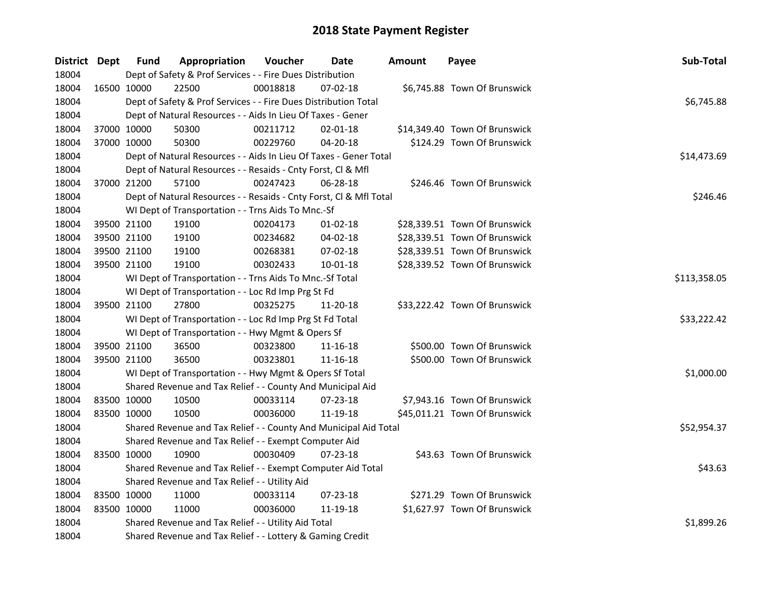| <b>District Dept</b> | <b>Fund</b> | Appropriation                                                      | Voucher      | Date           | Amount | Payee                         | Sub-Total   |
|----------------------|-------------|--------------------------------------------------------------------|--------------|----------------|--------|-------------------------------|-------------|
| 18004                |             | Dept of Safety & Prof Services - - Fire Dues Distribution          |              |                |        |                               |             |
| 18004                | 16500 10000 | 22500                                                              | 00018818     | $07 - 02 - 18$ |        | \$6,745.88 Town Of Brunswick  |             |
| 18004                |             | Dept of Safety & Prof Services - - Fire Dues Distribution Total    |              |                |        |                               | \$6,745.88  |
| 18004                |             | Dept of Natural Resources - - Aids In Lieu Of Taxes - Gener        |              |                |        |                               |             |
| 18004                | 37000 10000 | 50300                                                              | 00211712     | $02 - 01 - 18$ |        | \$14,349.40 Town Of Brunswick |             |
| 18004                | 37000 10000 | 50300                                                              | 00229760     | 04-20-18       |        | \$124.29 Town Of Brunswick    |             |
| 18004                |             | Dept of Natural Resources - - Aids In Lieu Of Taxes - Gener Total  | \$14,473.69  |                |        |                               |             |
| 18004                |             | Dept of Natural Resources - - Resaids - Cnty Forst, Cl & Mfl       |              |                |        |                               |             |
| 18004                | 37000 21200 | 57100                                                              | 00247423     | $06 - 28 - 18$ |        | \$246.46 Town Of Brunswick    |             |
| 18004                |             | Dept of Natural Resources - - Resaids - Cnty Forst, Cl & Mfl Total |              |                |        |                               | \$246.46    |
| 18004                |             | WI Dept of Transportation - - Trns Aids To Mnc.-Sf                 |              |                |        |                               |             |
| 18004                | 39500 21100 | 19100                                                              | 00204173     | $01 - 02 - 18$ |        | \$28,339.51 Town Of Brunswick |             |
| 18004                | 39500 21100 | 19100                                                              | 00234682     | 04-02-18       |        | \$28,339.51 Town Of Brunswick |             |
| 18004                | 39500 21100 | 19100                                                              | 00268381     | 07-02-18       |        | \$28,339.51 Town Of Brunswick |             |
| 18004                | 39500 21100 | 19100                                                              | 00302433     | 10-01-18       |        | \$28,339.52 Town Of Brunswick |             |
| 18004                |             | WI Dept of Transportation - - Trns Aids To Mnc.-Sf Total           | \$113,358.05 |                |        |                               |             |
| 18004                |             | WI Dept of Transportation - - Loc Rd Imp Prg St Fd                 |              |                |        |                               |             |
| 18004                | 39500 21100 | 27800                                                              | 00325275     | 11-20-18       |        | \$33,222.42 Town Of Brunswick |             |
| 18004                |             | WI Dept of Transportation - - Loc Rd Imp Prg St Fd Total           |              |                |        |                               | \$33,222.42 |
| 18004                |             | WI Dept of Transportation - - Hwy Mgmt & Opers Sf                  |              |                |        |                               |             |
| 18004                | 39500 21100 | 36500                                                              | 00323800     | 11-16-18       |        | \$500.00 Town Of Brunswick    |             |
| 18004                | 39500 21100 | 36500                                                              | 00323801     | 11-16-18       |        | \$500.00 Town Of Brunswick    |             |
| 18004                |             | WI Dept of Transportation - - Hwy Mgmt & Opers Sf Total            |              |                |        |                               | \$1,000.00  |
| 18004                |             | Shared Revenue and Tax Relief - - County And Municipal Aid         |              |                |        |                               |             |
| 18004                | 83500 10000 | 10500                                                              | 00033114     | 07-23-18       |        | \$7,943.16 Town Of Brunswick  |             |
| 18004                | 83500 10000 | 10500                                                              | 00036000     | 11-19-18       |        | \$45,011.21 Town Of Brunswick |             |
| 18004                |             | Shared Revenue and Tax Relief - - County And Municipal Aid Total   |              |                |        |                               | \$52,954.37 |
| 18004                |             | Shared Revenue and Tax Relief - - Exempt Computer Aid              |              |                |        |                               |             |
| 18004                | 83500 10000 | 10900                                                              | 00030409     | $07 - 23 - 18$ |        | \$43.63 Town Of Brunswick     |             |
| 18004                |             | Shared Revenue and Tax Relief - - Exempt Computer Aid Total        | \$43.63      |                |        |                               |             |
| 18004                |             | Shared Revenue and Tax Relief - - Utility Aid                      |              |                |        |                               |             |
| 18004                | 83500 10000 | 11000                                                              | 00033114     | $07 - 23 - 18$ |        | \$271.29 Town Of Brunswick    |             |
| 18004                | 83500 10000 | 11000                                                              | 00036000     | 11-19-18       |        | \$1,627.97 Town Of Brunswick  |             |
| 18004                |             | Shared Revenue and Tax Relief - - Utility Aid Total                |              |                |        |                               | \$1,899.26  |
| 18004                |             | Shared Revenue and Tax Relief - - Lottery & Gaming Credit          |              |                |        |                               |             |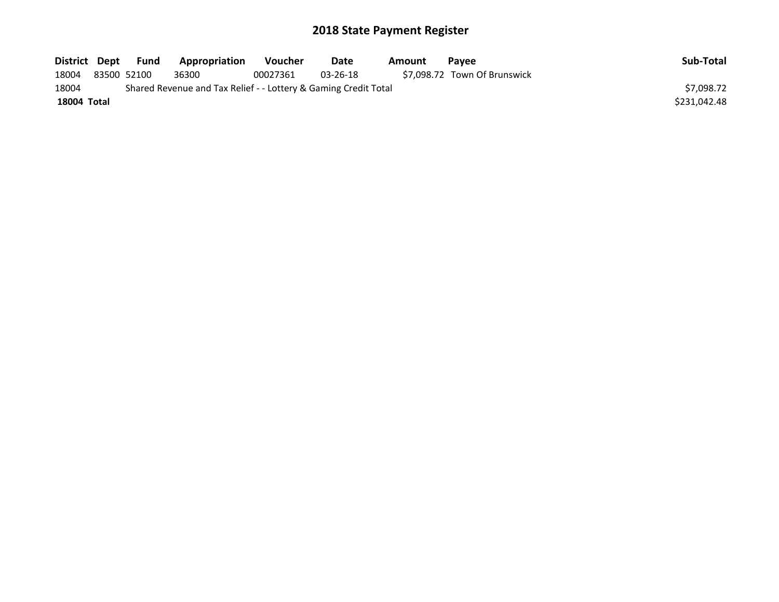| District Dept      |             | Fund | Appropriation                                                   | <b>Voucher</b> | Date           | Amount | <b>Pavee</b>                 | Sub-Total    |
|--------------------|-------------|------|-----------------------------------------------------------------|----------------|----------------|--------|------------------------------|--------------|
| 18004              | 83500 52100 |      | 36300                                                           | 00027361       | $03 - 26 - 18$ |        | \$7.098.72 Town Of Brunswick |              |
| 18004              |             |      | Shared Revenue and Tax Relief - - Lottery & Gaming Credit Total |                |                |        |                              | \$7.098.72   |
| <b>18004 Total</b> |             |      |                                                                 |                |                |        |                              | \$231,042.48 |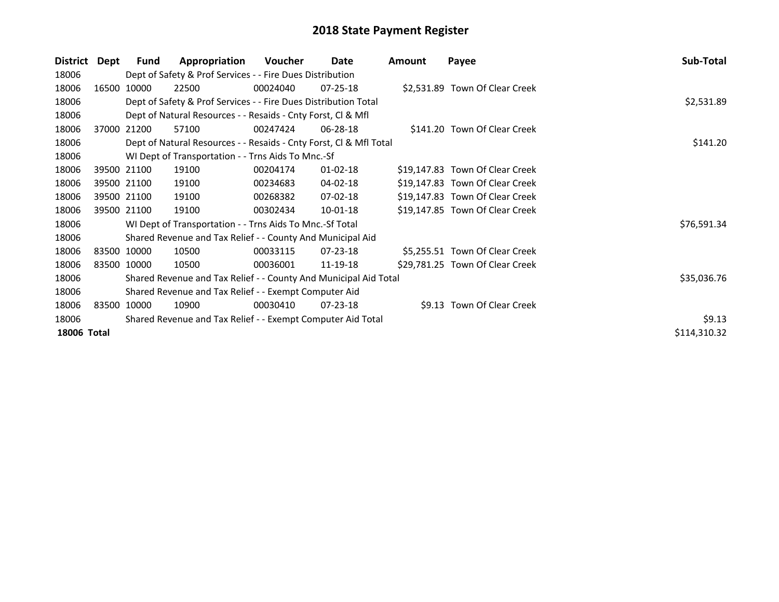| <b>District</b>    | Dept        | Fund        | Appropriation                                                      | Voucher  | Date           | Amount | Payee                           | Sub-Total    |
|--------------------|-------------|-------------|--------------------------------------------------------------------|----------|----------------|--------|---------------------------------|--------------|
| 18006              |             |             | Dept of Safety & Prof Services - - Fire Dues Distribution          |          |                |        |                                 |              |
| 18006              | 16500 10000 |             | 22500                                                              | 00024040 | $07 - 25 - 18$ |        | \$2,531.89 Town Of Clear Creek  |              |
| 18006              |             |             | Dept of Safety & Prof Services - - Fire Dues Distribution Total    |          |                |        |                                 | \$2,531.89   |
| 18006              |             |             | Dept of Natural Resources - - Resaids - Cnty Forst, CI & Mfl       |          |                |        |                                 |              |
| 18006              |             | 37000 21200 | 57100                                                              | 00247424 | 06-28-18       |        | \$141.20 Town Of Clear Creek    |              |
| 18006              |             |             | Dept of Natural Resources - - Resaids - Cnty Forst, Cl & Mfl Total |          |                |        |                                 | \$141.20     |
| 18006              |             |             | WI Dept of Transportation - - Trns Aids To Mnc.-Sf                 |          |                |        |                                 |              |
| 18006              |             | 39500 21100 | 19100                                                              | 00204174 | $01 - 02 - 18$ |        | \$19,147.83 Town Of Clear Creek |              |
| 18006              |             | 39500 21100 | 19100                                                              | 00234683 | 04-02-18       |        | \$19,147.83 Town Of Clear Creek |              |
| 18006              |             | 39500 21100 | 19100                                                              | 00268382 | 07-02-18       |        | \$19,147.83 Town Of Clear Creek |              |
| 18006              | 39500 21100 |             | 19100                                                              | 00302434 | $10 - 01 - 18$ |        | \$19,147.85 Town Of Clear Creek |              |
| 18006              |             |             | WI Dept of Transportation - - Trns Aids To Mnc.-Sf Total           |          |                |        |                                 | \$76,591.34  |
| 18006              |             |             | Shared Revenue and Tax Relief - - County And Municipal Aid         |          |                |        |                                 |              |
| 18006              | 83500 10000 |             | 10500                                                              | 00033115 | $07 - 23 - 18$ |        | \$5,255.51 Town Of Clear Creek  |              |
| 18006              | 83500 10000 |             | 10500                                                              | 00036001 | 11-19-18       |        | \$29,781.25 Town Of Clear Creek |              |
| 18006              |             |             | Shared Revenue and Tax Relief - - County And Municipal Aid Total   |          |                |        |                                 | \$35,036.76  |
| 18006              |             |             | Shared Revenue and Tax Relief - - Exempt Computer Aid              |          |                |        |                                 |              |
| 18006              |             | 83500 10000 | 10900                                                              | 00030410 | 07-23-18       |        | \$9.13 Town Of Clear Creek      |              |
| 18006              |             |             | Shared Revenue and Tax Relief - - Exempt Computer Aid Total        | \$9.13   |                |        |                                 |              |
| <b>18006 Total</b> |             |             |                                                                    |          |                |        |                                 | \$114,310.32 |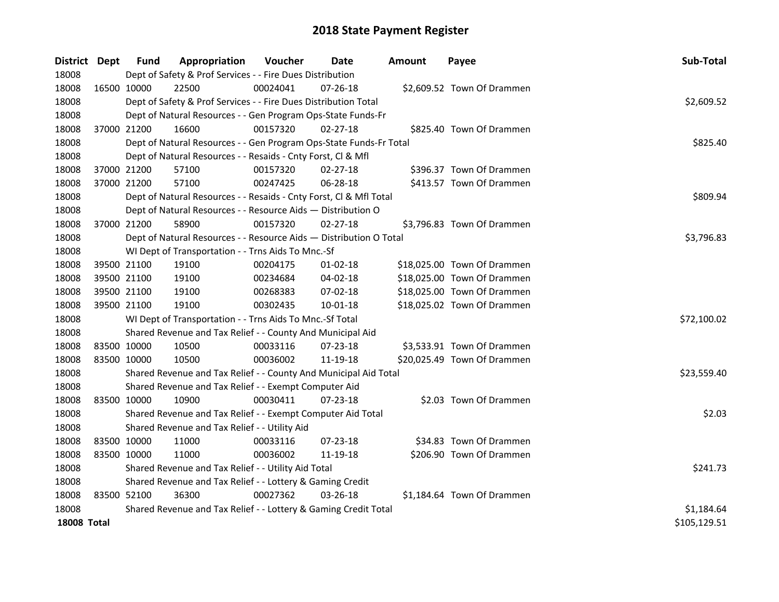| District Dept      | <b>Fund</b> | Appropriation                                                      | Voucher    | Date           | <b>Amount</b> | Payee                       | Sub-Total    |
|--------------------|-------------|--------------------------------------------------------------------|------------|----------------|---------------|-----------------------------|--------------|
| 18008              |             | Dept of Safety & Prof Services - - Fire Dues Distribution          |            |                |               |                             |              |
| 18008              | 16500 10000 | 22500                                                              | 00024041   | 07-26-18       |               | \$2,609.52 Town Of Drammen  |              |
| 18008              |             | Dept of Safety & Prof Services - - Fire Dues Distribution Total    |            |                |               |                             | \$2,609.52   |
| 18008              |             | Dept of Natural Resources - - Gen Program Ops-State Funds-Fr       |            |                |               |                             |              |
| 18008              | 37000 21200 | 16600                                                              | 00157320   | $02 - 27 - 18$ |               | \$825.40 Town Of Drammen    |              |
| 18008              |             | Dept of Natural Resources - - Gen Program Ops-State Funds-Fr Total | \$825.40   |                |               |                             |              |
| 18008              |             | Dept of Natural Resources - - Resaids - Cnty Forst, Cl & Mfl       |            |                |               |                             |              |
| 18008              | 37000 21200 | 57100                                                              | 00157320   | $02 - 27 - 18$ |               | \$396.37 Town Of Drammen    |              |
| 18008              | 37000 21200 | 57100                                                              | 00247425   | 06-28-18       |               | \$413.57 Town Of Drammen    |              |
| 18008              |             | Dept of Natural Resources - - Resaids - Cnty Forst, Cl & Mfl Total |            |                |               |                             | \$809.94     |
| 18008              |             | Dept of Natural Resources - - Resource Aids - Distribution O       |            |                |               |                             |              |
| 18008              | 37000 21200 | 58900                                                              | 00157320   | $02 - 27 - 18$ |               | \$3,796.83 Town Of Drammen  |              |
| 18008              |             | Dept of Natural Resources - - Resource Aids - Distribution O Total |            |                |               |                             | \$3,796.83   |
| 18008              |             | WI Dept of Transportation - - Trns Aids To Mnc.-Sf                 |            |                |               |                             |              |
| 18008              | 39500 21100 | 19100                                                              | 00204175   | $01-02-18$     |               | \$18,025.00 Town Of Drammen |              |
| 18008              | 39500 21100 | 19100                                                              | 00234684   | 04-02-18       |               | \$18,025.00 Town Of Drammen |              |
| 18008              | 39500 21100 | 19100                                                              | 00268383   | 07-02-18       |               | \$18,025.00 Town Of Drammen |              |
| 18008              | 39500 21100 | 19100                                                              | 00302435   | 10-01-18       |               | \$18,025.02 Town Of Drammen |              |
| 18008              |             | WI Dept of Transportation - - Trns Aids To Mnc.-Sf Total           |            |                |               |                             | \$72,100.02  |
| 18008              |             | Shared Revenue and Tax Relief - - County And Municipal Aid         |            |                |               |                             |              |
| 18008              | 83500 10000 | 10500                                                              | 00033116   | 07-23-18       |               | \$3,533.91 Town Of Drammen  |              |
| 18008              | 83500 10000 | 10500                                                              | 00036002   | 11-19-18       |               | \$20,025.49 Town Of Drammen |              |
| 18008              |             | Shared Revenue and Tax Relief - - County And Municipal Aid Total   |            |                |               |                             | \$23,559.40  |
| 18008              |             | Shared Revenue and Tax Relief - - Exempt Computer Aid              |            |                |               |                             |              |
| 18008              | 83500 10000 | 10900                                                              | 00030411   | $07 - 23 - 18$ |               | \$2.03 Town Of Drammen      |              |
| 18008              |             | Shared Revenue and Tax Relief - - Exempt Computer Aid Total        |            |                |               |                             | \$2.03       |
| 18008              |             | Shared Revenue and Tax Relief - - Utility Aid                      |            |                |               |                             |              |
| 18008              | 83500 10000 | 11000                                                              | 00033116   | $07 - 23 - 18$ |               | \$34.83 Town Of Drammen     |              |
| 18008              | 83500 10000 | 11000                                                              | 00036002   | 11-19-18       |               | \$206.90 Town Of Drammen    |              |
| 18008              |             | Shared Revenue and Tax Relief - - Utility Aid Total                | \$241.73   |                |               |                             |              |
| 18008              |             | Shared Revenue and Tax Relief - - Lottery & Gaming Credit          |            |                |               |                             |              |
| 18008              | 83500 52100 | 36300                                                              | 00027362   | 03-26-18       |               | \$1,184.64 Town Of Drammen  |              |
| 18008              |             | Shared Revenue and Tax Relief - - Lottery & Gaming Credit Total    | \$1,184.64 |                |               |                             |              |
| <b>18008 Total</b> |             |                                                                    |            |                |               |                             | \$105,129.51 |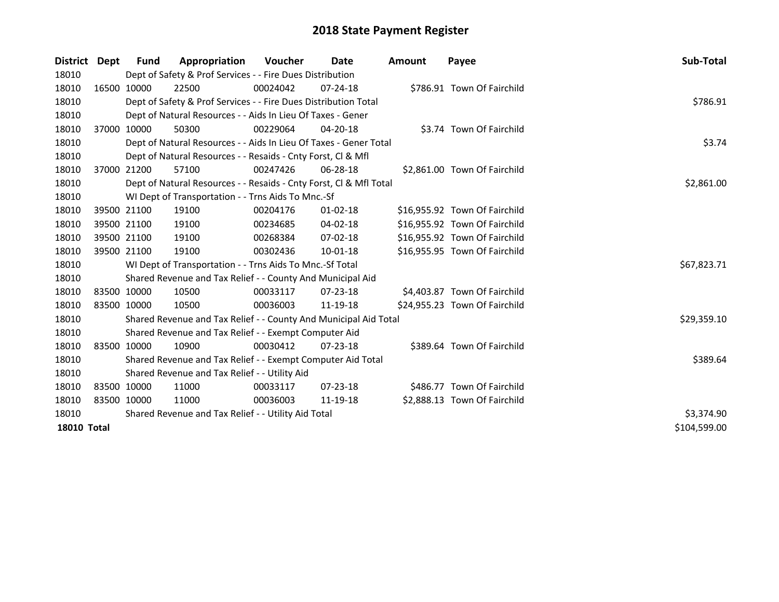| District           | <b>Dept</b> | <b>Fund</b> | Appropriation                                                      | <b>Voucher</b> | Date           | <b>Amount</b> | Payee                         | Sub-Total    |
|--------------------|-------------|-------------|--------------------------------------------------------------------|----------------|----------------|---------------|-------------------------------|--------------|
| 18010              |             |             | Dept of Safety & Prof Services - - Fire Dues Distribution          |                |                |               |                               |              |
| 18010              |             | 16500 10000 | 22500                                                              | 00024042       | $07 - 24 - 18$ |               | \$786.91 Town Of Fairchild    |              |
| 18010              |             |             | Dept of Safety & Prof Services - - Fire Dues Distribution Total    |                |                |               |                               | \$786.91     |
| 18010              |             |             | Dept of Natural Resources - - Aids In Lieu Of Taxes - Gener        |                |                |               |                               |              |
| 18010              |             | 37000 10000 | 50300                                                              | 00229064       | $04 - 20 - 18$ |               | \$3.74 Town Of Fairchild      |              |
| 18010              |             |             | Dept of Natural Resources - - Aids In Lieu Of Taxes - Gener Total  | \$3.74         |                |               |                               |              |
| 18010              |             |             | Dept of Natural Resources - - Resaids - Cnty Forst, CI & Mfl       |                |                |               |                               |              |
| 18010              |             | 37000 21200 | 57100                                                              | 00247426       | 06-28-18       |               | \$2,861.00 Town Of Fairchild  |              |
| 18010              |             |             | Dept of Natural Resources - - Resaids - Cnty Forst, CI & Mfl Total |                |                |               |                               | \$2,861.00   |
| 18010              |             |             | WI Dept of Transportation - - Trns Aids To Mnc.-Sf                 |                |                |               |                               |              |
| 18010              |             | 39500 21100 | 19100                                                              | 00204176       | $01 - 02 - 18$ |               | \$16,955.92 Town Of Fairchild |              |
| 18010              |             | 39500 21100 | 19100                                                              | 00234685       | 04-02-18       |               | \$16,955.92 Town Of Fairchild |              |
| 18010              |             | 39500 21100 | 19100                                                              | 00268384       | $07 - 02 - 18$ |               | \$16,955.92 Town Of Fairchild |              |
| 18010              |             | 39500 21100 | 19100                                                              | 00302436       | 10-01-18       |               | \$16,955.95 Town Of Fairchild |              |
| 18010              |             |             | WI Dept of Transportation - - Trns Aids To Mnc.-Sf Total           |                |                |               |                               | \$67,823.71  |
| 18010              |             |             | Shared Revenue and Tax Relief - - County And Municipal Aid         |                |                |               |                               |              |
| 18010              |             | 83500 10000 | 10500                                                              | 00033117       | $07 - 23 - 18$ |               | \$4,403.87 Town Of Fairchild  |              |
| 18010              | 83500 10000 |             | 10500                                                              | 00036003       | 11-19-18       |               | \$24,955.23 Town Of Fairchild |              |
| 18010              |             |             | Shared Revenue and Tax Relief - - County And Municipal Aid Total   |                |                |               |                               | \$29,359.10  |
| 18010              |             |             | Shared Revenue and Tax Relief - - Exempt Computer Aid              |                |                |               |                               |              |
| 18010              |             | 83500 10000 | 10900                                                              | 00030412       | $07 - 23 - 18$ |               | \$389.64 Town Of Fairchild    |              |
| 18010              |             |             | Shared Revenue and Tax Relief - - Exempt Computer Aid Total        |                |                |               |                               | \$389.64     |
| 18010              |             |             | Shared Revenue and Tax Relief - - Utility Aid                      |                |                |               |                               |              |
| 18010              | 83500 10000 |             | 11000                                                              | 00033117       | $07 - 23 - 18$ |               | \$486.77 Town Of Fairchild    |              |
| 18010              | 83500 10000 |             | 11000                                                              | 00036003       | 11-19-18       |               | \$2,888.13 Town Of Fairchild  |              |
| 18010              |             |             | Shared Revenue and Tax Relief - - Utility Aid Total                | \$3,374.90     |                |               |                               |              |
| <b>18010 Total</b> |             |             |                                                                    |                |                |               |                               | \$104,599.00 |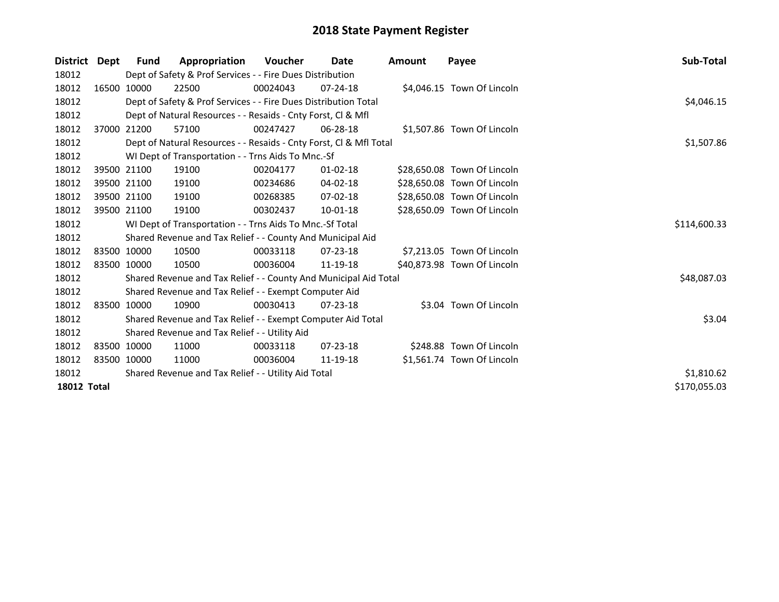| <b>District</b>    | Dept | <b>Fund</b>                                         | Appropriation                                                      | <b>Voucher</b> | Date           | <b>Amount</b> | Payee                       | Sub-Total    |
|--------------------|------|-----------------------------------------------------|--------------------------------------------------------------------|----------------|----------------|---------------|-----------------------------|--------------|
| 18012              |      |                                                     | Dept of Safety & Prof Services - - Fire Dues Distribution          |                |                |               |                             |              |
| 18012              |      | 16500 10000                                         | 22500                                                              | 00024043       | $07 - 24 - 18$ |               | \$4,046.15 Town Of Lincoln  |              |
| 18012              |      |                                                     | Dept of Safety & Prof Services - - Fire Dues Distribution Total    | \$4,046.15     |                |               |                             |              |
| 18012              |      |                                                     | Dept of Natural Resources - - Resaids - Cnty Forst, CI & Mfl       |                |                |               |                             |              |
| 18012              |      | 37000 21200                                         | 57100                                                              | 00247427       | $06 - 28 - 18$ |               | \$1,507.86 Town Of Lincoln  |              |
| 18012              |      |                                                     | Dept of Natural Resources - - Resaids - Cnty Forst, Cl & Mfl Total |                |                |               |                             | \$1,507.86   |
| 18012              |      |                                                     | WI Dept of Transportation - - Trns Aids To Mnc.-Sf                 |                |                |               |                             |              |
| 18012              |      | 39500 21100                                         | 19100                                                              | 00204177       | $01 - 02 - 18$ |               | \$28,650.08 Town Of Lincoln |              |
| 18012              |      | 39500 21100                                         | 19100                                                              | 00234686       | 04-02-18       |               | \$28,650.08 Town Of Lincoln |              |
| 18012              |      | 39500 21100                                         | 19100                                                              | 00268385       | 07-02-18       |               | \$28,650.08 Town Of Lincoln |              |
| 18012              |      | 39500 21100                                         | 19100                                                              | 00302437       | $10 - 01 - 18$ |               | \$28,650.09 Town Of Lincoln |              |
| 18012              |      |                                                     | WI Dept of Transportation - - Trns Aids To Mnc.-Sf Total           | \$114,600.33   |                |               |                             |              |
| 18012              |      |                                                     | Shared Revenue and Tax Relief - - County And Municipal Aid         |                |                |               |                             |              |
| 18012              |      | 83500 10000                                         | 10500                                                              | 00033118       | 07-23-18       |               | \$7,213.05 Town Of Lincoln  |              |
| 18012              |      | 83500 10000                                         | 10500                                                              | 00036004       | 11-19-18       |               | \$40,873.98 Town Of Lincoln |              |
| 18012              |      |                                                     | Shared Revenue and Tax Relief - - County And Municipal Aid Total   |                |                |               |                             | \$48,087.03  |
| 18012              |      |                                                     | Shared Revenue and Tax Relief - - Exempt Computer Aid              |                |                |               |                             |              |
| 18012              |      | 83500 10000                                         | 10900                                                              | 00030413       | $07 - 23 - 18$ |               | \$3.04 Town Of Lincoln      |              |
| 18012              |      |                                                     | Shared Revenue and Tax Relief - - Exempt Computer Aid Total        |                |                |               |                             | \$3.04       |
| 18012              |      |                                                     | Shared Revenue and Tax Relief - - Utility Aid                      |                |                |               |                             |              |
| 18012              |      | 83500 10000                                         | 11000                                                              | 00033118       | $07 - 23 - 18$ |               | \$248.88 Town Of Lincoln    |              |
| 18012              |      | 83500 10000                                         | 11000                                                              | 00036004       | 11-19-18       |               | \$1,561.74 Town Of Lincoln  |              |
| 18012              |      | Shared Revenue and Tax Relief - - Utility Aid Total | \$1,810.62                                                         |                |                |               |                             |              |
| <b>18012 Total</b> |      |                                                     |                                                                    |                |                |               |                             | \$170,055.03 |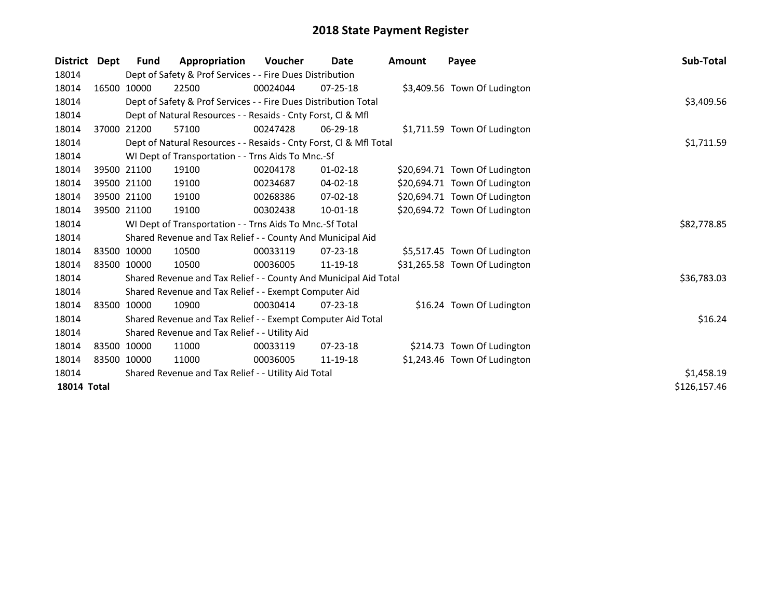| <b>District</b>    | Dept | <b>Fund</b> | Appropriation                                                      | <b>Voucher</b> | Date           | <b>Amount</b> | Payee                         | Sub-Total    |
|--------------------|------|-------------|--------------------------------------------------------------------|----------------|----------------|---------------|-------------------------------|--------------|
| 18014              |      |             | Dept of Safety & Prof Services - - Fire Dues Distribution          |                |                |               |                               |              |
| 18014              |      | 16500 10000 | 22500                                                              | 00024044       | $07 - 25 - 18$ |               | \$3,409.56 Town Of Ludington  |              |
| 18014              |      |             | Dept of Safety & Prof Services - - Fire Dues Distribution Total    |                |                |               |                               | \$3,409.56   |
| 18014              |      |             | Dept of Natural Resources - - Resaids - Cnty Forst, CI & Mfl       |                |                |               |                               |              |
| 18014              |      | 37000 21200 | 57100                                                              | 00247428       | $06 - 29 - 18$ |               | \$1,711.59 Town Of Ludington  |              |
| 18014              |      |             | Dept of Natural Resources - - Resaids - Cnty Forst, Cl & Mfl Total |                |                |               |                               | \$1,711.59   |
| 18014              |      |             | WI Dept of Transportation - - Trns Aids To Mnc.-Sf                 |                |                |               |                               |              |
| 18014              |      | 39500 21100 | 19100                                                              | 00204178       | $01 - 02 - 18$ |               | \$20,694.71 Town Of Ludington |              |
| 18014              |      | 39500 21100 | 19100                                                              | 00234687       | 04-02-18       |               | \$20,694.71 Town Of Ludington |              |
| 18014              |      | 39500 21100 | 19100                                                              | 00268386       | 07-02-18       |               | \$20,694.71 Town Of Ludington |              |
| 18014              |      | 39500 21100 | 19100                                                              | 00302438       | 10-01-18       |               | \$20,694.72 Town Of Ludington |              |
| 18014              |      |             | WI Dept of Transportation - - Trns Aids To Mnc.-Sf Total           |                |                |               |                               | \$82,778.85  |
| 18014              |      |             | Shared Revenue and Tax Relief - - County And Municipal Aid         |                |                |               |                               |              |
| 18014              |      | 83500 10000 | 10500                                                              | 00033119       | 07-23-18       |               | \$5,517.45 Town Of Ludington  |              |
| 18014              |      | 83500 10000 | 10500                                                              | 00036005       | 11-19-18       |               | \$31,265.58 Town Of Ludington |              |
| 18014              |      |             | Shared Revenue and Tax Relief - - County And Municipal Aid Total   |                |                |               |                               | \$36,783.03  |
| 18014              |      |             | Shared Revenue and Tax Relief - - Exempt Computer Aid              |                |                |               |                               |              |
| 18014              |      | 83500 10000 | 10900                                                              | 00030414       | $07 - 23 - 18$ |               | \$16.24 Town Of Ludington     |              |
| 18014              |      |             | Shared Revenue and Tax Relief - - Exempt Computer Aid Total        |                |                |               |                               | \$16.24      |
| 18014              |      |             | Shared Revenue and Tax Relief - - Utility Aid                      |                |                |               |                               |              |
| 18014              |      | 83500 10000 | 11000                                                              | 00033119       | 07-23-18       |               | \$214.73 Town Of Ludington    |              |
| 18014              |      | 83500 10000 | 11000                                                              | 00036005       | 11-19-18       |               | \$1,243.46 Town Of Ludington  |              |
| 18014              |      |             | Shared Revenue and Tax Relief - - Utility Aid Total                | \$1,458.19     |                |               |                               |              |
| <b>18014 Total</b> |      |             |                                                                    |                |                |               |                               | \$126,157.46 |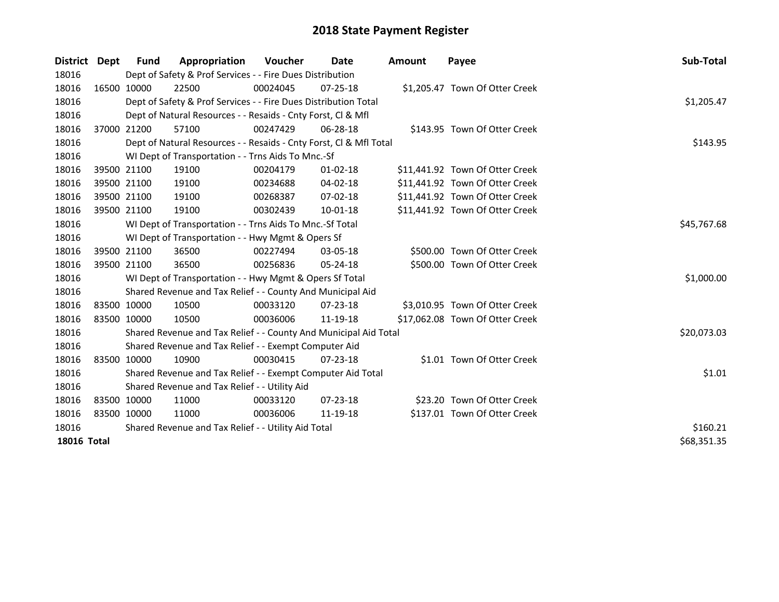| District Dept      |             | <b>Fund</b>                                         | Appropriation                                                      | <b>Voucher</b> | Date           | <b>Amount</b> | Payee                           | Sub-Total   |
|--------------------|-------------|-----------------------------------------------------|--------------------------------------------------------------------|----------------|----------------|---------------|---------------------------------|-------------|
| 18016              |             |                                                     | Dept of Safety & Prof Services - - Fire Dues Distribution          |                |                |               |                                 |             |
| 18016              |             | 16500 10000                                         | 22500                                                              | 00024045       | $07 - 25 - 18$ |               | \$1,205.47 Town Of Otter Creek  |             |
| 18016              |             |                                                     | Dept of Safety & Prof Services - - Fire Dues Distribution Total    |                |                |               |                                 | \$1,205.47  |
| 18016              |             |                                                     | Dept of Natural Resources - - Resaids - Cnty Forst, CI & Mfl       |                |                |               |                                 |             |
| 18016              |             | 37000 21200                                         | 57100                                                              | 00247429       | 06-28-18       |               | \$143.95 Town Of Otter Creek    |             |
| 18016              |             |                                                     | Dept of Natural Resources - - Resaids - Cnty Forst, Cl & Mfl Total |                |                |               |                                 | \$143.95    |
| 18016              |             |                                                     | WI Dept of Transportation - - Trns Aids To Mnc.-Sf                 |                |                |               |                                 |             |
| 18016              |             | 39500 21100                                         | 19100                                                              | 00204179       | $01 - 02 - 18$ |               | \$11,441.92 Town Of Otter Creek |             |
| 18016              |             | 39500 21100                                         | 19100                                                              | 00234688       | 04-02-18       |               | \$11,441.92 Town Of Otter Creek |             |
| 18016              |             | 39500 21100                                         | 19100                                                              | 00268387       | 07-02-18       |               | \$11,441.92 Town Of Otter Creek |             |
| 18016              |             | 39500 21100                                         | 19100                                                              | 00302439       | 10-01-18       |               | \$11,441.92 Town Of Otter Creek |             |
| 18016              |             |                                                     | WI Dept of Transportation - - Trns Aids To Mnc.-Sf Total           | \$45,767.68    |                |               |                                 |             |
| 18016              |             |                                                     | WI Dept of Transportation - - Hwy Mgmt & Opers Sf                  |                |                |               |                                 |             |
| 18016              |             | 39500 21100                                         | 36500                                                              | 00227494       | $03 - 05 - 18$ |               | \$500.00 Town Of Otter Creek    |             |
| 18016              |             | 39500 21100                                         | 36500                                                              | 00256836       | 05-24-18       |               | \$500.00 Town Of Otter Creek    |             |
| 18016              |             |                                                     | WI Dept of Transportation - - Hwy Mgmt & Opers Sf Total            |                |                |               |                                 | \$1,000.00  |
| 18016              |             |                                                     | Shared Revenue and Tax Relief - - County And Municipal Aid         |                |                |               |                                 |             |
| 18016              |             | 83500 10000                                         | 10500                                                              | 00033120       | $07 - 23 - 18$ |               | \$3,010.95 Town Of Otter Creek  |             |
| 18016              |             | 83500 10000                                         | 10500                                                              | 00036006       | 11-19-18       |               | \$17,062.08 Town Of Otter Creek |             |
| 18016              |             |                                                     | Shared Revenue and Tax Relief - - County And Municipal Aid Total   |                |                |               |                                 | \$20,073.03 |
| 18016              |             |                                                     | Shared Revenue and Tax Relief - - Exempt Computer Aid              |                |                |               |                                 |             |
| 18016              |             | 83500 10000                                         | 10900                                                              | 00030415       | 07-23-18       |               | \$1.01 Town Of Otter Creek      |             |
| 18016              |             |                                                     | Shared Revenue and Tax Relief - - Exempt Computer Aid Total        |                |                |               |                                 | \$1.01      |
| 18016              |             |                                                     | Shared Revenue and Tax Relief - - Utility Aid                      |                |                |               |                                 |             |
| 18016              | 83500 10000 |                                                     | 11000                                                              | 00033120       | $07 - 23 - 18$ |               | \$23.20 Town Of Otter Creek     |             |
| 18016              | 83500 10000 |                                                     | 11000                                                              | 00036006       | 11-19-18       |               | \$137.01 Town Of Otter Creek    |             |
| 18016              |             | Shared Revenue and Tax Relief - - Utility Aid Total | \$160.21                                                           |                |                |               |                                 |             |
| <b>18016 Total</b> |             | \$68,351.35                                         |                                                                    |                |                |               |                                 |             |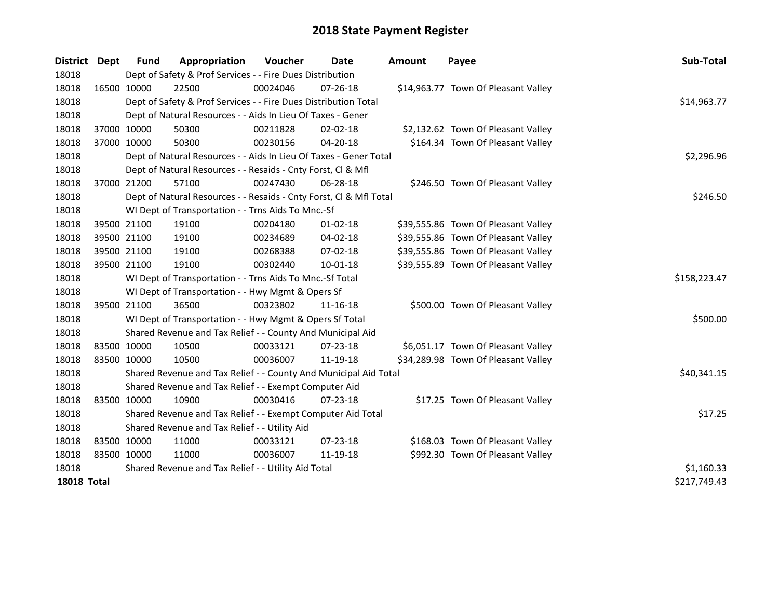| <b>District</b>    | <b>Dept</b> | <b>Fund</b> | Appropriation                                                      | Voucher  | <b>Date</b>    | <b>Amount</b> | Payee                               | Sub-Total    |
|--------------------|-------------|-------------|--------------------------------------------------------------------|----------|----------------|---------------|-------------------------------------|--------------|
| 18018              |             |             | Dept of Safety & Prof Services - - Fire Dues Distribution          |          |                |               |                                     |              |
| 18018              |             | 16500 10000 | 22500                                                              | 00024046 | $07 - 26 - 18$ |               | \$14,963.77 Town Of Pleasant Valley |              |
| 18018              |             |             | Dept of Safety & Prof Services - - Fire Dues Distribution Total    |          |                |               |                                     | \$14,963.77  |
| 18018              |             |             | Dept of Natural Resources - - Aids In Lieu Of Taxes - Gener        |          |                |               |                                     |              |
| 18018              |             | 37000 10000 | 50300                                                              | 00211828 | 02-02-18       |               | \$2,132.62 Town Of Pleasant Valley  |              |
| 18018              |             | 37000 10000 | 50300                                                              | 00230156 | 04-20-18       |               | \$164.34 Town Of Pleasant Valley    |              |
| 18018              |             |             | Dept of Natural Resources - - Aids In Lieu Of Taxes - Gener Total  |          |                |               |                                     | \$2,296.96   |
| 18018              |             |             | Dept of Natural Resources - - Resaids - Cnty Forst, Cl & Mfl       |          |                |               |                                     |              |
| 18018              |             | 37000 21200 | 57100                                                              | 00247430 | 06-28-18       |               | \$246.50 Town Of Pleasant Valley    |              |
| 18018              |             |             | Dept of Natural Resources - - Resaids - Cnty Forst, Cl & Mfl Total | \$246.50 |                |               |                                     |              |
| 18018              |             |             | WI Dept of Transportation - - Trns Aids To Mnc.-Sf                 |          |                |               |                                     |              |
| 18018              |             | 39500 21100 | 19100                                                              | 00204180 | $01 - 02 - 18$ |               | \$39,555.86 Town Of Pleasant Valley |              |
| 18018              |             | 39500 21100 | 19100                                                              | 00234689 | 04-02-18       |               | \$39,555.86 Town Of Pleasant Valley |              |
| 18018              |             | 39500 21100 | 19100                                                              | 00268388 | 07-02-18       |               | \$39,555.86 Town Of Pleasant Valley |              |
| 18018              |             | 39500 21100 | 19100                                                              | 00302440 | 10-01-18       |               | \$39,555.89 Town Of Pleasant Valley |              |
| 18018              |             |             | WI Dept of Transportation - - Trns Aids To Mnc.-Sf Total           |          |                |               |                                     | \$158,223.47 |
| 18018              |             |             | WI Dept of Transportation - - Hwy Mgmt & Opers Sf                  |          |                |               |                                     |              |
| 18018              |             | 39500 21100 | 36500                                                              | 00323802 | 11-16-18       |               | \$500.00 Town Of Pleasant Valley    |              |
| 18018              |             |             | WI Dept of Transportation - - Hwy Mgmt & Opers Sf Total            |          |                |               |                                     | \$500.00     |
| 18018              |             |             | Shared Revenue and Tax Relief - - County And Municipal Aid         |          |                |               |                                     |              |
| 18018              |             | 83500 10000 | 10500                                                              | 00033121 | $07 - 23 - 18$ |               | \$6,051.17 Town Of Pleasant Valley  |              |
| 18018              | 83500 10000 |             | 10500                                                              | 00036007 | 11-19-18       |               | \$34,289.98 Town Of Pleasant Valley |              |
| 18018              |             |             | Shared Revenue and Tax Relief - - County And Municipal Aid Total   |          |                |               |                                     | \$40,341.15  |
| 18018              |             |             | Shared Revenue and Tax Relief - - Exempt Computer Aid              |          |                |               |                                     |              |
| 18018              |             | 83500 10000 | 10900                                                              | 00030416 | $07 - 23 - 18$ |               | \$17.25 Town Of Pleasant Valley     |              |
| 18018              |             |             | Shared Revenue and Tax Relief - - Exempt Computer Aid Total        |          |                |               |                                     | \$17.25      |
| 18018              |             |             | Shared Revenue and Tax Relief - - Utility Aid                      |          |                |               |                                     |              |
| 18018              |             | 83500 10000 | 11000                                                              | 00033121 | $07 - 23 - 18$ |               | \$168.03 Town Of Pleasant Valley    |              |
| 18018              | 83500 10000 |             | 11000                                                              | 00036007 | 11-19-18       |               | \$992.30 Town Of Pleasant Valley    |              |
| 18018              |             |             | Shared Revenue and Tax Relief - - Utility Aid Total                |          |                |               |                                     | \$1,160.33   |
| <b>18018 Total</b> |             |             |                                                                    |          |                |               |                                     | \$217,749.43 |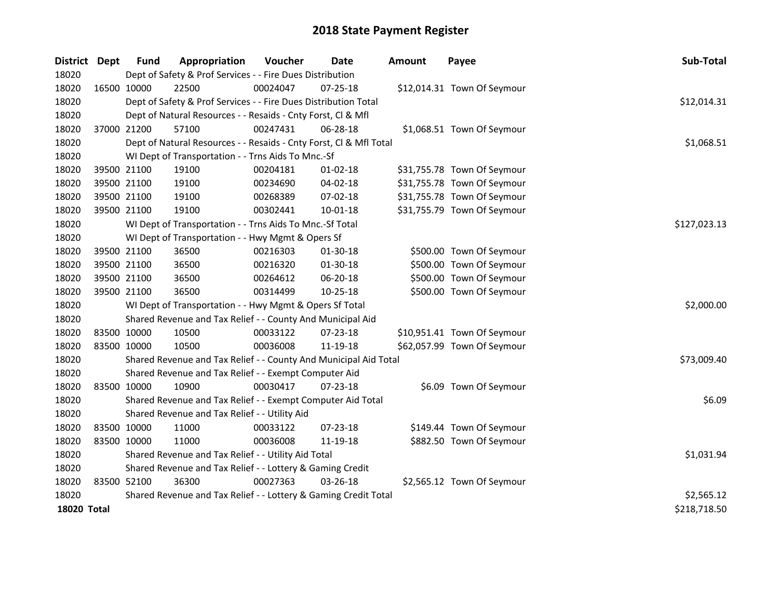| District Dept      |             | <b>Fund</b>                                         | Appropriation                                                      | Voucher      | <b>Date</b>    | <b>Amount</b> | Payee                       | Sub-Total    |
|--------------------|-------------|-----------------------------------------------------|--------------------------------------------------------------------|--------------|----------------|---------------|-----------------------------|--------------|
| 18020              |             |                                                     | Dept of Safety & Prof Services - - Fire Dues Distribution          |              |                |               |                             |              |
| 18020              | 16500 10000 |                                                     | 22500                                                              | 00024047     | 07-25-18       |               | \$12,014.31 Town Of Seymour |              |
| 18020              |             |                                                     | Dept of Safety & Prof Services - - Fire Dues Distribution Total    |              |                |               |                             | \$12,014.31  |
| 18020              |             |                                                     | Dept of Natural Resources - - Resaids - Cnty Forst, Cl & Mfl       |              |                |               |                             |              |
| 18020              |             | 37000 21200                                         | 57100                                                              | 00247431     | 06-28-18       |               | \$1,068.51 Town Of Seymour  |              |
| 18020              |             |                                                     | Dept of Natural Resources - - Resaids - Cnty Forst, Cl & Mfl Total |              |                |               |                             | \$1,068.51   |
| 18020              |             |                                                     | WI Dept of Transportation - - Trns Aids To Mnc.-Sf                 |              |                |               |                             |              |
| 18020              |             | 39500 21100                                         | 19100                                                              | 00204181     | $01-02-18$     |               | \$31,755.78 Town Of Seymour |              |
| 18020              |             | 39500 21100                                         | 19100                                                              | 00234690     | 04-02-18       |               | \$31,755.78 Town Of Seymour |              |
| 18020              |             | 39500 21100                                         | 19100                                                              | 00268389     | 07-02-18       |               | \$31,755.78 Town Of Seymour |              |
| 18020              |             | 39500 21100                                         | 19100                                                              | 00302441     | 10-01-18       |               | \$31,755.79 Town Of Seymour |              |
| 18020              |             |                                                     | WI Dept of Transportation - - Trns Aids To Mnc.-Sf Total           | \$127,023.13 |                |               |                             |              |
| 18020              |             |                                                     | WI Dept of Transportation - - Hwy Mgmt & Opers Sf                  |              |                |               |                             |              |
| 18020              |             | 39500 21100                                         | 36500                                                              | 00216303     | 01-30-18       |               | \$500.00 Town Of Seymour    |              |
| 18020              |             | 39500 21100                                         | 36500                                                              | 00216320     | 01-30-18       |               | \$500.00 Town Of Seymour    |              |
| 18020              |             | 39500 21100                                         | 36500                                                              | 00264612     | 06-20-18       |               | \$500.00 Town Of Seymour    |              |
| 18020              |             | 39500 21100                                         | 36500                                                              | 00314499     | 10-25-18       |               | \$500.00 Town Of Seymour    |              |
| 18020              |             |                                                     | WI Dept of Transportation - - Hwy Mgmt & Opers Sf Total            |              |                |               |                             | \$2,000.00   |
| 18020              |             |                                                     | Shared Revenue and Tax Relief - - County And Municipal Aid         |              |                |               |                             |              |
| 18020              | 83500 10000 |                                                     | 10500                                                              | 00033122     | 07-23-18       |               | \$10,951.41 Town Of Seymour |              |
| 18020              | 83500 10000 |                                                     | 10500                                                              | 00036008     | 11-19-18       |               | \$62,057.99 Town Of Seymour |              |
| 18020              |             |                                                     | Shared Revenue and Tax Relief - - County And Municipal Aid Total   |              |                |               |                             | \$73,009.40  |
| 18020              |             |                                                     | Shared Revenue and Tax Relief - - Exempt Computer Aid              |              |                |               |                             |              |
| 18020              | 83500 10000 |                                                     | 10900                                                              | 00030417     | 07-23-18       |               | \$6.09 Town Of Seymour      |              |
| 18020              |             |                                                     | Shared Revenue and Tax Relief - - Exempt Computer Aid Total        |              |                |               |                             | \$6.09       |
| 18020              |             |                                                     | Shared Revenue and Tax Relief - - Utility Aid                      |              |                |               |                             |              |
| 18020              | 83500 10000 |                                                     | 11000                                                              | 00033122     | 07-23-18       |               | \$149.44 Town Of Seymour    |              |
| 18020              | 83500 10000 |                                                     | 11000                                                              | 00036008     | 11-19-18       |               | \$882.50 Town Of Seymour    |              |
| 18020              |             | Shared Revenue and Tax Relief - - Utility Aid Total |                                                                    |              |                |               |                             | \$1,031.94   |
| 18020              |             |                                                     | Shared Revenue and Tax Relief - - Lottery & Gaming Credit          |              |                |               |                             |              |
| 18020              | 83500 52100 |                                                     | 36300                                                              | 00027363     | $03 - 26 - 18$ |               | \$2,565.12 Town Of Seymour  |              |
| 18020              |             |                                                     | Shared Revenue and Tax Relief - - Lottery & Gaming Credit Total    |              |                |               |                             | \$2,565.12   |
| <b>18020 Total</b> |             |                                                     |                                                                    |              |                |               |                             | \$218,718.50 |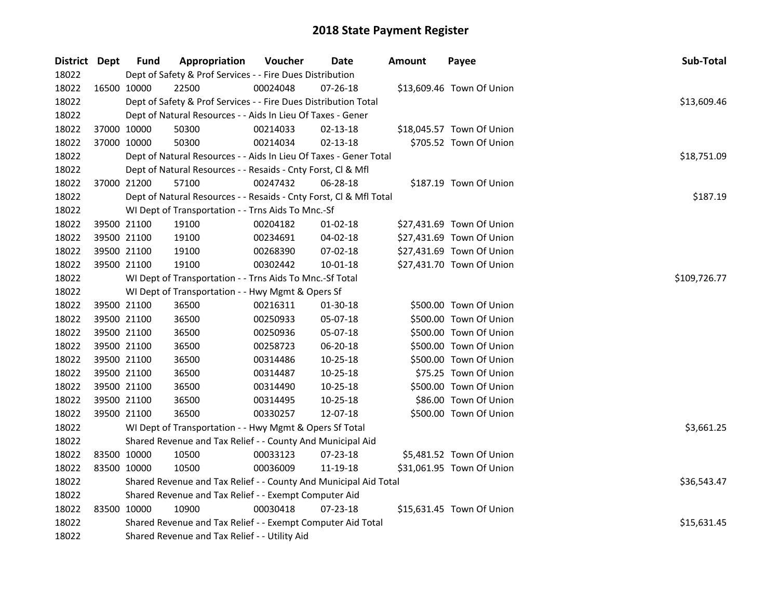| District Dept |             | <b>Fund</b> | Appropriation                                                      | Voucher      | Date           | <b>Amount</b> | Payee                     | Sub-Total   |
|---------------|-------------|-------------|--------------------------------------------------------------------|--------------|----------------|---------------|---------------------------|-------------|
| 18022         |             |             | Dept of Safety & Prof Services - - Fire Dues Distribution          |              |                |               |                           |             |
| 18022         | 16500 10000 |             | 22500                                                              | 00024048     | 07-26-18       |               | \$13,609.46 Town Of Union |             |
| 18022         |             |             | Dept of Safety & Prof Services - - Fire Dues Distribution Total    |              |                |               |                           | \$13,609.46 |
| 18022         |             |             | Dept of Natural Resources - - Aids In Lieu Of Taxes - Gener        |              |                |               |                           |             |
| 18022         |             | 37000 10000 | 50300                                                              | 00214033     | 02-13-18       |               | \$18,045.57 Town Of Union |             |
| 18022         |             | 37000 10000 | 50300                                                              | 00214034     | $02 - 13 - 18$ |               | \$705.52 Town Of Union    |             |
| 18022         |             |             | Dept of Natural Resources - - Aids In Lieu Of Taxes - Gener Total  |              |                |               |                           | \$18,751.09 |
| 18022         |             |             | Dept of Natural Resources - - Resaids - Cnty Forst, Cl & Mfl       |              |                |               |                           |             |
| 18022         |             | 37000 21200 | 57100                                                              | 00247432     | 06-28-18       |               | \$187.19 Town Of Union    |             |
| 18022         |             |             | Dept of Natural Resources - - Resaids - Cnty Forst, Cl & Mfl Total |              |                |               |                           | \$187.19    |
| 18022         |             |             | WI Dept of Transportation - - Trns Aids To Mnc.-Sf                 |              |                |               |                           |             |
| 18022         |             | 39500 21100 | 19100                                                              | 00204182     | 01-02-18       |               | \$27,431.69 Town Of Union |             |
| 18022         |             | 39500 21100 | 19100                                                              | 00234691     | 04-02-18       |               | \$27,431.69 Town Of Union |             |
| 18022         |             | 39500 21100 | 19100                                                              | 00268390     | 07-02-18       |               | \$27,431.69 Town Of Union |             |
| 18022         |             | 39500 21100 | 19100                                                              | 00302442     | 10-01-18       |               | \$27,431.70 Town Of Union |             |
| 18022         |             |             | WI Dept of Transportation - - Trns Aids To Mnc.-Sf Total           | \$109,726.77 |                |               |                           |             |
| 18022         |             |             | WI Dept of Transportation - - Hwy Mgmt & Opers Sf                  |              |                |               |                           |             |
| 18022         |             | 39500 21100 | 36500                                                              | 00216311     | 01-30-18       |               | \$500.00 Town Of Union    |             |
| 18022         |             | 39500 21100 | 36500                                                              | 00250933     | 05-07-18       |               | \$500.00 Town Of Union    |             |
| 18022         |             | 39500 21100 | 36500                                                              | 00250936     | 05-07-18       |               | \$500.00 Town Of Union    |             |
| 18022         |             | 39500 21100 | 36500                                                              | 00258723     | 06-20-18       |               | \$500.00 Town Of Union    |             |
| 18022         |             | 39500 21100 | 36500                                                              | 00314486     | $10 - 25 - 18$ |               | \$500.00 Town Of Union    |             |
| 18022         |             | 39500 21100 | 36500                                                              | 00314487     | 10-25-18       |               | \$75.25 Town Of Union     |             |
| 18022         |             | 39500 21100 | 36500                                                              | 00314490     | 10-25-18       |               | \$500.00 Town Of Union    |             |
| 18022         |             | 39500 21100 | 36500                                                              | 00314495     | 10-25-18       |               | \$86.00 Town Of Union     |             |
| 18022         |             | 39500 21100 | 36500                                                              | 00330257     | 12-07-18       |               | \$500.00 Town Of Union    |             |
| 18022         |             |             | WI Dept of Transportation - - Hwy Mgmt & Opers Sf Total            |              |                |               |                           | \$3,661.25  |
| 18022         |             |             | Shared Revenue and Tax Relief - - County And Municipal Aid         |              |                |               |                           |             |
| 18022         |             | 83500 10000 | 10500                                                              | 00033123     | 07-23-18       |               | \$5,481.52 Town Of Union  |             |
| 18022         |             | 83500 10000 | 10500                                                              | 00036009     | 11-19-18       |               | \$31,061.95 Town Of Union |             |
| 18022         |             |             | Shared Revenue and Tax Relief - - County And Municipal Aid Total   |              |                |               |                           | \$36,543.47 |
| 18022         |             |             | Shared Revenue and Tax Relief - - Exempt Computer Aid              |              |                |               |                           |             |
| 18022         | 83500 10000 |             | 10900                                                              | 00030418     | 07-23-18       |               | \$15,631.45 Town Of Union |             |
| 18022         |             |             | Shared Revenue and Tax Relief - - Exempt Computer Aid Total        |              |                |               |                           | \$15,631.45 |
| 18022         |             |             | Shared Revenue and Tax Relief - - Utility Aid                      |              |                |               |                           |             |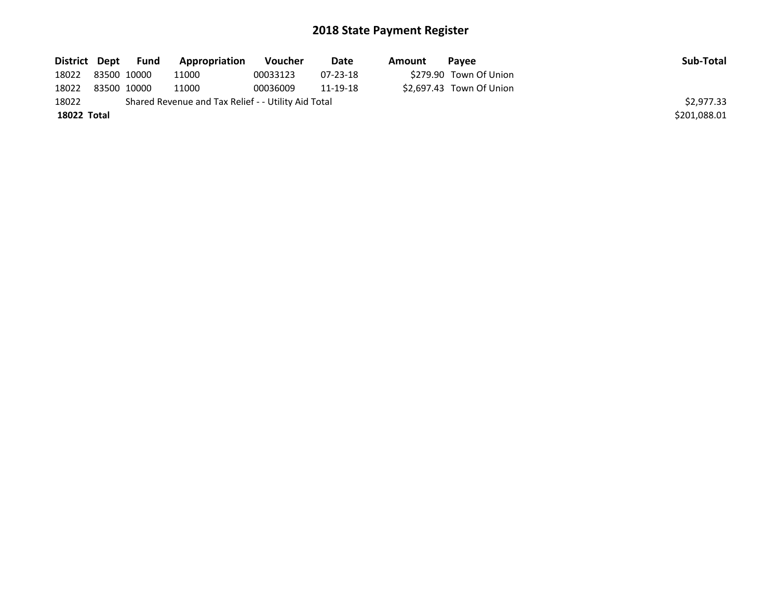| District Dept     | Fund        | Appropriation                                       | Voucher  | Date     | Amount | Pavee                    | Sub-Total    |
|-------------------|-------------|-----------------------------------------------------|----------|----------|--------|--------------------------|--------------|
| 18022 83500 10000 |             | 11000                                               | 00033123 | 07-23-18 |        | \$279.90 Town Of Union   |              |
| 18022             | 83500 10000 | 11000                                               | 00036009 | 11-19-18 |        | \$2.697.43 Town Of Union |              |
| 18022             |             | Shared Revenue and Tax Relief - - Utility Aid Total |          |          |        |                          | \$2,977.33   |
| 18022 Total       |             |                                                     |          |          |        |                          | \$201,088.01 |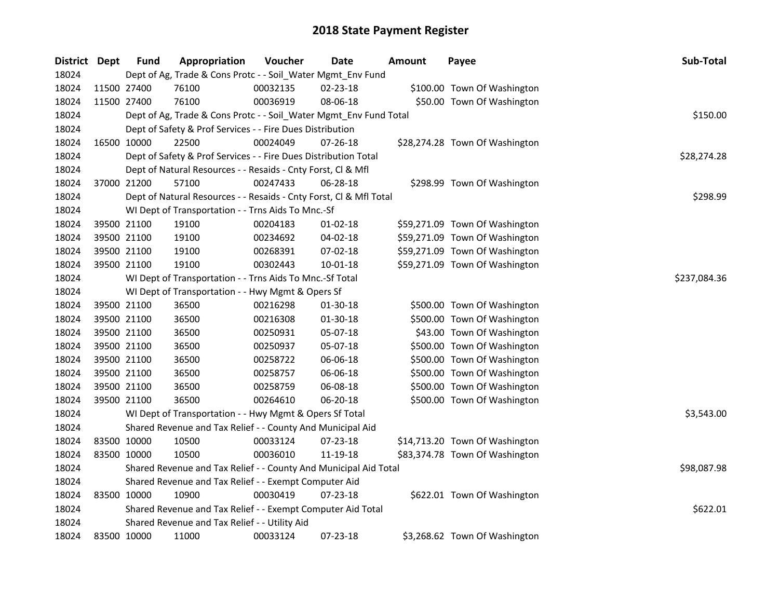| District Dept |             | <b>Fund</b> | Appropriation                                                      | Voucher      | Date           | Amount | Payee                          | Sub-Total   |
|---------------|-------------|-------------|--------------------------------------------------------------------|--------------|----------------|--------|--------------------------------|-------------|
| 18024         |             |             | Dept of Ag, Trade & Cons Protc - - Soil_Water Mgmt_Env Fund        |              |                |        |                                |             |
| 18024         |             | 11500 27400 | 76100                                                              | 00032135     | 02-23-18       |        | \$100.00 Town Of Washington    |             |
| 18024         |             | 11500 27400 | 76100                                                              | 00036919     | 08-06-18       |        | \$50.00 Town Of Washington     |             |
| 18024         |             |             | Dept of Ag, Trade & Cons Protc - - Soil_Water Mgmt_Env Fund Total  |              |                |        |                                | \$150.00    |
| 18024         |             |             | Dept of Safety & Prof Services - - Fire Dues Distribution          |              |                |        |                                |             |
| 18024         |             | 16500 10000 | 22500                                                              | 00024049     | $07 - 26 - 18$ |        | \$28,274.28 Town Of Washington |             |
| 18024         |             |             | Dept of Safety & Prof Services - - Fire Dues Distribution Total    |              |                |        |                                | \$28,274.28 |
| 18024         |             |             | Dept of Natural Resources - - Resaids - Cnty Forst, Cl & Mfl       |              |                |        |                                |             |
| 18024         |             | 37000 21200 | 57100                                                              | 00247433     | 06-28-18       |        | \$298.99 Town Of Washington    |             |
| 18024         |             |             | Dept of Natural Resources - - Resaids - Cnty Forst, Cl & Mfl Total |              |                |        |                                | \$298.99    |
| 18024         |             |             | WI Dept of Transportation - - Trns Aids To Mnc.-Sf                 |              |                |        |                                |             |
| 18024         |             | 39500 21100 | 19100                                                              | 00204183     | 01-02-18       |        | \$59,271.09 Town Of Washington |             |
| 18024         |             | 39500 21100 | 19100                                                              | 00234692     | 04-02-18       |        | \$59,271.09 Town Of Washington |             |
| 18024         |             | 39500 21100 | 19100                                                              | 00268391     | 07-02-18       |        | \$59,271.09 Town Of Washington |             |
| 18024         |             | 39500 21100 | 19100                                                              | 00302443     | 10-01-18       |        | \$59,271.09 Town Of Washington |             |
| 18024         |             |             | WI Dept of Transportation - - Trns Aids To Mnc.-Sf Total           | \$237,084.36 |                |        |                                |             |
| 18024         |             |             | WI Dept of Transportation - - Hwy Mgmt & Opers Sf                  |              |                |        |                                |             |
| 18024         |             | 39500 21100 | 36500                                                              | 00216298     | 01-30-18       |        | \$500.00 Town Of Washington    |             |
| 18024         |             | 39500 21100 | 36500                                                              | 00216308     | 01-30-18       |        | \$500.00 Town Of Washington    |             |
| 18024         |             | 39500 21100 | 36500                                                              | 00250931     | 05-07-18       |        | \$43.00 Town Of Washington     |             |
| 18024         |             | 39500 21100 | 36500                                                              | 00250937     | 05-07-18       |        | \$500.00 Town Of Washington    |             |
| 18024         |             | 39500 21100 | 36500                                                              | 00258722     | 06-06-18       |        | \$500.00 Town Of Washington    |             |
| 18024         |             | 39500 21100 | 36500                                                              | 00258757     | 06-06-18       |        | \$500.00 Town Of Washington    |             |
| 18024         |             | 39500 21100 | 36500                                                              | 00258759     | 06-08-18       |        | \$500.00 Town Of Washington    |             |
| 18024         | 39500 21100 |             | 36500                                                              | 00264610     | 06-20-18       |        | \$500.00 Town Of Washington    |             |
| 18024         |             |             | WI Dept of Transportation - - Hwy Mgmt & Opers Sf Total            |              |                |        |                                | \$3,543.00  |
| 18024         |             |             | Shared Revenue and Tax Relief - - County And Municipal Aid         |              |                |        |                                |             |
| 18024         |             | 83500 10000 | 10500                                                              | 00033124     | 07-23-18       |        | \$14,713.20 Town Of Washington |             |
| 18024         |             | 83500 10000 | 10500                                                              | 00036010     | 11-19-18       |        | \$83,374.78 Town Of Washington |             |
| 18024         |             |             | Shared Revenue and Tax Relief - - County And Municipal Aid Total   |              |                |        |                                | \$98,087.98 |
| 18024         |             |             | Shared Revenue and Tax Relief - - Exempt Computer Aid              |              |                |        |                                |             |
| 18024         |             | 83500 10000 | 10900                                                              | 00030419     | 07-23-18       |        | \$622.01 Town Of Washington    |             |
| 18024         |             |             | Shared Revenue and Tax Relief - - Exempt Computer Aid Total        |              |                |        |                                | \$622.01    |
| 18024         |             |             | Shared Revenue and Tax Relief - - Utility Aid                      |              |                |        |                                |             |
| 18024         |             | 83500 10000 | 11000                                                              | 00033124     | 07-23-18       |        | \$3,268.62 Town Of Washington  |             |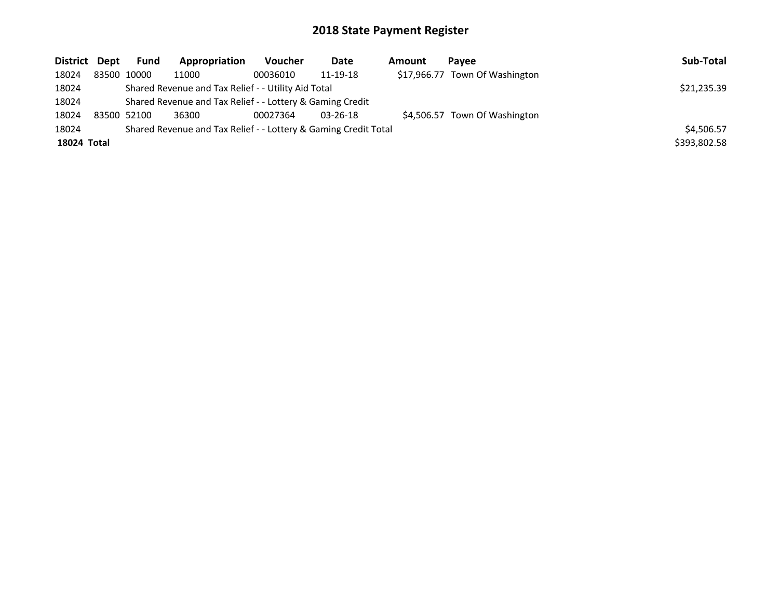| District Dept | <b>Fund</b> | Appropriation                                                   | Voucher  | Date           | Amount | Pavee                          | Sub-Total    |
|---------------|-------------|-----------------------------------------------------------------|----------|----------------|--------|--------------------------------|--------------|
| 18024         | 83500 10000 | 11000                                                           | 00036010 | 11-19-18       |        | \$17,966.77 Town Of Washington |              |
| 18024         |             | Shared Revenue and Tax Relief - - Utility Aid Total             |          |                |        |                                | \$21,235.39  |
| 18024         |             | Shared Revenue and Tax Relief - - Lottery & Gaming Credit       |          |                |        |                                |              |
| 18024         | 83500 52100 | 36300                                                           | 00027364 | $03 - 26 - 18$ |        | \$4,506.57 Town Of Washington  |              |
| 18024         |             | Shared Revenue and Tax Relief - - Lottery & Gaming Credit Total |          |                |        |                                | \$4,506.57   |
| 18024 Total   |             |                                                                 |          |                |        |                                | \$393,802.58 |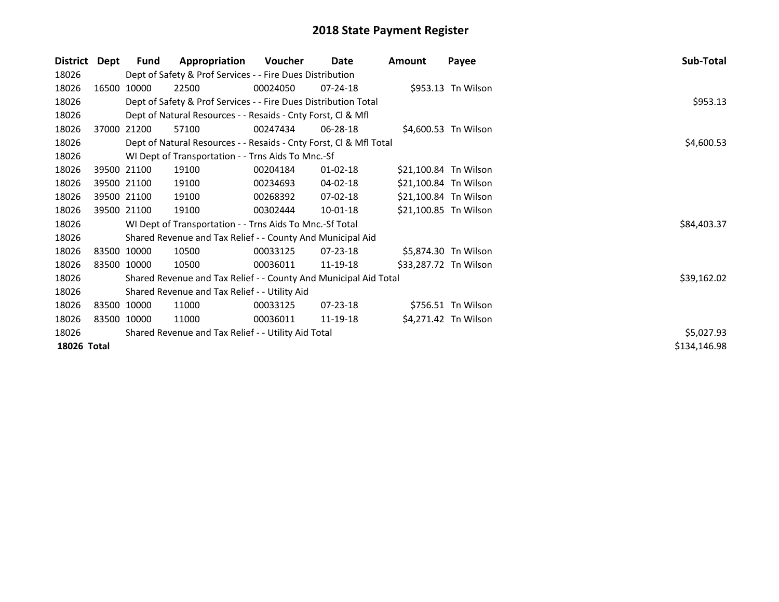| <b>District</b> | Dept | <b>Fund</b> | Appropriation                                                      | Voucher  | Date           | Amount                | Payee                | Sub-Total    |
|-----------------|------|-------------|--------------------------------------------------------------------|----------|----------------|-----------------------|----------------------|--------------|
| 18026           |      |             | Dept of Safety & Prof Services - - Fire Dues Distribution          |          |                |                       |                      |              |
| 18026           |      | 16500 10000 | 22500                                                              | 00024050 | $07 - 24 - 18$ |                       | \$953.13 Tn Wilson   |              |
| 18026           |      |             | Dept of Safety & Prof Services - - Fire Dues Distribution Total    |          |                |                       |                      | \$953.13     |
| 18026           |      |             | Dept of Natural Resources - - Resaids - Cnty Forst, CI & Mfl       |          |                |                       |                      |              |
| 18026           |      | 37000 21200 | 57100                                                              | 00247434 | 06-28-18       |                       | \$4,600.53 Tn Wilson |              |
| 18026           |      |             | Dept of Natural Resources - - Resaids - Cnty Forst, Cl & Mfl Total |          |                |                       |                      | \$4,600.53   |
| 18026           |      |             | WI Dept of Transportation - - Trns Aids To Mnc.-Sf                 |          |                |                       |                      |              |
| 18026           |      | 39500 21100 | 19100                                                              | 00204184 | $01 - 02 - 18$ | \$21,100.84 Tn Wilson |                      |              |
| 18026           |      | 39500 21100 | 19100                                                              | 00234693 | 04-02-18       | \$21,100.84 Tn Wilson |                      |              |
| 18026           |      | 39500 21100 | 19100                                                              | 00268392 | 07-02-18       | \$21,100.84 Tn Wilson |                      |              |
| 18026           |      | 39500 21100 | 19100                                                              | 00302444 | 10-01-18       | \$21,100.85 Tn Wilson |                      |              |
| 18026           |      |             | WI Dept of Transportation - - Trns Aids To Mnc.-Sf Total           |          |                |                       |                      | \$84,403.37  |
| 18026           |      |             | Shared Revenue and Tax Relief - - County And Municipal Aid         |          |                |                       |                      |              |
| 18026           |      | 83500 10000 | 10500                                                              | 00033125 | $07 - 23 - 18$ |                       | \$5,874.30 Tn Wilson |              |
| 18026           |      | 83500 10000 | 10500                                                              | 00036011 | 11-19-18       | \$33,287.72 Tn Wilson |                      |              |
| 18026           |      |             | Shared Revenue and Tax Relief - - County And Municipal Aid Total   |          |                |                       |                      | \$39,162.02  |
| 18026           |      |             | Shared Revenue and Tax Relief - - Utility Aid                      |          |                |                       |                      |              |
| 18026           |      | 83500 10000 | 11000                                                              | 00033125 | 07-23-18       |                       | \$756.51 Tn Wilson   |              |
| 18026           |      | 83500 10000 | 11000                                                              | 00036011 | 11-19-18       |                       | \$4,271.42 Tn Wilson |              |
| 18026           |      |             | Shared Revenue and Tax Relief - - Utility Aid Total                |          |                |                       |                      | \$5,027.93   |
| 18026 Total     |      |             |                                                                    |          |                |                       |                      | \$134,146.98 |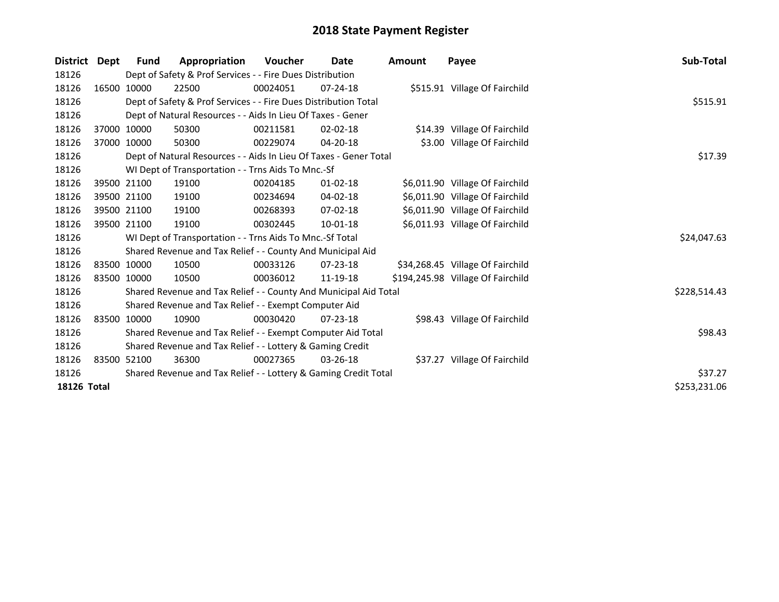| <b>District</b>    | Dept        | Fund                                                            | Appropriation                                                     | <b>Voucher</b> | Date           | Amount | Payee                             | Sub-Total    |
|--------------------|-------------|-----------------------------------------------------------------|-------------------------------------------------------------------|----------------|----------------|--------|-----------------------------------|--------------|
| 18126              |             |                                                                 | Dept of Safety & Prof Services - - Fire Dues Distribution         |                |                |        |                                   |              |
| 18126              |             | 16500 10000                                                     | 22500                                                             | 00024051       | $07 - 24 - 18$ |        | \$515.91 Village Of Fairchild     |              |
| 18126              |             |                                                                 | Dept of Safety & Prof Services - - Fire Dues Distribution Total   |                |                |        |                                   | \$515.91     |
| 18126              |             |                                                                 | Dept of Natural Resources - - Aids In Lieu Of Taxes - Gener       |                |                |        |                                   |              |
| 18126              | 37000 10000 |                                                                 | 50300                                                             | 00211581       | $02 - 02 - 18$ |        | \$14.39 Village Of Fairchild      |              |
| 18126              |             | 37000 10000                                                     | 50300                                                             | 00229074       | 04-20-18       |        | \$3.00 Village Of Fairchild       |              |
| 18126              |             |                                                                 | Dept of Natural Resources - - Aids In Lieu Of Taxes - Gener Total |                |                |        |                                   | \$17.39      |
| 18126              |             |                                                                 | WI Dept of Transportation - - Trns Aids To Mnc.-Sf                |                |                |        |                                   |              |
| 18126              |             | 39500 21100                                                     | 19100                                                             | 00204185       | $01-02-18$     |        | \$6,011.90 Village Of Fairchild   |              |
| 18126              |             | 39500 21100                                                     | 19100                                                             | 00234694       | 04-02-18       |        | \$6,011.90 Village Of Fairchild   |              |
| 18126              |             | 39500 21100                                                     | 19100                                                             | 00268393       | $07 - 02 - 18$ |        | \$6,011.90 Village Of Fairchild   |              |
| 18126              |             | 39500 21100                                                     | 19100                                                             | 00302445       | $10 - 01 - 18$ |        | \$6,011.93 Village Of Fairchild   |              |
| 18126              |             |                                                                 | WI Dept of Transportation - - Trns Aids To Mnc.-Sf Total          |                |                |        |                                   | \$24,047.63  |
| 18126              |             |                                                                 | Shared Revenue and Tax Relief - - County And Municipal Aid        |                |                |        |                                   |              |
| 18126              | 83500 10000 |                                                                 | 10500                                                             | 00033126       | 07-23-18       |        | \$34,268.45 Village Of Fairchild  |              |
| 18126              | 83500 10000 |                                                                 | 10500                                                             | 00036012       | 11-19-18       |        | \$194,245.98 Village Of Fairchild |              |
| 18126              |             |                                                                 | Shared Revenue and Tax Relief - - County And Municipal Aid Total  |                |                |        |                                   | \$228,514.43 |
| 18126              |             |                                                                 | Shared Revenue and Tax Relief - - Exempt Computer Aid             |                |                |        |                                   |              |
| 18126              |             | 83500 10000                                                     | 10900                                                             | 00030420       | $07 - 23 - 18$ |        | \$98.43 Village Of Fairchild      |              |
| 18126              |             |                                                                 | Shared Revenue and Tax Relief - - Exempt Computer Aid Total       |                |                |        |                                   | \$98.43      |
| 18126              |             |                                                                 | Shared Revenue and Tax Relief - - Lottery & Gaming Credit         |                |                |        |                                   |              |
| 18126              | 83500 52100 |                                                                 | 36300                                                             | 00027365       | $03 - 26 - 18$ |        | \$37.27 Village Of Fairchild      |              |
| 18126              |             | Shared Revenue and Tax Relief - - Lottery & Gaming Credit Total | \$37.27                                                           |                |                |        |                                   |              |
| <b>18126 Total</b> |             |                                                                 |                                                                   |                |                |        |                                   | \$253,231.06 |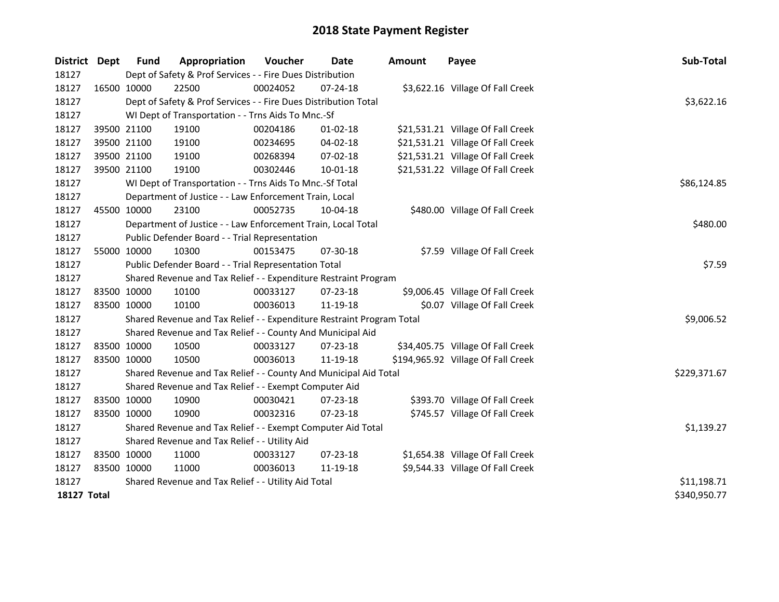| District Dept      |             | Fund        | Appropriation                                                         | Voucher     | Date           | <b>Amount</b> | Payee                              | Sub-Total    |
|--------------------|-------------|-------------|-----------------------------------------------------------------------|-------------|----------------|---------------|------------------------------------|--------------|
| 18127              |             |             | Dept of Safety & Prof Services - - Fire Dues Distribution             |             |                |               |                                    |              |
| 18127              |             | 16500 10000 | 22500                                                                 | 00024052    | $07 - 24 - 18$ |               | \$3,622.16 Village Of Fall Creek   |              |
| 18127              |             |             | Dept of Safety & Prof Services - - Fire Dues Distribution Total       |             |                |               |                                    | \$3,622.16   |
| 18127              |             |             | WI Dept of Transportation - - Trns Aids To Mnc.-Sf                    |             |                |               |                                    |              |
| 18127              |             | 39500 21100 | 19100                                                                 | 00204186    | $01-02-18$     |               | \$21,531.21 Village Of Fall Creek  |              |
| 18127              |             | 39500 21100 | 19100                                                                 | 00234695    | 04-02-18       |               | \$21,531.21 Village Of Fall Creek  |              |
| 18127              |             | 39500 21100 | 19100                                                                 | 00268394    | 07-02-18       |               | \$21,531.21 Village Of Fall Creek  |              |
| 18127              |             | 39500 21100 | 19100                                                                 | 00302446    | 10-01-18       |               | \$21,531.22 Village Of Fall Creek  |              |
| 18127              |             |             | WI Dept of Transportation - - Trns Aids To Mnc.-Sf Total              | \$86,124.85 |                |               |                                    |              |
| 18127              |             |             | Department of Justice - - Law Enforcement Train, Local                |             |                |               |                                    |              |
| 18127              |             | 45500 10000 | 23100                                                                 | 00052735    | 10-04-18       |               | \$480.00 Village Of Fall Creek     |              |
| 18127              |             |             | Department of Justice - - Law Enforcement Train, Local Total          |             |                |               |                                    | \$480.00     |
| 18127              |             |             | Public Defender Board - - Trial Representation                        |             |                |               |                                    |              |
| 18127              |             | 55000 10000 | 10300                                                                 | 00153475    | 07-30-18       |               | \$7.59 Village Of Fall Creek       |              |
| 18127              |             |             | Public Defender Board - - Trial Representation Total                  | \$7.59      |                |               |                                    |              |
| 18127              |             |             | Shared Revenue and Tax Relief - - Expenditure Restraint Program       |             |                |               |                                    |              |
| 18127              |             | 83500 10000 | 10100                                                                 | 00033127    | 07-23-18       |               | \$9,006.45 Village Of Fall Creek   |              |
| 18127              |             | 83500 10000 | 10100                                                                 | 00036013    | 11-19-18       |               | \$0.07 Village Of Fall Creek       |              |
| 18127              |             |             | Shared Revenue and Tax Relief - - Expenditure Restraint Program Total |             |                |               |                                    | \$9,006.52   |
| 18127              |             |             | Shared Revenue and Tax Relief - - County And Municipal Aid            |             |                |               |                                    |              |
| 18127              |             | 83500 10000 | 10500                                                                 | 00033127    | 07-23-18       |               | \$34,405.75 Village Of Fall Creek  |              |
| 18127              |             | 83500 10000 | 10500                                                                 | 00036013    | 11-19-18       |               | \$194,965.92 Village Of Fall Creek |              |
| 18127              |             |             | Shared Revenue and Tax Relief - - County And Municipal Aid Total      |             |                |               |                                    | \$229,371.67 |
| 18127              |             |             | Shared Revenue and Tax Relief - - Exempt Computer Aid                 |             |                |               |                                    |              |
| 18127              |             | 83500 10000 | 10900                                                                 | 00030421    | 07-23-18       |               | \$393.70 Village Of Fall Creek     |              |
| 18127              |             | 83500 10000 | 10900                                                                 | 00032316    | 07-23-18       |               | \$745.57 Village Of Fall Creek     |              |
| 18127              |             |             | Shared Revenue and Tax Relief - - Exempt Computer Aid Total           |             |                |               |                                    | \$1,139.27   |
| 18127              |             |             | Shared Revenue and Tax Relief - - Utility Aid                         |             |                |               |                                    |              |
| 18127              |             | 83500 10000 | 11000                                                                 | 00033127    | 07-23-18       |               | \$1,654.38 Village Of Fall Creek   |              |
| 18127              | 83500 10000 |             | 11000                                                                 | 00036013    | 11-19-18       |               | \$9,544.33 Village Of Fall Creek   |              |
| 18127              |             |             | Shared Revenue and Tax Relief - - Utility Aid Total                   |             |                |               |                                    | \$11,198.71  |
| <b>18127 Total</b> |             |             |                                                                       |             |                |               |                                    | \$340,950.77 |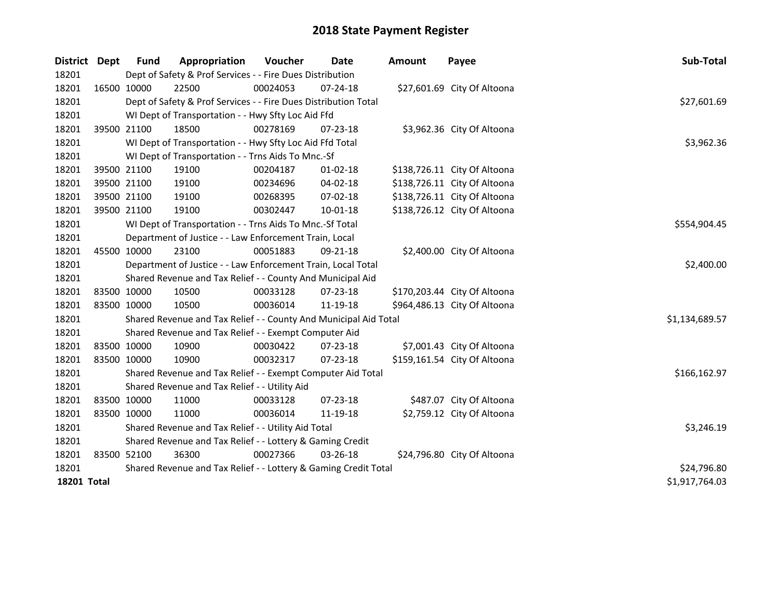| District Dept |             | <b>Fund</b>                                               | Appropriation                                                    | Voucher    | <b>Date</b>    | <b>Amount</b> | Payee                        | Sub-Total      |
|---------------|-------------|-----------------------------------------------------------|------------------------------------------------------------------|------------|----------------|---------------|------------------------------|----------------|
| 18201         |             |                                                           | Dept of Safety & Prof Services - - Fire Dues Distribution        |            |                |               |                              |                |
| 18201         | 16500 10000 |                                                           | 22500                                                            | 00024053   | $07 - 24 - 18$ |               | \$27,601.69 City Of Altoona  |                |
| 18201         |             |                                                           | Dept of Safety & Prof Services - - Fire Dues Distribution Total  |            |                |               |                              | \$27,601.69    |
| 18201         |             |                                                           | WI Dept of Transportation - - Hwy Sfty Loc Aid Ffd               |            |                |               |                              |                |
| 18201         | 39500 21100 |                                                           | 18500                                                            | 00278169   | 07-23-18       |               | \$3,962.36 City Of Altoona   |                |
| 18201         |             |                                                           | WI Dept of Transportation - - Hwy Sfty Loc Aid Ffd Total         |            |                |               |                              | \$3,962.36     |
| 18201         |             |                                                           | WI Dept of Transportation - - Trns Aids To Mnc.-Sf               |            |                |               |                              |                |
| 18201         |             | 39500 21100                                               | 19100                                                            | 00204187   | 01-02-18       |               | \$138,726.11 City Of Altoona |                |
| 18201         | 39500 21100 |                                                           | 19100                                                            | 00234696   | 04-02-18       |               | \$138,726.11 City Of Altoona |                |
| 18201         | 39500 21100 |                                                           | 19100                                                            | 00268395   | $07 - 02 - 18$ |               | \$138,726.11 City Of Altoona |                |
| 18201         | 39500 21100 |                                                           | 19100                                                            | 00302447   | $10 - 01 - 18$ |               | \$138,726.12 City Of Altoona |                |
| 18201         |             |                                                           | WI Dept of Transportation - - Trns Aids To Mnc.-Sf Total         |            |                |               |                              | \$554,904.45   |
| 18201         |             |                                                           | Department of Justice - - Law Enforcement Train, Local           |            |                |               |                              |                |
| 18201         |             | 45500 10000                                               | 23100                                                            | 00051883   | 09-21-18       |               | \$2,400.00 City Of Altoona   |                |
| 18201         |             |                                                           | Department of Justice - - Law Enforcement Train, Local Total     |            |                |               |                              | \$2,400.00     |
| 18201         |             |                                                           | Shared Revenue and Tax Relief - - County And Municipal Aid       |            |                |               |                              |                |
| 18201         | 83500 10000 |                                                           | 10500                                                            | 00033128   | 07-23-18       |               | \$170,203.44 City Of Altoona |                |
| 18201         | 83500 10000 |                                                           | 10500                                                            | 00036014   | 11-19-18       |               | \$964,486.13 City Of Altoona |                |
| 18201         |             |                                                           | Shared Revenue and Tax Relief - - County And Municipal Aid Total |            |                |               |                              | \$1,134,689.57 |
| 18201         |             |                                                           | Shared Revenue and Tax Relief - - Exempt Computer Aid            |            |                |               |                              |                |
| 18201         | 83500 10000 |                                                           | 10900                                                            | 00030422   | $07 - 23 - 18$ |               | \$7,001.43 City Of Altoona   |                |
| 18201         |             | 83500 10000                                               | 10900                                                            | 00032317   | 07-23-18       |               | \$159,161.54 City Of Altoona |                |
| 18201         |             |                                                           | Shared Revenue and Tax Relief - - Exempt Computer Aid Total      |            |                |               |                              | \$166,162.97   |
| 18201         |             |                                                           | Shared Revenue and Tax Relief - - Utility Aid                    |            |                |               |                              |                |
| 18201         | 83500 10000 |                                                           | 11000                                                            | 00033128   | 07-23-18       |               | \$487.07 City Of Altoona     |                |
| 18201         | 83500 10000 |                                                           | 11000                                                            | 00036014   | 11-19-18       |               | \$2,759.12 City Of Altoona   |                |
| 18201         |             |                                                           | Shared Revenue and Tax Relief - - Utility Aid Total              | \$3,246.19 |                |               |                              |                |
| 18201         |             | Shared Revenue and Tax Relief - - Lottery & Gaming Credit |                                                                  |            |                |               |                              |                |
| 18201         | 83500 52100 |                                                           | 36300                                                            | 00027366   | 03-26-18       |               | \$24,796.80 City Of Altoona  |                |
| 18201         |             |                                                           | Shared Revenue and Tax Relief - - Lottery & Gaming Credit Total  |            |                |               |                              | \$24,796.80    |
| 18201 Total   |             |                                                           |                                                                  |            |                |               |                              | \$1,917,764.03 |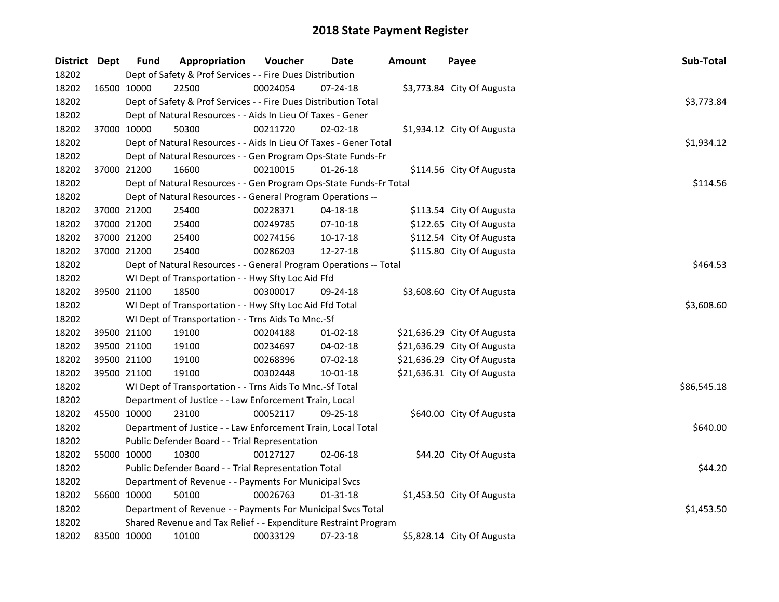| District Dept |             | <b>Fund</b>                                                 | Appropriation                                                      | Voucher  | <b>Date</b>    | <b>Amount</b> | Payee                       | Sub-Total   |
|---------------|-------------|-------------------------------------------------------------|--------------------------------------------------------------------|----------|----------------|---------------|-----------------------------|-------------|
| 18202         |             | Dept of Safety & Prof Services - - Fire Dues Distribution   |                                                                    |          |                |               |                             |             |
| 18202         | 16500 10000 |                                                             | 22500                                                              | 00024054 | $07 - 24 - 18$ |               | \$3,773.84 City Of Augusta  |             |
| 18202         |             |                                                             | Dept of Safety & Prof Services - - Fire Dues Distribution Total    |          |                |               |                             | \$3,773.84  |
| 18202         |             | Dept of Natural Resources - - Aids In Lieu Of Taxes - Gener |                                                                    |          |                |               |                             |             |
| 18202         |             | 37000 10000                                                 | 50300                                                              | 00211720 | $02 - 02 - 18$ |               | \$1,934.12 City Of Augusta  |             |
| 18202         |             |                                                             | Dept of Natural Resources - - Aids In Lieu Of Taxes - Gener Total  |          |                |               |                             | \$1,934.12  |
| 18202         |             |                                                             | Dept of Natural Resources - - Gen Program Ops-State Funds-Fr       |          |                |               |                             |             |
| 18202         |             | 37000 21200                                                 | 16600                                                              | 00210015 | $01 - 26 - 18$ |               | \$114.56 City Of Augusta    |             |
| 18202         |             |                                                             | Dept of Natural Resources - - Gen Program Ops-State Funds-Fr Total |          |                |               |                             | \$114.56    |
| 18202         |             |                                                             | Dept of Natural Resources - - General Program Operations --        |          |                |               |                             |             |
| 18202         |             | 37000 21200                                                 | 25400                                                              | 00228371 | 04-18-18       |               | \$113.54 City Of Augusta    |             |
| 18202         |             | 37000 21200                                                 | 25400                                                              | 00249785 | 07-10-18       |               | \$122.65 City Of Augusta    |             |
| 18202         |             | 37000 21200                                                 | 25400                                                              | 00274156 | 10-17-18       |               | \$112.54 City Of Augusta    |             |
| 18202         |             | 37000 21200                                                 | 25400                                                              | 00286203 | 12-27-18       |               | \$115.80 City Of Augusta    |             |
| 18202         |             |                                                             | Dept of Natural Resources - - General Program Operations -- Total  |          |                |               |                             | \$464.53    |
| 18202         |             |                                                             | WI Dept of Transportation - - Hwy Sfty Loc Aid Ffd                 |          |                |               |                             |             |
| 18202         |             | 39500 21100                                                 | 18500                                                              | 00300017 | 09-24-18       |               | \$3,608.60 City Of Augusta  |             |
| 18202         |             |                                                             | WI Dept of Transportation - - Hwy Sfty Loc Aid Ffd Total           |          |                |               |                             | \$3,608.60  |
| 18202         |             |                                                             | WI Dept of Transportation - - Trns Aids To Mnc.-Sf                 |          |                |               |                             |             |
| 18202         |             | 39500 21100                                                 | 19100                                                              | 00204188 | $01 - 02 - 18$ |               | \$21,636.29 City Of Augusta |             |
| 18202         |             | 39500 21100                                                 | 19100                                                              | 00234697 | 04-02-18       |               | \$21,636.29 City Of Augusta |             |
| 18202         |             | 39500 21100                                                 | 19100                                                              | 00268396 | 07-02-18       |               | \$21,636.29 City Of Augusta |             |
| 18202         |             | 39500 21100                                                 | 19100                                                              | 00302448 | 10-01-18       |               | \$21,636.31 City Of Augusta |             |
| 18202         |             |                                                             | WI Dept of Transportation - - Trns Aids To Mnc.-Sf Total           |          |                |               |                             | \$86,545.18 |
| 18202         |             |                                                             | Department of Justice - - Law Enforcement Train, Local             |          |                |               |                             |             |
| 18202         |             | 45500 10000                                                 | 23100                                                              | 00052117 | 09-25-18       |               | \$640.00 City Of Augusta    |             |
| 18202         |             |                                                             | Department of Justice - - Law Enforcement Train, Local Total       |          |                |               |                             | \$640.00    |
| 18202         |             |                                                             | Public Defender Board - - Trial Representation                     |          |                |               |                             |             |
| 18202         |             | 55000 10000                                                 | 10300                                                              | 00127127 | 02-06-18       |               | \$44.20 City Of Augusta     |             |
| 18202         |             |                                                             | Public Defender Board - - Trial Representation Total               |          |                |               |                             | \$44.20     |
| 18202         |             | Department of Revenue - - Payments For Municipal Svcs       |                                                                    |          |                |               |                             |             |
| 18202         |             | 56600 10000                                                 | 50100                                                              | 00026763 | $01 - 31 - 18$ |               | \$1,453.50 City Of Augusta  |             |
| 18202         |             |                                                             | Department of Revenue - - Payments For Municipal Svcs Total        |          |                |               |                             | \$1,453.50  |
| 18202         |             |                                                             | Shared Revenue and Tax Relief - - Expenditure Restraint Program    |          |                |               |                             |             |
| 18202         |             | 83500 10000                                                 | 10100                                                              | 00033129 | 07-23-18       |               | \$5,828.14 City Of Augusta  |             |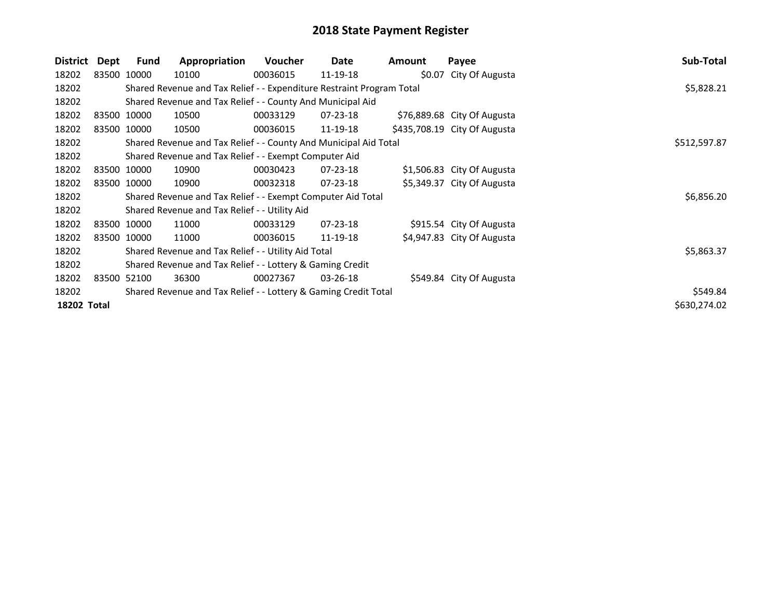| District           | Dept        | <b>Fund</b> | Appropriation                                                         | <b>Voucher</b> | Date           | Amount | Payee                        | Sub-Total    |
|--------------------|-------------|-------------|-----------------------------------------------------------------------|----------------|----------------|--------|------------------------------|--------------|
| 18202              | 83500 10000 |             | 10100                                                                 | 00036015       | 11-19-18       |        | \$0.07 City Of Augusta       |              |
| 18202              |             |             | Shared Revenue and Tax Relief - - Expenditure Restraint Program Total |                |                |        |                              | \$5,828.21   |
| 18202              |             |             | Shared Revenue and Tax Relief - - County And Municipal Aid            |                |                |        |                              |              |
| 18202              | 83500 10000 |             | 10500                                                                 | 00033129       | 07-23-18       |        | \$76,889.68 City Of Augusta  |              |
| 18202              | 83500 10000 |             | 10500                                                                 | 00036015       | 11-19-18       |        | \$435,708.19 City Of Augusta |              |
| 18202              |             |             | Shared Revenue and Tax Relief - - County And Municipal Aid Total      |                |                |        |                              | \$512,597.87 |
| 18202              |             |             | Shared Revenue and Tax Relief - - Exempt Computer Aid                 |                |                |        |                              |              |
| 18202              | 83500 10000 |             | 10900                                                                 | 00030423       | 07-23-18       |        | \$1,506.83 City Of Augusta   |              |
| 18202              | 83500 10000 |             | 10900                                                                 | 00032318       | $07 - 23 - 18$ |        | \$5,349.37 City Of Augusta   |              |
| 18202              |             |             | Shared Revenue and Tax Relief - - Exempt Computer Aid Total           |                |                |        |                              | \$6,856.20   |
| 18202              |             |             | Shared Revenue and Tax Relief - - Utility Aid                         |                |                |        |                              |              |
| 18202              |             | 83500 10000 | 11000                                                                 | 00033129       | $07 - 23 - 18$ |        | \$915.54 City Of Augusta     |              |
| 18202              | 83500 10000 |             | 11000                                                                 | 00036015       | 11-19-18       |        | \$4,947.83 City Of Augusta   |              |
| 18202              |             |             | Shared Revenue and Tax Relief - - Utility Aid Total                   |                |                |        |                              | \$5,863.37   |
| 18202              |             |             | Shared Revenue and Tax Relief - - Lottery & Gaming Credit             |                |                |        |                              |              |
| 18202              | 83500 52100 |             | 36300                                                                 | 00027367       | $03 - 26 - 18$ |        | \$549.84 City Of Augusta     |              |
| 18202              |             |             | Shared Revenue and Tax Relief - - Lottery & Gaming Credit Total       |                |                |        |                              | \$549.84     |
| <b>18202 Total</b> |             |             |                                                                       |                |                |        |                              | \$630,274.02 |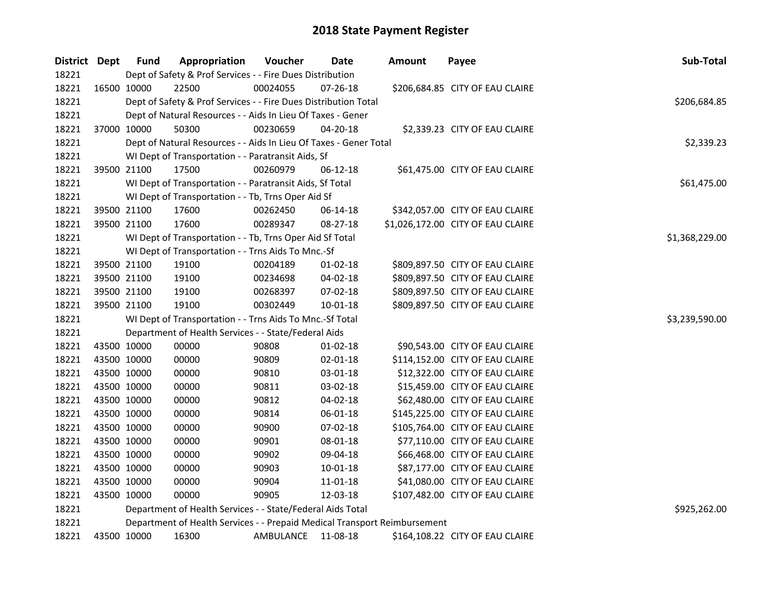| District Dept |             | <b>Fund</b>                                                 | Appropriation                                                             | Voucher   | Date           | <b>Amount</b> | Payee                             | Sub-Total      |
|---------------|-------------|-------------------------------------------------------------|---------------------------------------------------------------------------|-----------|----------------|---------------|-----------------------------------|----------------|
| 18221         |             |                                                             | Dept of Safety & Prof Services - - Fire Dues Distribution                 |           |                |               |                                   |                |
| 18221         |             | 16500 10000                                                 | 22500                                                                     | 00024055  | 07-26-18       |               | \$206,684.85 CITY OF EAU CLAIRE   |                |
| 18221         |             |                                                             | Dept of Safety & Prof Services - - Fire Dues Distribution Total           |           |                |               |                                   | \$206,684.85   |
| 18221         |             | Dept of Natural Resources - - Aids In Lieu Of Taxes - Gener |                                                                           |           |                |               |                                   |                |
| 18221         |             | 37000 10000                                                 | 50300                                                                     | 00230659  | 04-20-18       |               | \$2,339.23 CITY OF EAU CLAIRE     |                |
| 18221         |             |                                                             | Dept of Natural Resources - - Aids In Lieu Of Taxes - Gener Total         |           |                |               |                                   | \$2,339.23     |
| 18221         |             |                                                             | WI Dept of Transportation - - Paratransit Aids, Sf                        |           |                |               |                                   |                |
| 18221         |             | 39500 21100                                                 | 17500                                                                     | 00260979  | 06-12-18       |               | \$61,475.00 CITY OF EAU CLAIRE    |                |
| 18221         |             |                                                             | WI Dept of Transportation - - Paratransit Aids, Sf Total                  |           |                |               |                                   | \$61,475.00    |
| 18221         |             |                                                             | WI Dept of Transportation - - Tb, Trns Oper Aid Sf                        |           |                |               |                                   |                |
| 18221         |             | 39500 21100                                                 | 17600                                                                     | 00262450  | 06-14-18       |               | \$342,057.00 CITY OF EAU CLAIRE   |                |
| 18221         |             | 39500 21100                                                 | 17600                                                                     | 00289347  | 08-27-18       |               | \$1,026,172.00 CITY OF EAU CLAIRE |                |
| 18221         |             |                                                             | WI Dept of Transportation - - Tb, Trns Oper Aid Sf Total                  |           |                |               |                                   | \$1,368,229.00 |
| 18221         |             |                                                             | WI Dept of Transportation - - Trns Aids To Mnc.-Sf                        |           |                |               |                                   |                |
| 18221         |             | 39500 21100                                                 | 19100                                                                     | 00204189  | 01-02-18       |               | \$809,897.50 CITY OF EAU CLAIRE   |                |
| 18221         |             | 39500 21100                                                 | 19100                                                                     | 00234698  | 04-02-18       |               | \$809,897.50 CITY OF EAU CLAIRE   |                |
| 18221         |             | 39500 21100                                                 | 19100                                                                     | 00268397  | 07-02-18       |               | \$809,897.50 CITY OF EAU CLAIRE   |                |
| 18221         |             | 39500 21100                                                 | 19100                                                                     | 00302449  | $10 - 01 - 18$ |               | \$809,897.50 CITY OF EAU CLAIRE   |                |
| 18221         |             |                                                             | WI Dept of Transportation - - Trns Aids To Mnc.-Sf Total                  |           |                |               |                                   | \$3,239,590.00 |
| 18221         |             |                                                             | Department of Health Services - - State/Federal Aids                      |           |                |               |                                   |                |
| 18221         |             | 43500 10000                                                 | 00000                                                                     | 90808     | 01-02-18       |               | \$90,543.00 CITY OF EAU CLAIRE    |                |
| 18221         |             | 43500 10000                                                 | 00000                                                                     | 90809     | 02-01-18       |               | \$114,152.00 CITY OF EAU CLAIRE   |                |
| 18221         |             | 43500 10000                                                 | 00000                                                                     | 90810     | 03-01-18       |               | \$12,322.00 CITY OF EAU CLAIRE    |                |
| 18221         |             | 43500 10000                                                 | 00000                                                                     | 90811     | 03-02-18       |               | \$15,459.00 CITY OF EAU CLAIRE    |                |
| 18221         |             | 43500 10000                                                 | 00000                                                                     | 90812     | 04-02-18       |               | \$62,480.00 CITY OF EAU CLAIRE    |                |
| 18221         |             | 43500 10000                                                 | 00000                                                                     | 90814     | 06-01-18       |               | \$145,225.00 CITY OF EAU CLAIRE   |                |
| 18221         |             | 43500 10000                                                 | 00000                                                                     | 90900     | 07-02-18       |               | \$105,764.00 CITY OF EAU CLAIRE   |                |
| 18221         |             | 43500 10000                                                 | 00000                                                                     | 90901     | 08-01-18       |               | \$77,110.00 CITY OF EAU CLAIRE    |                |
| 18221         |             | 43500 10000                                                 | 00000                                                                     | 90902     | 09-04-18       |               | \$66,468.00 CITY OF EAU CLAIRE    |                |
| 18221         |             | 43500 10000                                                 | 00000                                                                     | 90903     | 10-01-18       |               | \$87,177.00 CITY OF EAU CLAIRE    |                |
| 18221         |             | 43500 10000                                                 | 00000                                                                     | 90904     | 11-01-18       |               | \$41,080.00 CITY OF EAU CLAIRE    |                |
| 18221         |             | 43500 10000                                                 | 00000                                                                     | 90905     | 12-03-18       |               | \$107,482.00 CITY OF EAU CLAIRE   |                |
| 18221         |             |                                                             | Department of Health Services - - State/Federal Aids Total                |           |                |               |                                   | \$925,262.00   |
| 18221         |             |                                                             | Department of Health Services - - Prepaid Medical Transport Reimbursement |           |                |               |                                   |                |
| 18221         | 43500 10000 |                                                             | 16300                                                                     | AMBULANCE | 11-08-18       |               | \$164,108.22 CITY OF EAU CLAIRE   |                |